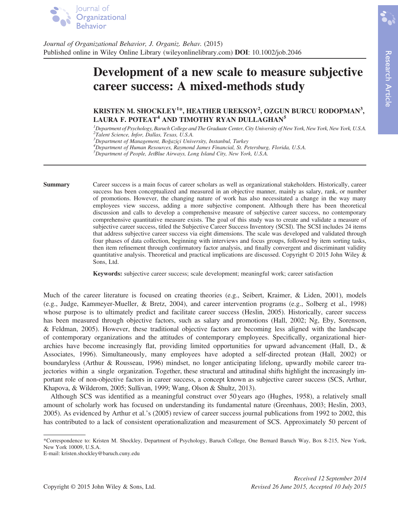

# Development of a new scale to measure subjective career success: A mixed-methods study

KRISTEN M. SHOCKLEY $^{1*}$ , HEATHER UREKSOY $^{2}$ , OZGUN BURCU RODOPMAN $^{3}$ , LAURA F. POTEAT<sup>4</sup> AND TIMOTHY RYAN DULLAGHAN<sup>5</sup>

1 Department of Psychology, Baruch College and The Graduate Center, City University of New York, New York, New York, U.S.A. <sup>2</sup>Talent Science, Infor, Dallas, Texas, U.S.A. <sup>3</sup> Department of Management, Boğaziçi University, Instanbul, Turkey<br><sup>4</sup> Department of Human Resources, Raymond James Einancial, St. Pe

 $^{4}$ Department of Human Resources, Raymond James Financial, St. Petersburg, Florida, U.S.A.

 ${}^{5}$ Department of People, JetBlue Airways, Long Island City, New York, U.S.A.

Summary Career success is a main focus of career scholars as well as organizational stakeholders. Historically, career success has been conceptualized and measured in an objective manner, mainly as salary, rank, or number of promotions. However, the changing nature of work has also necessitated a change in the way many employees view success, adding a more subjective component. Although there has been theoretical discussion and calls to develop a comprehensive measure of subjective career success, no contemporary comprehensive quantitative measure exists. The goal of this study was to create and validate a measure of subjective career success, titled the Subjective Career Success Inventory (SCSI). The SCSI includes 24 items that address subjective career success via eight dimensions. The scale was developed and validated through four phases of data collection, beginning with interviews and focus groups, followed by item sorting tasks, then item refinement through confirmatory factor analysis, and finally convergent and discriminant validity quantitative analysis. Theoretical and practical implications are discussed. Copyright © 2015 John Wiley & Sons, Ltd.

Keywords: subjective career success; scale development; meaningful work; career satisfaction

Much of the career literature is focused on creating theories (e.g., Seibert, Kraimer, & Liden, 2001), models (e.g., Judge, Kammeyer-Mueller, & Bretz, 2004), and career intervention programs (e.g., Solberg et al., 1998) whose purpose is to ultimately predict and facilitate career success (Heslin, 2005). Historically, career success has been measured through objective factors, such as salary and promotions (Hall, 2002; Ng, Eby, Sorenson, & Feldman, 2005). However, these traditional objective factors are becoming less aligned with the landscape of contemporary organizations and the attitudes of contemporary employees. Specifically, organizational hierarchies have become increasingly flat, providing limited opportunities for upward advancement (Hall, D., & Associates, 1996). Simultaneously, many employees have adopted a self-directed protean (Hall, 2002) or boundaryless (Arthur & Rousseau, 1996) mindset, no longer anticipating lifelong, upwardly mobile career trajectories within a single organization. Together, these structural and attitudinal shifts highlight the increasingly important role of non-objective factors in career success, a concept known as subjective career success (SCS, Arthur, Khapova, & Wilderom, 2005; Sullivan, 1999; Wang, Olson & Shultz, 2013).

Although SCS was identified as a meaningful construct over 50 years ago (Hughes, 1958), a relatively small amount of scholarly work has focused on understanding its fundamental nature (Greenhaus, 2003; Heslin, 2003, 2005). As evidenced by Arthur et al.'s (2005) review of career success journal publications from 1992 to 2002, this has contributed to a lack of consistent operationalization and measurement of SCS. Approximately 50 percent of

<sup>\*</sup>Correspondence to: Kristen M. Shockley, Department of Psychology, Baruch College, One Bernard Baruch Way, Box 8-215, New York, New York 10009, U.S.A.

E-mail: kristen.shockley@baruch.cuny.edu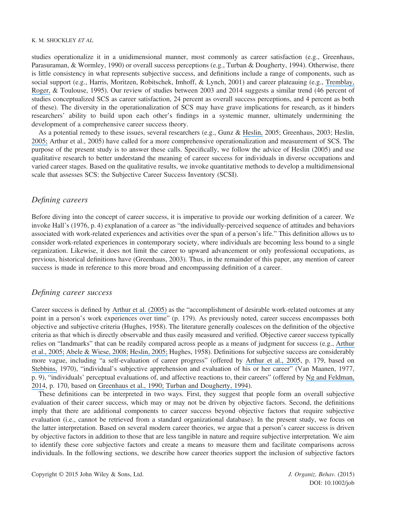studies operationalize it in a unidimensional manner, most commonly as career satisfaction (e.g., Greenhaus, Parasuraman, & Wormley, 1990) or overall success perceptions (e.g., Turban & Dougherty, 1994). Otherwise, there is little consistency in what represents subjective success, and definitions include a range of components, such as social support (e.g., Harris, Moritzen, Robitschek, Imhoff, & Lynch, 2001) and career plateauing (e.g., [Tremblay,](https://www.researchgate.net/publication/247717453_Career_Plateau_and_Work_Attitudes_An_Empirical_Study_of_Managers?el=1_x_8&enrichId=rgreq-bc4e09687039d8304f767b826621625b-XXX&enrichSource=Y292ZXJQYWdlOzI4MDk3NDIyODtBUzoyNzY4ODMyMTczNzExMzhAMTQ0MzAyNTUxMTcxMw==) [Roger,](https://www.researchgate.net/publication/247717453_Career_Plateau_and_Work_Attitudes_An_Empirical_Study_of_Managers?el=1_x_8&enrichId=rgreq-bc4e09687039d8304f767b826621625b-XXX&enrichSource=Y292ZXJQYWdlOzI4MDk3NDIyODtBUzoyNzY4ODMyMTczNzExMzhAMTQ0MzAyNTUxMTcxMw==) & Toulouse, 1995). Our review of studies between 2003 and 2014 suggests a similar trend (46 percent of studies conceptualized SCS as career satisfaction, 24 percent as overall success perceptions, and 4 percent as both of these). The diversity in the operationalization of SCS may have grave implications for research, as it hinders researchers' ability to build upon each other's findings in a systemic manner, ultimately undermining the development of a comprehensive career success theory.

As a potential remedy to these issues, several researchers (e.g., Gunz & [Heslin,](https://www.researchgate.net/publication/228336905_Career_success_in_a_boundaryless_career_world?el=1_x_8&enrichId=rgreq-bc4e09687039d8304f767b826621625b-XXX&enrichSource=Y292ZXJQYWdlOzI4MDk3NDIyODtBUzoyNzY4ODMyMTczNzExMzhAMTQ0MzAyNTUxMTcxMw==) 2005; Greenhaus, 2003; Heslin, [2005;](https://www.researchgate.net/publication/228336905_Career_success_in_a_boundaryless_career_world?el=1_x_8&enrichId=rgreq-bc4e09687039d8304f767b826621625b-XXX&enrichSource=Y292ZXJQYWdlOzI4MDk3NDIyODtBUzoyNzY4ODMyMTczNzExMzhAMTQ0MzAyNTUxMTcxMw==) Arthur et al., 2005) have called for a more comprehensive operationalization and measurement of SCS. The purpose of the present study is to answer these calls. Specifically, we follow the advice of Heslin (2005) and use qualitative research to better understand the meaning of career success for individuals in diverse occupations and varied career stages. Based on the qualitative results, we invoke quantitative methods to develop a multidimensional scale that assesses SCS: the Subjective Career Success Inventory (SCSI).

### Defining careers

Before diving into the concept of career success, it is imperative to provide our working definition of a career. We invoke Hall's (1976, p. 4) explanation of a career as "the individually-perceived sequence of attitudes and behaviors associated with work-related experiences and activities over the span of a person's life." This definition allows us to consider work-related experiences in contemporary society, where individuals are becoming less bound to a single organization. Likewise, it does not limit the career to upward advancement or only professional occupations, as previous, historical definitions have (Greenhaus, 2003). Thus, in the remainder of this paper, any mention of career success is made in reference to this more broad and encompassing definition of a career.

### Defining career success

Career success is defined by [Arthu](https://www.researchgate.net/publication/228336905_Career_success_in_a_boundaryless_career_world?el=1_x_8&enrichId=rgreq-bc4e09687039d8304f767b826621625b-XXX&enrichSource=Y292ZXJQYWdlOzI4MDk3NDIyODtBUzoyNzY4ODMyMTczNzExMzhAMTQ0MzAyNTUxMTcxMw==)[r et al. \(2005\)](https://www.researchgate.net/publication/227605031_Career_success_in_a_boundaryless_career_world?el=1_x_8&enrichId=rgreq-bc4e09687039d8304f767b826621625b-XXX&enrichSource=Y292ZXJQYWdlOzI4MDk3NDIyODtBUzoyNzY4ODMyMTczNzExMzhAMTQ0MzAyNTUxMTcxMw==) as the "accomplishment of desirable work-related outcomes at any point in a person's work experiences over time" (p. 179). As previously noted, career success encompasses both objective and subjective criteria (Hughes, 1958). The literature generally coalesces on the definition of the objective criteria as that which is directly observable and thus easily measured and verified. Objective career success typically relies on "landmarks" that can be readily compared across people as a means of judgment for success (e.g., [Arthur](https://www.researchgate.net/publication/228336905_Career_success_in_a_boundaryless_career_world?el=1_x_8&enrichId=rgreq-bc4e09687039d8304f767b826621625b-XXX&enrichSource=Y292ZXJQYWdlOzI4MDk3NDIyODtBUzoyNzY4ODMyMTczNzExMzhAMTQ0MzAyNTUxMTcxMw==) [e](https://www.researchgate.net/publication/228336905_Career_success_in_a_boundaryless_career_world?el=1_x_8&enrichId=rgreq-bc4e09687039d8304f767b826621625b-XXX&enrichSource=Y292ZXJQYWdlOzI4MDk3NDIyODtBUzoyNzY4ODMyMTczNzExMzhAMTQ0MzAyNTUxMTcxMw==)[t al., 2005;](https://www.researchgate.net/publication/227605031_Career_success_in_a_boundaryless_career_world?el=1_x_8&enrichId=rgreq-bc4e09687039d8304f767b826621625b-XXX&enrichSource=Y292ZXJQYWdlOzI4MDk3NDIyODtBUzoyNzY4ODMyMTczNzExMzhAMTQ0MzAyNTUxMTcxMw==) [Abele & Wiese, 2008;](https://www.researchgate.net/publication/227723353_The_Nomological_Network_of_Self-Management_Strategies_and_Career_Success_Correspondence_to?el=1_x_8&enrichId=rgreq-bc4e09687039d8304f767b826621625b-XXX&enrichSource=Y292ZXJQYWdlOzI4MDk3NDIyODtBUzoyNzY4ODMyMTczNzExMzhAMTQ0MzAyNTUxMTcxMw==) [Heslin, 2005;](https://www.researchgate.net/publication/227729978_Conceptualizing_and_evaluating_career_success?el=1_x_8&enrichId=rgreq-bc4e09687039d8304f767b826621625b-XXX&enrichSource=Y292ZXJQYWdlOzI4MDk3NDIyODtBUzoyNzY4ODMyMTczNzExMzhAMTQ0MzAyNTUxMTcxMw==) Hughes, 1958). Definitions for subjective success are considerably more vague, including "a self-evaluation of career progress" (offered by [Arthu](https://www.researchgate.net/publication/228336905_Career_success_in_a_boundaryless_career_world?el=1_x_8&enrichId=rgreq-bc4e09687039d8304f767b826621625b-XXX&enrichSource=Y292ZXJQYWdlOzI4MDk3NDIyODtBUzoyNzY4ODMyMTczNzExMzhAMTQ0MzAyNTUxMTcxMw==)[r et al., 2005](https://www.researchgate.net/publication/227605031_Career_success_in_a_boundaryless_career_world?el=1_x_8&enrichId=rgreq-bc4e09687039d8304f767b826621625b-XXX&enrichSource=Y292ZXJQYWdlOzI4MDk3NDIyODtBUzoyNzY4ODMyMTczNzExMzhAMTQ0MzAyNTUxMTcxMw==), p. 179, based on [Stebbins,](https://www.researchgate.net/publication/228336905_Career_success_in_a_boundaryless_career_world?el=1_x_8&enrichId=rgreq-bc4e09687039d8304f767b826621625b-XXX&enrichSource=Y292ZXJQYWdlOzI4MDk3NDIyODtBUzoyNzY4ODMyMTczNzExMzhAMTQ0MzAyNTUxMTcxMw==) 1970), "individual's subjective apprehension and evaluation of his or her career" (Van Maanen, 1977, p. 9), "individuals' perceptual evaluations of, and affective reactions to, their careers" (offered by [Ng and Feldman,](https://www.researchgate.net/publication/263282299_Subjective_Career_Success_A_Meta-Analytic_Review?el=1_x_8&enrichId=rgreq-bc4e09687039d8304f767b826621625b-XXX&enrichSource=Y292ZXJQYWdlOzI4MDk3NDIyODtBUzoyNzY4ODMyMTczNzExMzhAMTQ0MzAyNTUxMTcxMw==) [2014](https://www.researchgate.net/publication/263282299_Subjective_Career_Success_A_Meta-Analytic_Review?el=1_x_8&enrichId=rgreq-bc4e09687039d8304f767b826621625b-XXX&enrichSource=Y292ZXJQYWdlOzI4MDk3NDIyODtBUzoyNzY4ODMyMTczNzExMzhAMTQ0MzAyNTUxMTcxMw==), p. 170, based on [Greenhaus et al., 1990;](https://www.researchgate.net/publication/270135735_Effects_of_Race_on_Organizational_Experiences_Job_Performance_Evaluations_and_Career_Outcomes?el=1_x_8&enrichId=rgreq-bc4e09687039d8304f767b826621625b-XXX&enrichSource=Y292ZXJQYWdlOzI4MDk3NDIyODtBUzoyNzY4ODMyMTczNzExMzhAMTQ0MzAyNTUxMTcxMw==) [Turban and Dougherty, 1994](https://www.researchgate.net/publication/270135459_Role_of_Protege_Personality_in_Receipt_of_Mentoring_and_Career_Success?el=1_x_8&enrichId=rgreq-bc4e09687039d8304f767b826621625b-XXX&enrichSource=Y292ZXJQYWdlOzI4MDk3NDIyODtBUzoyNzY4ODMyMTczNzExMzhAMTQ0MzAyNTUxMTcxMw==)).

These definitions can be interpreted in two ways. First, they suggest that people form an overall subjective evaluation of their career success, which may or may not be driven by objective factors. Second, the definitions imply that there are additional components to career success beyond objective factors that require subjective evaluation (i.e., cannot be retrieved from a standard organizational database). In the present study, we focus on the latter interpretation. Based on several modern career theories, we argue that a person's career success is driven by objective factors in addition to those that are less tangible in nature and require subjective interpretation. We aim to identify these core subjective factors and create a means to measure them and facilitate comparisons across individuals. In the following sections, we describe how career theories support the inclusion of subjective factors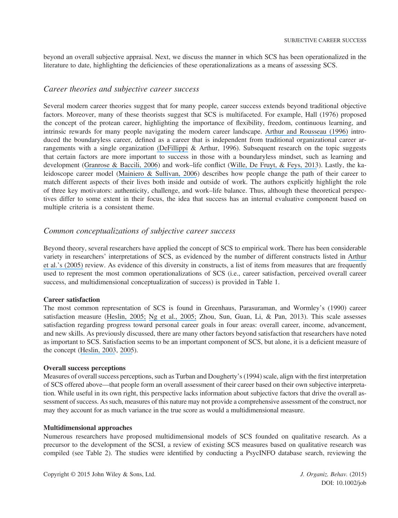beyond an overall subjective appraisal. Next, we discuss the manner in which SCS has been operationalized in the literature to date, highlighting the deficiencies of these operationalizations as a means of assessing SCS.

### Career theories and subjective career success

Several modern career theories suggest that for many people, career success extends beyond traditional objective factors. Moreover, many of these theorists suggest that SCS is multifaceted. For example, Hall (1976) proposed the concept of the protean career, highlighting the importance of flexibility, freedom, continuous learning, and intrinsic rewards for many people navigating the modern career landscape. [Arthu](https://www.researchgate.net/publication/234021304_The_boundaryless_career_A_new_employment_principle_for_a_new_organizational_era?el=1_x_8&enrichId=rgreq-bc4e09687039d8304f767b826621625b-XXX&enrichSource=Y292ZXJQYWdlOzI4MDk3NDIyODtBUzoyNzY4ODMyMTczNzExMzhAMTQ0MzAyNTUxMTcxMw==)[r and Rousseau \(1996\)](https://www.researchgate.net/publication/275703339_The_Boundaryless_Career_A_New_Employment_Principle_for_a_New_Organizational_Era?el=1_x_8&enrichId=rgreq-bc4e09687039d8304f767b826621625b-XXX&enrichSource=Y292ZXJQYWdlOzI4MDk3NDIyODtBUzoyNzY4ODMyMTczNzExMzhAMTQ0MzAyNTUxMTcxMw==) introduced the boundaryless career, defined as a career that is independent from traditional organizational career arrangements with a single organization [\(DeFillippi](https://www.researchgate.net/publication/234021304_The_boundaryless_career_A_new_employment_principle_for_a_new_organizational_era?el=1_x_8&enrichId=rgreq-bc4e09687039d8304f767b826621625b-XXX&enrichSource=Y292ZXJQYWdlOzI4MDk3NDIyODtBUzoyNzY4ODMyMTczNzExMzhAMTQ0MzAyNTUxMTcxMw==) & Arthur, 1996). Subsequent research on the topic suggests that certain factors are more important to success in those with a boundaryless mindset, such as learning and development ([Granrose & Baccili, 2006](https://www.researchgate.net/publication/235287899_Do_Psychological_Contracts_Include_Boundaryless_or_Protean_Careers?el=1_x_8&enrichId=rgreq-bc4e09687039d8304f767b826621625b-XXX&enrichSource=Y292ZXJQYWdlOzI4MDk3NDIyODtBUzoyNzY4ODMyMTczNzExMzhAMTQ0MzAyNTUxMTcxMw==)) and work–life conflict ([Wille, De Fruyt, & Feys, 2013](https://www.researchgate.net/publication/263140334_Big_Five_Traits_and_Intrinsic_Success_in_the_New_Career_Era_A_15-Year_Longitudinal_Study_on_Employability_and_Work-Family_Conflict?el=1_x_8&enrichId=rgreq-bc4e09687039d8304f767b826621625b-XXX&enrichSource=Y292ZXJQYWdlOzI4MDk3NDIyODtBUzoyNzY4ODMyMTczNzExMzhAMTQ0MzAyNTUxMTcxMw==)). Lastly, the kaleidoscope career model ([Mainiero & Sullivan, 2006](https://www.researchgate.net/publication/254592865_The_Opt-Out_Revolt_Why_People_Are_Leaving_Corporations_to_Create_Kaleidoscope_Careers?el=1_x_8&enrichId=rgreq-bc4e09687039d8304f767b826621625b-XXX&enrichSource=Y292ZXJQYWdlOzI4MDk3NDIyODtBUzoyNzY4ODMyMTczNzExMzhAMTQ0MzAyNTUxMTcxMw==)) describes how people change the path of their career to match different aspects of their lives both inside and outside of work. The authors explicitly highlight the role of three key motivators: authenticity, challenge, and work–life balance. Thus, although these theoretical perspectives differ to some extent in their focus, the idea that success has an internal evaluative component based on multiple criteria is a consistent theme.

### Common conceptualizations of subjective career success

Beyond theory, several researchers have applied the concept of SCS to empirical work. There has been considerable variety in researchers' interpretations of SCS, as evidenced by the number of different constructs listed in [Arthur](https://www.researchgate.net/publication/228336905_Career_success_in_a_boundaryless_career_world?el=1_x_8&enrichId=rgreq-bc4e09687039d8304f767b826621625b-XXX&enrichSource=Y292ZXJQYWdlOzI4MDk3NDIyODtBUzoyNzY4ODMyMTczNzExMzhAMTQ0MzAyNTUxMTcxMw==) [et](https://www.researchgate.net/publication/228336905_Career_success_in_a_boundaryless_career_world?el=1_x_8&enrichId=rgreq-bc4e09687039d8304f767b826621625b-XXX&enrichSource=Y292ZXJQYWdlOzI4MDk3NDIyODtBUzoyNzY4ODMyMTczNzExMzhAMTQ0MzAyNTUxMTcxMw==) al.'[s \(2005\)](https://www.researchgate.net/publication/227605031_Career_success_in_a_boundaryless_career_world?el=1_x_8&enrichId=rgreq-bc4e09687039d8304f767b826621625b-XXX&enrichSource=Y292ZXJQYWdlOzI4MDk3NDIyODtBUzoyNzY4ODMyMTczNzExMzhAMTQ0MzAyNTUxMTcxMw==) review. As evidence of this diversity in constructs, a list of items from measures that are frequently used to represent the most common operationalizations of SCS (i.e., career satisfaction, perceived overall career success, and multidimensional conceptualization of success) is provided in Table 1.

#### Career satisfaction

The most common representation of SCS is found in Greenhaus, Parasuraman, and Wormley's (1990) career satisfaction measure ([Heslin, 2005;](https://www.researchgate.net/publication/227729978_Conceptualizing_and_evaluating_career_success?el=1_x_8&enrichId=rgreq-bc4e09687039d8304f767b826621625b-XXX&enrichSource=Y292ZXJQYWdlOzI4MDk3NDIyODtBUzoyNzY4ODMyMTczNzExMzhAMTQ0MzAyNTUxMTcxMw==) [Ng et al., 2005;](https://www.researchgate.net/publication/227614669_Predictors_of_Objective_and_Subjective_Career_Success_A_Meta-Analysis?el=1_x_8&enrichId=rgreq-bc4e09687039d8304f767b826621625b-XXX&enrichSource=Y292ZXJQYWdlOzI4MDk3NDIyODtBUzoyNzY4ODMyMTczNzExMzhAMTQ0MzAyNTUxMTcxMw==) Zhou, Sun, Guan, Li, & Pan, 2013). This scale assesses satisfaction regarding progress toward personal career goals in four areas: overall career, income, advancement, and new skills. As previously discussed, there are many other factors beyond satisfaction that researchers have noted as important to SCS. Satisfaction seems to be an important component of SCS, but alone, it is a deficient measure of the concept ([Heslin, 2003](https://www.researchgate.net/publication/228210955_Self-_and_Other-Referent_Criteria_of_Career_Success?el=1_x_8&enrichId=rgreq-bc4e09687039d8304f767b826621625b-XXX&enrichSource=Y292ZXJQYWdlOzI4MDk3NDIyODtBUzoyNzY4ODMyMTczNzExMzhAMTQ0MzAyNTUxMTcxMw==), [2005](https://www.researchgate.net/publication/227729978_Conceptualizing_and_evaluating_career_success?el=1_x_8&enrichId=rgreq-bc4e09687039d8304f767b826621625b-XXX&enrichSource=Y292ZXJQYWdlOzI4MDk3NDIyODtBUzoyNzY4ODMyMTczNzExMzhAMTQ0MzAyNTUxMTcxMw==)).

#### Overall success perceptions

Measures of overall success perceptions, such as Turban and Dougherty's (1994) scale, align with the first interpretation of SCS offered above—that people form an overall assessment of their career based on their own subjective interpretation. While useful in its own right, this perspective lacks information about subjective factors that drive the overall assessment of success. As such, measures of this nature may not provide a comprehensive assessment of the construct, nor may they account for as much variance in the true score as would a multidimensional measure.

#### Multidimensional approaches

Numerous researchers have proposed multidimensional models of SCS founded on qualitative research. As a precursor to the development of the SCSI, a review of existing SCS measures based on qualitative research was compiled (see Table 2). The studies were identified by conducting a PsycINFO database search, reviewing the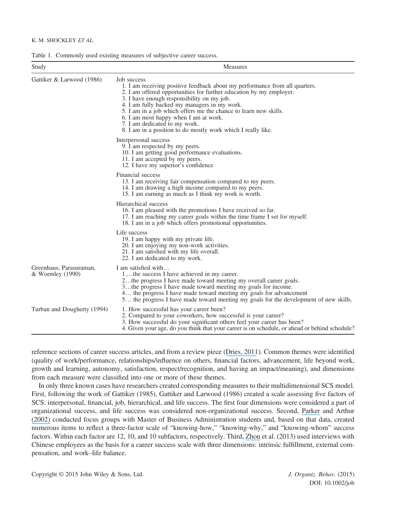|  |  |  |  |  | Table 1. Commonly used existing measures of subjective career success. |
|--|--|--|--|--|------------------------------------------------------------------------|
|--|--|--|--|--|------------------------------------------------------------------------|

| Study                                       | <b>Measures</b>                                                                                                                                                                                                                                                                                                                                                                                                                                                               |
|---------------------------------------------|-------------------------------------------------------------------------------------------------------------------------------------------------------------------------------------------------------------------------------------------------------------------------------------------------------------------------------------------------------------------------------------------------------------------------------------------------------------------------------|
| Gattiker & Larwood (1986)                   | Job success<br>1. I am receiving positive feedback about my performance from all quarters.<br>2. I am offered opportunities for further education by my employer.<br>3. I have enough responsibility on my job.<br>4. I am fully backed my managers in my work.<br>5. I am in a job which offers me the chance to learn new skills.<br>6. I am most happy when I am at work.<br>7. I am dedicated to my work.<br>8. I am in a position to do mostly work which I really like. |
|                                             | Interpersonal success<br>9. I am respected by my peers.<br>10. I am getting good performance evaluations.<br>11. I am accepted by my peers.<br>12. I have my superior's confidence                                                                                                                                                                                                                                                                                            |
|                                             | Financial success<br>13. I am receiving fair compensation compared to my peers.<br>14. I am drawing a high income compared to my peers.<br>15. I am earning as much as I think my work is worth.                                                                                                                                                                                                                                                                              |
|                                             | Hierarchical success<br>16. I am pleased with the promotions I have received so far.<br>17. I am reaching my career goals within the time frame I set for myself.<br>18. I am in a job which offers promotional opportunities.                                                                                                                                                                                                                                                |
|                                             | Life success<br>19. I am happy with my private life.<br>20. I am enjoying my non-work activities.<br>21. I am satisfied with my life overall.<br>22. I am dedicated to my work.                                                                                                                                                                                                                                                                                               |
| Greenhaus, Parasuraman,<br>& Wormley (1990) | I am satisfied with<br>1, the success I have achieved in my career.<br>2the progress I have made toward meeting my overall career goals.<br>3the progress I have made toward meeting my goals for income.<br>4 the progress I have made toward meeting my goals for advancement<br>5 the progress I have made toward meeting my goals for the development of new skills.                                                                                                      |
| Turban and Dougherty (1994)                 | 1. How successful has your career been?<br>2. Compared to your coworkers, how successful is your career?<br>3. How successful do your significant others feel your career has been?<br>4. Given your age, do you think that your career is on schedule, or ahead or behind schedule?                                                                                                                                                                                          |

reference sections of career success articles, and from a review piece ([Dries, 2011](https://www.researchgate.net/publication/235271067_The_meaning_of_career_success_Avoiding_reification_through_a_closer_inspection_of_historical_cultural_and_ideological_contexts?el=1_x_8&enrichId=rgreq-bc4e09687039d8304f767b826621625b-XXX&enrichSource=Y292ZXJQYWdlOzI4MDk3NDIyODtBUzoyNzY4ODMyMTczNzExMzhAMTQ0MzAyNTUxMTcxMw==)). Common themes were identified (quality of work/performance, relationships/influence on others, financial factors, advancement, life beyond work, growth and learning, autonomy, satisfaction, respect/recognition, and having an impact/meaning), and dimensions from each measure were classified into one or more of these themes.

In only three known cases have researchers created corresponding measures to their multidimensional SCS model. First, following the work of Gattiker (1985), Gattiker and Larwood (1986) created a scale assessing five factors of SCS: interpersonal, financial, job, hierarchical, and life success. The first four dimensions were considered a part of organizational success, and life success was considered non-organizational success. Second, [Parker](https://www.researchgate.net/publication/43507884_Bringing_New_Science_into_Careers_Research?el=1_x_8&enrichId=rgreq-bc4e09687039d8304f767b826621625b-XXX&enrichSource=Y292ZXJQYWdlOzI4MDk3NDIyODtBUzoyNzY4ODMyMTczNzExMzhAMTQ0MzAyNTUxMTcxMw==) and Arthur [\(2002\)](https://www.researchgate.net/publication/43507884_Bringing_New_Science_into_Careers_Research?el=1_x_8&enrichId=rgreq-bc4e09687039d8304f767b826621625b-XXX&enrichSource=Y292ZXJQYWdlOzI4MDk3NDIyODtBUzoyNzY4ODMyMTczNzExMzhAMTQ0MzAyNTUxMTcxMw==) conducted focus groups with Master of Business Administration students and, based on that data, created numerous items to reflect a three-factor scale of "knowing-how," "knowing-why," and "knowing-whom" success factors. Within each factor are 12, 10, and 10 subfactors, respectively. Third, [Zhou](https://www.researchgate.net/publication/258144069_Criteria_of_Career_Success_Among_Chinese_Employees?el=1_x_8&enrichId=rgreq-bc4e09687039d8304f767b826621625b-XXX&enrichSource=Y292ZXJQYWdlOzI4MDk3NDIyODtBUzoyNzY4ODMyMTczNzExMzhAMTQ0MzAyNTUxMTcxMw==) et al. (2013) used interviews with Chinese employees as the basis for a career success scale with three dimensions: intrinsic fulfillment, external compensation, and work–life balance.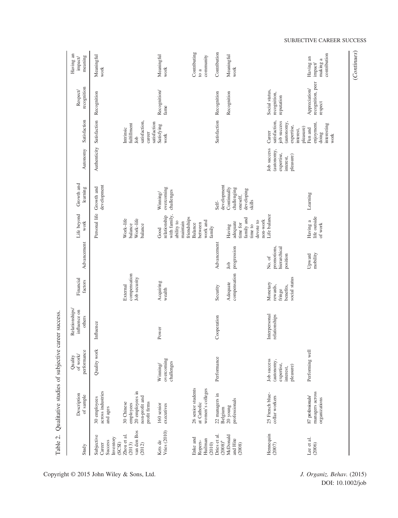| Having an<br>meaning<br>impact/          | Meaningful<br>work                                                    |                                                                | Meaningful<br>work                                                            | Contributing<br>community<br>to a                     | Contribution                                | Meaningful<br>work                                                               |                                                                                            | contribution<br>Having an<br>making a<br><i>impact</i> |
|------------------------------------------|-----------------------------------------------------------------------|----------------------------------------------------------------|-------------------------------------------------------------------------------|-------------------------------------------------------|---------------------------------------------|----------------------------------------------------------------------------------|--------------------------------------------------------------------------------------------|--------------------------------------------------------|
| recognition<br><b>Respect</b>            | Recognition                                                           |                                                                | Recognition<br>fame                                                           |                                                       | Recognition                                 | Recognition                                                                      | Social status,<br>recognition,<br>reputation                                               | recognition, peer<br>Appreciation<br>respect           |
| Satisfaction                             | Satisfaction<br>intrinsic                                             | satisfaction,<br>satisfaction<br>fulfillment<br>career<br>Job  | Satisfying<br>work                                                            |                                                       | Satisfaction                                |                                                                                  | satisfaction,<br>ob success<br>autonomy,<br>expertise,<br>pleasure)<br>interest,<br>Career | enjoyment,<br>interesting<br>Fun and<br>doing<br>work  |
| Autonomy                                 | Authenticity                                                          |                                                                |                                                                               |                                                       |                                             |                                                                                  | Job success<br>(autonomy,<br>expertise,<br>pleasure)<br>interest,                          |                                                        |
| Growth and<br>learning                   | development<br>Growth and                                             |                                                                | overcoming<br>challenges<br>Winning                                           |                                                       | development<br>Self-                        | Continually<br>challenging<br>developing<br>oneself,<br>skills                   |                                                                                            | Learning                                               |
| Life beyond<br>work                      | Personal life<br>Work-life                                            | Work-life<br>balance<br>balance                                | with family,<br>relationship<br>friendships<br>ability to<br>maintain<br>Good | work and<br>between<br>Balance<br>family              |                                             | family and<br>non-work<br>devote to<br>adequate<br>time for<br>time to<br>Having | Life balance                                                                               | life outside<br>Having a<br>of work                    |
| Advancement                              |                                                                       |                                                                |                                                                               |                                                       | Advancement                                 | progression<br>Job                                                               | promotions,<br>hierarchical<br>position<br>No. of                                          | Upward<br>mobility                                     |
| Financial<br>factors                     | External                                                              | compensation<br>Job security                                   | Acquiring<br>wealth                                                           |                                                       | Security                                    | compensation<br>Adequate                                                         | social status<br>Monetary<br>rewards,<br>benefits,<br>fringe                               |                                                        |
| Relationships/<br>influence on<br>others | Influence                                                             |                                                                | Power                                                                         |                                                       | Cooperation                                 |                                                                                  | Interpersonal<br>relationships                                                             |                                                        |
| performance<br>of work/<br>Quality       | Quality work                                                          |                                                                | overcoming<br>challenges<br>Winning                                           |                                                       | Performance                                 |                                                                                  | Job success<br>(autonomy,<br>expertise,<br>pleasure)<br>interest,                          | Performing well                                        |
| Description<br>of sample                 | across industries<br>30 employees<br>30 Chinese<br>and ages           | 20 employees in<br>non-profit and<br>profit firms<br>employees | 160 senior<br>executives                                                      | 26 senior students<br>women's colleges<br>at Catholic | 22 managers in<br>Belgium                   | professionals<br>20 young                                                        | 25 French blue-<br>collar workers                                                          | managers across<br>87 professionals<br>organizations   |
| Study                                    | Zhou et al.<br>Subjective<br>Inventory<br>Success<br>Career<br>(SCSI) | van den Bos<br>(2013)<br>(2012)                                | <b>Vries</b> (2010)<br>Kets de                                                | Enke and<br>Huilman<br>Ropers-<br>(2010)              | Dries et al.<br>$\left(2008\right)^{\rm a}$ | McDonald<br>and Hite<br>(2008)                                                   | Hennequin<br>(2007)                                                                        | Lee et al.<br>(2006)                                   |

Table 2. Qualitative studies of subjective career success.

Table 2. Qualitative studies of subjective career success.

DOI: 10.1002/job

### SUBJECTIVE CAREER SUCCESS

 $(Continuous)$ (Continues)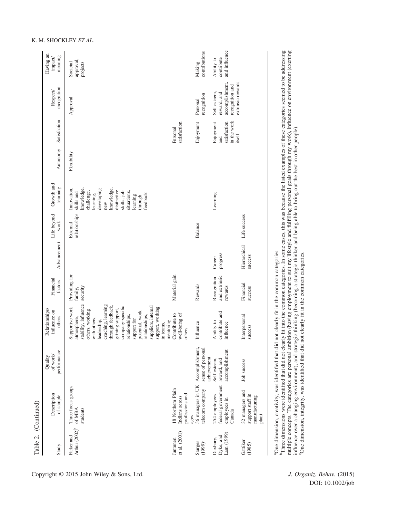| Study                                                              | Description<br>of sample                                                                                                                                                                                                                                                                                                                                                                                                                                                                                                                                                                     | performance<br>of work/<br>Quality                           | Relationships/<br>influence on<br>others                                                                                                                                                                                                                                                                                                                                          | Financial<br>factors                                  | Advancement             | Life beyond<br>work       | Growth and<br>learning                                                                                                                                                                | Autonomy    | Satisfaction                                              | recognition<br>Respect                                                                 | Having an<br>meaning<br>impact/           |
|--------------------------------------------------------------------|----------------------------------------------------------------------------------------------------------------------------------------------------------------------------------------------------------------------------------------------------------------------------------------------------------------------------------------------------------------------------------------------------------------------------------------------------------------------------------------------------------------------------------------------------------------------------------------------|--------------------------------------------------------------|-----------------------------------------------------------------------------------------------------------------------------------------------------------------------------------------------------------------------------------------------------------------------------------------------------------------------------------------------------------------------------------|-------------------------------------------------------|-------------------------|---------------------------|---------------------------------------------------------------------------------------------------------------------------------------------------------------------------------------|-------------|-----------------------------------------------------------|----------------------------------------------------------------------------------------|-------------------------------------------|
| Arthur $(2002)^{\rm b}$<br>et al. (2001)<br>Parker and<br>Juntunen | Three focus groups<br>18 Northern Plain<br>professions and<br>Indians across<br>of MBA<br>students                                                                                                                                                                                                                                                                                                                                                                                                                                                                                           |                                                              | stability, influence<br>coaching, learning<br>through feedback,<br>suppliers, internal<br>company-specific<br>support, working<br>Supportive work<br>gaining support,<br>others, working<br>potential, work<br>well-being of<br>Contribute to<br>relationships,<br>relationships,<br>atmosphere,<br>with others,<br>support for<br>eadership,<br>mentoring<br>in teams,<br>others | Providing for<br>Material gain<br>security<br>family, |                         | relationships<br>External | knowledge,<br>Innovation,<br>knowledge,<br>developing<br>distinctive<br>challenge,<br>situations,<br>skills and<br>skills, job<br>learning,<br>feedback<br>learning<br>through<br>new | Flexibility | satisfaction<br>Personal                                  | Approval                                                                               | approval.<br>Societal<br>projects         |
| Sturges<br>(1999) <sup>c</sup>                                     | 36 managers in UK<br>telecom company<br>ages                                                                                                                                                                                                                                                                                                                                                                                                                                                                                                                                                 | Accomplishment,<br>sense of personal                         | Influence                                                                                                                                                                                                                                                                                                                                                                         | Rewards                                               |                         | Balance                   |                                                                                                                                                                                       |             | Enjoyment                                                 | recognition<br>Personal                                                                | contributions<br>Making                   |
| Lam (1999)<br>Dyke, and<br>Duxbury,                                | federal government<br>254 employees<br>employees in<br>Canada                                                                                                                                                                                                                                                                                                                                                                                                                                                                                                                                | accomplishment<br>achievement<br>Self-esteem,<br>reward, and | contribute and<br>Ability to<br>influence                                                                                                                                                                                                                                                                                                                                         | and extrinsic<br>Recognition<br>rewards               | progress<br>Career      |                           | Learning                                                                                                                                                                              |             | in the work<br>satisfaction<br>Enjoyment<br>itself<br>and | extrinsic rewards<br>accomplishment,<br>recognition and<br>Self-esteem,<br>reward, and | and influence<br>contribute<br>Ability to |
| Gattiker<br>(1985)                                                 | 32 managers and<br>support staff in<br>manufacturing<br>plant                                                                                                                                                                                                                                                                                                                                                                                                                                                                                                                                | Job success                                                  | Interpersonal<br>success                                                                                                                                                                                                                                                                                                                                                          | Financial<br>success                                  | Hierarchical<br>success | Life success              |                                                                                                                                                                                       |             |                                                           |                                                                                        |                                           |
|                                                                    | <sup>b</sup> Three dimensions were identified that did not clearly fit into the common categories. In some cases, this was because the listed examples of these categories seemed to be addressing<br>multiple concepts. The categories are personal ambition (having employment to suit my lifestyle and fulfilling personal goals through my work), influence on environment (exerting<br><sup>a</sup> One dimension, creativity, was identified that did not clearly fit in the common categories.<br>One dimension, integrity, was identified<br>influence over a changing environment), |                                                              | and strategic thinking (becoming a strategic thinker and being able to bring out the best in other people).<br>that did not clearly fit in the common categories.                                                                                                                                                                                                                 |                                                       |                         |                           |                                                                                                                                                                                       |             |                                                           |                                                                                        |                                           |

Copyright © 2015 John Wiley & Sons, Ltd. J. Organiz. Behav. (2015)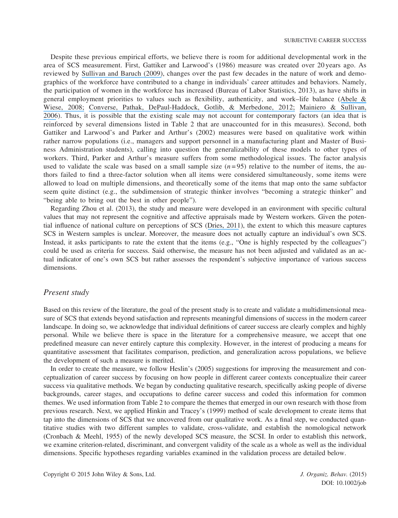Despite these previous empirical efforts, we believe there is room for additional developmental work in the area of SCS measurement. First, Gattiker and Larwood's (1986) measure was created over 20 years ago. As reviewed by [Sullivan and Baruch \(2009\)](https://www.researchgate.net/publication/234021927_Advances_in_Career_Theory_and_Research_A_Critical_Review_and_Agenda_for_Future_Exploration?el=1_x_8&enrichId=rgreq-bc4e09687039d8304f767b826621625b-XXX&enrichSource=Y292ZXJQYWdlOzI4MDk3NDIyODtBUzoyNzY4ODMyMTczNzExMzhAMTQ0MzAyNTUxMTcxMw==), changes over the past few decades in the nature of work and demographics of the workforce have contributed to a change in individuals' career attitudes and behaviors. Namely, the participation of women in the workforce has increased (Bureau of Labor Statistics, 2013), as have shifts in general employment priorities to values such as flexibility, authenticity, and work–life balance ([Abele &](https://www.researchgate.net/publication/227723353_The_Nomological_Network_of_Self-Management_Strategies_and_Career_Success_Correspondence_to?el=1_x_8&enrichId=rgreq-bc4e09687039d8304f767b826621625b-XXX&enrichSource=Y292ZXJQYWdlOzI4MDk3NDIyODtBUzoyNzY4ODMyMTczNzExMzhAMTQ0MzAyNTUxMTcxMw==) [Wiese, 2008;](https://www.researchgate.net/publication/227723353_The_Nomological_Network_of_Self-Management_Strategies_and_Career_Success_Correspondence_to?el=1_x_8&enrichId=rgreq-bc4e09687039d8304f767b826621625b-XXX&enrichSource=Y292ZXJQYWdlOzI4MDk3NDIyODtBUzoyNzY4ODMyMTczNzExMzhAMTQ0MzAyNTUxMTcxMw==) [Converse, Pathak, DePaul-Haddock, Gotlib, & Merbedone, 2012;](https://www.researchgate.net/publication/251443937_Controlling_your_environment_and_yourself_Implications_for_career_success?el=1_x_8&enrichId=rgreq-bc4e09687039d8304f767b826621625b-XXX&enrichSource=Y292ZXJQYWdlOzI4MDk3NDIyODtBUzoyNzY4ODMyMTczNzExMzhAMTQ0MzAyNTUxMTcxMw==) [Mainiero & Sullivan,](https://www.researchgate.net/publication/254592865_The_Opt-Out_Revolt_Why_People_Are_Leaving_Corporations_to_Create_Kaleidoscope_Careers?el=1_x_8&enrichId=rgreq-bc4e09687039d8304f767b826621625b-XXX&enrichSource=Y292ZXJQYWdlOzI4MDk3NDIyODtBUzoyNzY4ODMyMTczNzExMzhAMTQ0MzAyNTUxMTcxMw==) [2006](https://www.researchgate.net/publication/254592865_The_Opt-Out_Revolt_Why_People_Are_Leaving_Corporations_to_Create_Kaleidoscope_Careers?el=1_x_8&enrichId=rgreq-bc4e09687039d8304f767b826621625b-XXX&enrichSource=Y292ZXJQYWdlOzI4MDk3NDIyODtBUzoyNzY4ODMyMTczNzExMzhAMTQ0MzAyNTUxMTcxMw==)). Thus, it is possible that the existing scale may not account for contemporary factors (an idea that is reinforced by several dimensions listed in Table 2 that are unaccounted for in this measures). Second, both Gattiker and Larwood's and Parker and Arthur's (2002) measures were based on qualitative work within rather narrow populations (i.e., managers and support personnel in a manufacturing plant and Master of Business Administration students), calling into question the generalizability of these models to other types of workers. Third, Parker and Arthur's measure suffers from some methodological issues. The factor analysis used to validate the scale was based on a small sample size  $(n=95)$  relative to the number of items, the authors failed to find a three-factor solution when all items were considered simultaneously, some items were allowed to load on multiple dimensions, and theoretically some of the items that map onto the same subfactor seem quite distinct (e.g., the subdimension of strategic thinker involves "becoming a strategic thinker" and "being able to bring out the best in other people").

Regarding Zhou et al. (2013), the study and measure were developed in an environment with specific cultural values that may not represent the cognitive and affective appraisals made by Western workers. Given the potential influence of national culture on perceptions of SCS ([Dries, 2011](https://www.researchgate.net/publication/235271067_The_meaning_of_career_success_Avoiding_reification_through_a_closer_inspection_of_historical_cultural_and_ideological_contexts?el=1_x_8&enrichId=rgreq-bc4e09687039d8304f767b826621625b-XXX&enrichSource=Y292ZXJQYWdlOzI4MDk3NDIyODtBUzoyNzY4ODMyMTczNzExMzhAMTQ0MzAyNTUxMTcxMw==)), the extent to which this measure captures SCS in Western samples is unclear. Moreover, the measure does not actually capture an individual's own SCS. Instead, it asks participants to rate the extent that the items (e.g., "One is highly respected by the colleagues") could be used as criteria for success. Said otherwise, the measure has not been adjusted and validated as an actual indicator of one's own SCS but rather assesses the respondent's subjective importance of various success dimensions.

### Present study

Based on this review of the literature, the goal of the present study is to create and validate a multidimensional measure of SCS that extends beyond satisfaction and represents meaningful dimensions of success in the modern career landscape. In doing so, we acknowledge that individual definitions of career success are clearly complex and highly personal. While we believe there is space in the literature for a comprehensive measure, we accept that one predefined measure can never entirely capture this complexity. However, in the interest of producing a means for quantitative assessment that facilitates comparison, prediction, and generalization across populations, we believe the development of such a measure is merited.

In order to create the measure, we follow Heslin's (2005) suggestions for improving the measurement and conceptualization of career success by focusing on how people in different career contexts conceptualize their career success via qualitative methods. We began by conducting qualitative research, specifically asking people of diverse backgrounds, career stages, and occupations to define career success and coded this information for common themes. We used information from Table 2 to compare the themes that emerged in our own research with those from previous research. Next, we applied Hinkin and Tracey's (1999) method of scale development to create items that tap into the dimensions of SCS that we uncovered from our qualitative work. As a final step, we conducted quantitative studies with two different samples to validate, cross-validate, and establish the nomological network (Cronbach & Meehl, 1955) of the newly developed SCS measure, the SCSI. In order to establish this network, we examine criterion-related, discriminant, and convergent validity of the scale as a whole as well as the individual dimensions. Specific hypotheses regarding variables examined in the validation process are detailed below.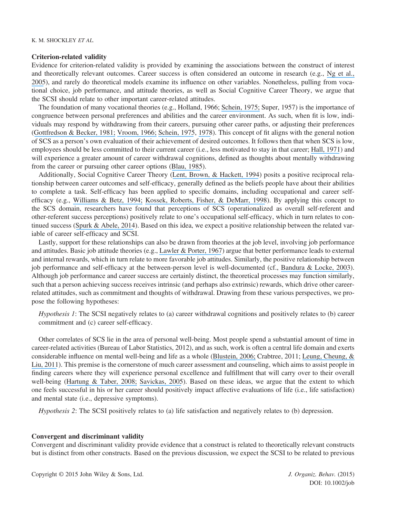#### Criterion-related validity

Evidence for criterion-related validity is provided by examining the associations between the construct of interest and theoretically relevant outcomes. Career success is often considered an outcome in research (e.g., [Ng et al.,](https://www.researchgate.net/publication/227614669_Predictors_of_Objective_and_Subjective_Career_Success_A_Meta-Analysis?el=1_x_8&enrichId=rgreq-bc4e09687039d8304f767b826621625b-XXX&enrichSource=Y292ZXJQYWdlOzI4MDk3NDIyODtBUzoyNzY4ODMyMTczNzExMzhAMTQ0MzAyNTUxMTcxMw==) [2005](https://www.researchgate.net/publication/227614669_Predictors_of_Objective_and_Subjective_Career_Success_A_Meta-Analysis?el=1_x_8&enrichId=rgreq-bc4e09687039d8304f767b826621625b-XXX&enrichSource=Y292ZXJQYWdlOzI4MDk3NDIyODtBUzoyNzY4ODMyMTczNzExMzhAMTQ0MzAyNTUxMTcxMw==)), and rarely do theoretical models examine its influence on other variables. Nonetheless, pulling from vocational choice, job performance, and attitude theories, as well as Social Cognitive Career Theory, we argue that the SCSI should relate to other important career-related attitudes.

The foundation of many vocational theories (e.g., Holland, 1966; [Schein, 1975;](https://www.researchgate.net/publication/279702506_How_Career_Anchors_Hold_Executives_to_Their_Career_Paths?el=1_x_8&enrichId=rgreq-bc4e09687039d8304f767b826621625b-XXX&enrichSource=Y292ZXJQYWdlOzI4MDk3NDIyODtBUzoyNzY4ODMyMTczNzExMzhAMTQ0MzAyNTUxMTcxMw==) Super, 1957) is the importance of congruence between personal preferences and abilities and the career environment. As such, when fit is low, individuals may respond by withdrawing from their careers, pursuing other career paths, or adjusting their preferences ([Gottfredson & Becker, 1981;](https://www.researchgate.net/publication/222437940_A_challenge_to_vocational_psychology_How_important_are_aspirations_in_determining_male_career_development?el=1_x_8&enrichId=rgreq-bc4e09687039d8304f767b826621625b-XXX&enrichSource=Y292ZXJQYWdlOzI4MDk3NDIyODtBUzoyNzY4ODMyMTczNzExMzhAMTQ0MzAyNTUxMTcxMw==) [Vroom, 1966;](https://www.researchgate.net/publication/222780784_Organizational_choice_A_study_of_pre-and_postdecision_processes?el=1_x_8&enrichId=rgreq-bc4e09687039d8304f767b826621625b-XXX&enrichSource=Y292ZXJQYWdlOzI4MDk3NDIyODtBUzoyNzY4ODMyMTczNzExMzhAMTQ0MzAyNTUxMTcxMw==) [Schein, 1975](https://www.researchgate.net/publication/279702506_How_Career_Anchors_Hold_Executives_to_Their_Career_Paths?el=1_x_8&enrichId=rgreq-bc4e09687039d8304f767b826621625b-XXX&enrichSource=Y292ZXJQYWdlOzI4MDk3NDIyODtBUzoyNzY4ODMyMTczNzExMzhAMTQ0MzAyNTUxMTcxMw==), [1978](https://www.researchgate.net/publication/242483653_Career_Dynamics_Matching_Individual_and_Organizational_Needs?el=1_x_8&enrichId=rgreq-bc4e09687039d8304f767b826621625b-XXX&enrichSource=Y292ZXJQYWdlOzI4MDk3NDIyODtBUzoyNzY4ODMyMTczNzExMzhAMTQ0MzAyNTUxMTcxMw==)). This concept of fit aligns with the general notion of SCS as a person's own evaluation of their achievement of desired outcomes. It follows then that when SCS is low, employees should be less committed to their current career (i.e., less motivated to stay in that career; [Hall, 1971](https://www.researchgate.net/publication/200824301_A_Theoretical_Model_of_Career_Sub-identity_Development_in_Organizational_Settings?el=1_x_8&enrichId=rgreq-bc4e09687039d8304f767b826621625b-XXX&enrichSource=Y292ZXJQYWdlOzI4MDk3NDIyODtBUzoyNzY4ODMyMTczNzExMzhAMTQ0MzAyNTUxMTcxMw==)) and will experience a greater amount of career withdrawal cognitions, defined as thoughts about mentally withdrawing from the career or pursuing other career options ([Blau, 1985](https://www.researchgate.net/publication/264471848_The_measurement_and_prediction_of_career_commitment?el=1_x_8&enrichId=rgreq-bc4e09687039d8304f767b826621625b-XXX&enrichSource=Y292ZXJQYWdlOzI4MDk3NDIyODtBUzoyNzY4ODMyMTczNzExMzhAMTQ0MzAyNTUxMTcxMw==)).

Additionally, Social Cognitive Career Theory ([Lent, Brown, & Hackett, 1994](https://www.researchgate.net/publication/230557657_Toward_a_Unifying_Social_Cognitive_Theory_of_Career_and_Academic_Interest_Choice_and_Performance?el=1_x_8&enrichId=rgreq-bc4e09687039d8304f767b826621625b-XXX&enrichSource=Y292ZXJQYWdlOzI4MDk3NDIyODtBUzoyNzY4ODMyMTczNzExMzhAMTQ0MzAyNTUxMTcxMw==)) posits a positive reciprocal relationship between career outcomes and self-efficacy, generally defined as the beliefs people have about their abilities to complete a task. Self-efficacy has been applied to specific domains, including occupational and career selfefficacy (e.g., [Williams & Betz, 1994;](https://www.researchgate.net/publication/235726193_The_Relationships_Among_Occupational_and_Task-Specific_Measures_of_Career_Self-Efficacy?el=1_x_8&enrichId=rgreq-bc4e09687039d8304f767b826621625b-XXX&enrichSource=Y292ZXJQYWdlOzI4MDk3NDIyODtBUzoyNzY4ODMyMTczNzExMzhAMTQ0MzAyNTUxMTcxMw==) [Kossek, Roberts, Fisher, & DeMarr, 1998](https://www.researchgate.net/publication/227656646_Career_self-management_A_quasi-experimental_assessment_of_the_effects_of_a_training_intervention?el=1_x_8&enrichId=rgreq-bc4e09687039d8304f767b826621625b-XXX&enrichSource=Y292ZXJQYWdlOzI4MDk3NDIyODtBUzoyNzY4ODMyMTczNzExMzhAMTQ0MzAyNTUxMTcxMw==)). By applying this concept to the SCS domain, researchers have found that perceptions of SCS (operationalized as overall self-referent and other-referent success perceptions) positively relate to one's occupational self-efficacy, which in turn relates to con-tinued success ([Spurk & Abele, 2014](https://www.researchgate.net/publication/259503785_Synchronous_and_Time-Lagged_Effects_between_Occupational_Self-Efficacy_and_Objective_and_Subjective_Career_Success_Findings_from_a_Four-Wave_and_9-Year_Longitudinal_Study?el=1_x_8&enrichId=rgreq-bc4e09687039d8304f767b826621625b-XXX&enrichSource=Y292ZXJQYWdlOzI4MDk3NDIyODtBUzoyNzY4ODMyMTczNzExMzhAMTQ0MzAyNTUxMTcxMw==)). Based on this idea, we expect a positive relationship between the related variable of career self-efficacy and SCSI.

Lastly, support for these relationships can also be drawn from theories at the job level, involving job performance and attitudes. Basic job attitude theories (e.g., [Lawler & Porter, 1967](https://www.researchgate.net/publication/229441537_The_Effect_of_Performance_on_Job_Satisfaction?el=1_x_8&enrichId=rgreq-bc4e09687039d8304f767b826621625b-XXX&enrichSource=Y292ZXJQYWdlOzI4MDk3NDIyODtBUzoyNzY4ODMyMTczNzExMzhAMTQ0MzAyNTUxMTcxMw==)) argue that better performance leads to external and internal rewards, which in turn relate to more favorable job attitudes. Similarly, the positive relationship between job performance and self-efficacy at the between-person level is well-documented (cf., [Bandura & Locke, 2003](https://www.researchgate.net/publication/10822958_Negative_Self-Efficacy_and_Goal_Effects_Revisited?el=1_x_8&enrichId=rgreq-bc4e09687039d8304f767b826621625b-XXX&enrichSource=Y292ZXJQYWdlOzI4MDk3NDIyODtBUzoyNzY4ODMyMTczNzExMzhAMTQ0MzAyNTUxMTcxMw==)). Although job performance and career success are certainly distinct, the theoretical processes may function similarly, such that a person achieving success receives intrinsic (and perhaps also extrinsic) rewards, which drive other careerrelated attitudes, such as commitment and thoughts of withdrawal. Drawing from these various perspectives, we propose the following hypotheses:

Hypothesis 1: The SCSI negatively relates to (a) career withdrawal cognitions and positively relates to (b) career commitment and (c) career self-efficacy.

Other correlates of SCS lie in the area of personal well-being. Most people spend a substantial amount of time in career-related activities (Bureau of Labor Statistics, 2012), and as such, work is often a central life domain and exerts considerable influence on mental well-being and life as a whole ([Blustein, 2006;](https://www.researchgate.net/publication/288091426_The_psychology_of_working_A_new_perspective_for_career_development_counseling_and_public_policy?el=1_x_8&enrichId=rgreq-bc4e09687039d8304f767b826621625b-XXX&enrichSource=Y292ZXJQYWdlOzI4MDk3NDIyODtBUzoyNzY4ODMyMTczNzExMzhAMTQ0MzAyNTUxMTcxMw==) Crabtree, 2011; [Leung, Cheung, &](https://www.researchgate.net/publication/238599149_The_relations_between_life_domain_satisfaction_and_subjective_well-being?el=1_x_8&enrichId=rgreq-bc4e09687039d8304f767b826621625b-XXX&enrichSource=Y292ZXJQYWdlOzI4MDk3NDIyODtBUzoyNzY4ODMyMTczNzExMzhAMTQ0MzAyNTUxMTcxMw==) [Liu, 2011](https://www.researchgate.net/publication/238599149_The_relations_between_life_domain_satisfaction_and_subjective_well-being?el=1_x_8&enrichId=rgreq-bc4e09687039d8304f767b826621625b-XXX&enrichSource=Y292ZXJQYWdlOzI4MDk3NDIyODtBUzoyNzY4ODMyMTczNzExMzhAMTQ0MzAyNTUxMTcxMw==)). This premise is the cornerstone of much career assessment and counseling, which aims to assist people in finding careers where they will experience personal excellence and fulfillment that will carry over to their overall well-being ([Hartung & Taber, 2008;](https://www.researchgate.net/publication/247729146_Career_Construction_and_Subjective_Well-Being?el=1_x_8&enrichId=rgreq-bc4e09687039d8304f767b826621625b-XXX&enrichSource=Y292ZXJQYWdlOzI4MDk3NDIyODtBUzoyNzY4ODMyMTczNzExMzhAMTQ0MzAyNTUxMTcxMw==) [Savickas, 2005](https://www.researchgate.net/publication/238352276_Career_construction_theory_and_practice?el=1_x_8&enrichId=rgreq-bc4e09687039d8304f767b826621625b-XXX&enrichSource=Y292ZXJQYWdlOzI4MDk3NDIyODtBUzoyNzY4ODMyMTczNzExMzhAMTQ0MzAyNTUxMTcxMw==)). Based on these ideas, we argue that the extent to which one feels successful in his or her career should positively impact affective evaluations of life (i.e., life satisfaction) and mental state (i.e., depressive symptoms).

Hypothesis 2: The SCSI positively relates to (a) life satisfaction and negatively relates to (b) depression.

#### Convergent and discriminant validity

Convergent and discriminant validity provide evidence that a construct is related to theoretically relevant constructs but is distinct from other constructs. Based on the previous discussion, we expect the SCSI to be related to previous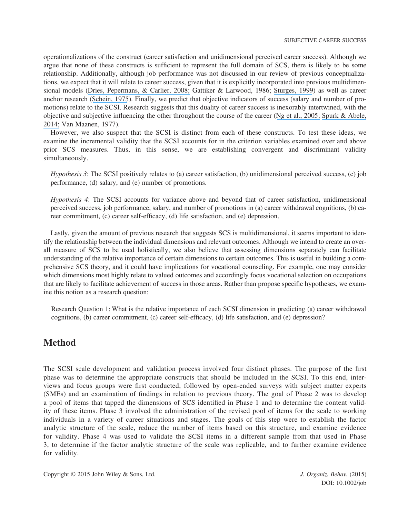operationalizations of the construct (career satisfaction and unidimensional perceived career success). Although we argue that none of these constructs is sufficient to represent the full domain of SCS, there is likely to be some relationship. Additionally, although job performance was not discussed in our review of previous conceptualizations, we expect that it will relate to career success, given that it is explicitly incorporated into previous multidimensional models ([Dries, Pepermans, & Carlier, 2008;](https://www.researchgate.net/publication/222415442_Career_success_Constructing_a_multidimensional_model?el=1_x_8&enrichId=rgreq-bc4e09687039d8304f767b826621625b-XXX&enrichSource=Y292ZXJQYWdlOzI4MDk3NDIyODtBUzoyNzY4ODMyMTczNzExMzhAMTQ0MzAyNTUxMTcxMw==) Gattiker & Larwood, 1986; [Sturges, 1999](https://www.researchgate.net/publication/227768432_What_It_Means_To_Succeed_Personal_Conceptions_of_Career_Success_Held_by_Male_and_Female_Managers_at_Different_Ages?el=1_x_8&enrichId=rgreq-bc4e09687039d8304f767b826621625b-XXX&enrichSource=Y292ZXJQYWdlOzI4MDk3NDIyODtBUzoyNzY4ODMyMTczNzExMzhAMTQ0MzAyNTUxMTcxMw==)) as well as career anchor research ([Schein, 1975](https://www.researchgate.net/publication/279702506_How_Career_Anchors_Hold_Executives_to_Their_Career_Paths?el=1_x_8&enrichId=rgreq-bc4e09687039d8304f767b826621625b-XXX&enrichSource=Y292ZXJQYWdlOzI4MDk3NDIyODtBUzoyNzY4ODMyMTczNzExMzhAMTQ0MzAyNTUxMTcxMw==)). Finally, we predict that objective indicators of success (salary and number of promotions) relate to the SCSI. Research suggests that this duality of career success is inexorably intertwined, with the objective and subjective influencing the other throughout the course of the career ([Ng et al., 2005;](https://www.researchgate.net/publication/227614669_Predictors_of_Objective_and_Subjective_Career_Success_A_Meta-Analysis?el=1_x_8&enrichId=rgreq-bc4e09687039d8304f767b826621625b-XXX&enrichSource=Y292ZXJQYWdlOzI4MDk3NDIyODtBUzoyNzY4ODMyMTczNzExMzhAMTQ0MzAyNTUxMTcxMw==) [Spurk & Abele,](https://www.researchgate.net/publication/259503785_Synchronous_and_Time-Lagged_Effects_between_Occupational_Self-Efficacy_and_Objective_and_Subjective_Career_Success_Findings_from_a_Four-Wave_and_9-Year_Longitudinal_Study?el=1_x_8&enrichId=rgreq-bc4e09687039d8304f767b826621625b-XXX&enrichSource=Y292ZXJQYWdlOzI4MDk3NDIyODtBUzoyNzY4ODMyMTczNzExMzhAMTQ0MzAyNTUxMTcxMw==) [2014;](https://www.researchgate.net/publication/259503785_Synchronous_and_Time-Lagged_Effects_between_Occupational_Self-Efficacy_and_Objective_and_Subjective_Career_Success_Findings_from_a_Four-Wave_and_9-Year_Longitudinal_Study?el=1_x_8&enrichId=rgreq-bc4e09687039d8304f767b826621625b-XXX&enrichSource=Y292ZXJQYWdlOzI4MDk3NDIyODtBUzoyNzY4ODMyMTczNzExMzhAMTQ0MzAyNTUxMTcxMw==) Van Maanen, 1977).

However, we also suspect that the SCSI is distinct from each of these constructs. To test these ideas, we examine the incremental validity that the SCSI accounts for in the criterion variables examined over and above prior SCS measures. Thus, in this sense, we are establishing convergent and discriminant validity simultaneously.

Hypothesis 3: The SCSI positively relates to (a) career satisfaction, (b) unidimensional perceived success, (c) job performance, (d) salary, and (e) number of promotions.

Hypothesis 4: The SCSI accounts for variance above and beyond that of career satisfaction, unidimensional perceived success, job performance, salary, and number of promotions in (a) career withdrawal cognitions, (b) career commitment, (c) career self-efficacy, (d) life satisfaction, and (e) depression.

Lastly, given the amount of previous research that suggests SCS is multidimensional, it seems important to identify the relationship between the individual dimensions and relevant outcomes. Although we intend to create an overall measure of SCS to be used holistically, we also believe that assessing dimensions separately can facilitate understanding of the relative importance of certain dimensions to certain outcomes. This is useful in building a comprehensive SCS theory, and it could have implications for vocational counseling. For example, one may consider which dimensions most highly relate to valued outcomes and accordingly focus vocational selection on occupations that are likely to facilitate achievement of success in those areas. Rather than propose specific hypotheses, we examine this notion as a research question:

Research Question 1: What is the relative importance of each SCSI dimension in predicting (a) career withdrawal cognitions, (b) career commitment, (c) career self-efficacy, (d) life satisfaction, and (e) depression?

# Method

The SCSI scale development and validation process involved four distinct phases. The purpose of the first phase was to determine the appropriate constructs that should be included in the SCSI. To this end, interviews and focus groups were first conducted, followed by open-ended surveys with subject matter experts (SMEs) and an examination of findings in relation to previous theory. The goal of Phase 2 was to develop a pool of items that tapped the dimensions of SCS identified in Phase 1 and to determine the content validity of these items. Phase 3 involved the administration of the revised pool of items for the scale to working individuals in a variety of career situations and stages. The goals of this step were to establish the factor analytic structure of the scale, reduce the number of items based on this structure, and examine evidence for validity. Phase 4 was used to validate the SCSI items in a different sample from that used in Phase 3, to determine if the factor analytic structure of the scale was replicable, and to further examine evidence for validity.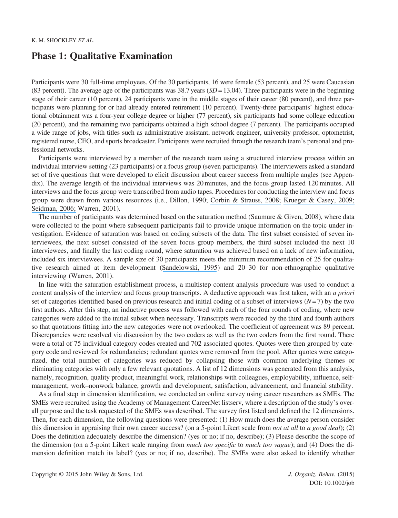### Phase 1: Qualitative Examination

Participants were 30 full-time employees. Of the 30 participants, 16 were female (53 percent), and 25 were Caucasian (83 percent). The average age of the participants was  $38.7$  years ( $SD = 13.04$ ). Three participants were in the beginning stage of their career (10 percent), 24 participants were in the middle stages of their career (80 percent), and three participants were planning for or had already entered retirement (10 percent). Twenty-three participants' highest educational obtainment was a four-year college degree or higher (77 percent), six participants had some college education (20 percent), and the remaining two participants obtained a high school degree (7 percent). The participants occupied a wide range of jobs, with titles such as administrative assistant, network engineer, university professor, optometrist, registered nurse, CEO, and sports broadcaster. Participants were recruited through the research team's personal and professional networks.

Participants were interviewed by a member of the research team using a structured interview process within an individual interview setting (23 participants) or a focus group (seven participants). The interviewers asked a standard set of five questions that were developed to elicit discussion about career success from multiple angles (see Appendix). The average length of the individual interviews was 20 minutes, and the focus group lasted 120 minutes. All interviews and the focus group were transcribed from audio tapes. Procedures for conducting the interview and focus group were drawn from various resources (i.e., Dillon, 1990; [Corbin & Strauss, 2008;](https://www.researchgate.net/publication/44828585_Basics_Of_Qualitative_Research_Techniques_And_Procedures_For_Developing_Grounded_Theory?el=1_x_8&enrichId=rgreq-bc4e09687039d8304f767b826621625b-XXX&enrichSource=Y292ZXJQYWdlOzI4MDk3NDIyODtBUzoyNzY4ODMyMTczNzExMzhAMTQ0MzAyNTUxMTcxMw==) [Krueger & Casey, 2009;](https://www.researchgate.net/publication/259254149_Focus_Groups_A_Practial_Guide_for_Applied_Research?el=1_x_8&enrichId=rgreq-bc4e09687039d8304f767b826621625b-XXX&enrichSource=Y292ZXJQYWdlOzI4MDk3NDIyODtBUzoyNzY4ODMyMTczNzExMzhAMTQ0MzAyNTUxMTcxMw==) [Seidman, 2006;](https://www.researchgate.net/publication/31697899_Interviewing_As_Qualitative_Research_A_Guide_for_Researchers_in_Education_and_the_Social_Sciences?el=1_x_8&enrichId=rgreq-bc4e09687039d8304f767b826621625b-XXX&enrichSource=Y292ZXJQYWdlOzI4MDk3NDIyODtBUzoyNzY4ODMyMTczNzExMzhAMTQ0MzAyNTUxMTcxMw==) Warren, 2001).

The number of participants was determined based on the saturation method (Saumure & Given, 2008), where data were collected to the point where subsequent participants fail to provide unique information on the topic under investigation. Evidence of saturation was based on coding subsets of the data. The first subset consisted of seven interviewees, the next subset consisted of the seven focus group members, the third subset included the next 10 interviewees, and finally the last coding round, where saturation was achieved based on a lack of new information, included six interviewees. A sample size of 30 participants meets the minimum recommendation of 25 for qualitative research aimed at item development ([Sandelowski, 1995](https://www.researchgate.net/publication/15298804_Sample_Size_in_Qualitative_Research?el=1_x_8&enrichId=rgreq-bc4e09687039d8304f767b826621625b-XXX&enrichSource=Y292ZXJQYWdlOzI4MDk3NDIyODtBUzoyNzY4ODMyMTczNzExMzhAMTQ0MzAyNTUxMTcxMw==)) and 20–30 for non-ethnographic qualitative interviewing (Warren, 2001).

In line with the saturation establishment process, a multistep content analysis procedure was used to conduct a content analysis of the interview and focus group transcripts. A deductive approach was first taken, with an a priori set of categories identified based on previous research and initial coding of a subset of interviews  $(N=7)$  by the two first authors. After this step, an inductive process was followed with each of the four rounds of coding, where new categories were added to the initial subset when necessary. Transcripts were recoded by the third and fourth authors so that quotations fitting into the new categories were not overlooked. The coefficient of agreement was 89 percent. Discrepancies were resolved via discussion by the two coders as well as the two coders from the first round. There were a total of 75 individual category codes created and 702 associated quotes. Quotes were then grouped by category code and reviewed for redundancies; redundant quotes were removed from the pool. After quotes were categorized, the total number of categories was reduced by collapsing those with common underlying themes or eliminating categories with only a few relevant quotations. A list of 12 dimensions was generated from this analysis, namely, recognition, quality product, meaningful work, relationships with colleagues, employability, influence, selfmanagement, work–nonwork balance, growth and development, satisfaction, advancement, and financial stability.

As a final step in dimension identification, we conducted an online survey using career researchers as SMEs. The SMEs were recruited using the Academy of Management CareerNet listserv, where a description of the study's overall purpose and the task requested of the SMEs was described. The survey first listed and defined the 12 dimensions. Then, for each dimension, the following questions were presented: (1) How much does the average person consider this dimension in appraising their own career success? (on a 5-point Likert scale from *not at all* to a good deal); (2) Does the definition adequately describe the dimension? (yes or no; if no, describe); (3) Please describe the scope of the dimension (on a 5-point Likert scale ranging from *much too specific* to *much too vague*); and (4) Does the dimension definition match its label? (yes or no; if no, describe). The SMEs were also asked to identify whether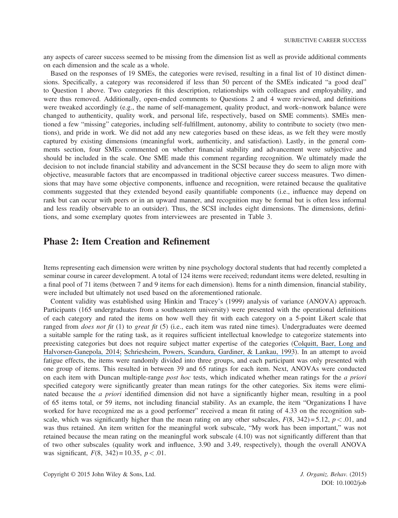any aspects of career success seemed to be missing from the dimension list as well as provide additional comments on each dimension and the scale as a whole.

Based on the responses of 19 SMEs, the categories were revised, resulting in a final list of 10 distinct dimensions. Specifically, a category was reconsidered if less than 50 percent of the SMEs indicated "a good deal" to Question 1 above. Two categories fit this description, relationships with colleagues and employability, and were thus removed. Additionally, open-ended comments to Questions 2 and 4 were reviewed, and definitions were tweaked accordingly (e.g., the name of self-management, quality product, and work–nonwork balance were changed to authenticity, quality work, and personal life, respectively, based on SME comments). SMEs mentioned a few "missing" categories, including self-fulfillment, autonomy, ability to contribute to society (two mentions), and pride in work. We did not add any new categories based on these ideas, as we felt they were mostly captured by existing dimensions (meaningful work, authenticity, and satisfaction). Lastly, in the general comments section, four SMEs commented on whether financial stability and advancement were subjective and should be included in the scale. One SME made this comment regarding recognition. We ultimately made the decision to not include financial stability and advancement in the SCSI because they do seem to align more with objective, measurable factors that are encompassed in traditional objective career success measures. Two dimensions that may have some objective components, influence and recognition, were retained because the qualitative comments suggested that they extended beyond easily quantifiable components (i.e., influence may depend on rank but can occur with peers or in an upward manner, and recognition may be formal but is often less informal and less readily observable to an outsider). Thus, the SCSI includes eight dimensions. The dimensions, definitions, and some exemplary quotes from interviewees are presented in Table 3.

### Phase 2: Item Creation and Refinement

Items representing each dimension were written by nine psychology doctoral students that had recently completed a seminar course in career development. A total of 124 items were received; redundant items were deleted, resulting in a final pool of 71 items (between 7 and 9 items for each dimension). Items for a ninth dimension, financial stability, were included but ultimately not used based on the aforementioned rationale.

Content validity was established using Hinkin and Tracey's (1999) analysis of variance (ANOVA) approach. Participants (165 undergraduates from a southeastern university) were presented with the operational definitions of each category and rated the items on how well they fit with each category on a 5-point Likert scale that ranged from *does not fit* (1) to great fit (5) (i.e., each item was rated nine times). Undergraduates were deemed a suitable sample for the rating task, as it requires sufficient intellectual knowledge to categorize statements into preexisting categories but does not require subject matter expertise of the categories ([Colquitt, Baer, Long and](https://www.researchgate.net/publication/261441673_Scale_Indicators_of_Social_Exchange_Relationships_A_Comparison_of_Relative_Content_Validity?el=1_x_8&enrichId=rgreq-bc4e09687039d8304f767b826621625b-XXX&enrichSource=Y292ZXJQYWdlOzI4MDk3NDIyODtBUzoyNzY4ODMyMTczNzExMzhAMTQ0MzAyNTUxMTcxMw==) [Halvorsen-Ganepola, 2014;](https://www.researchgate.net/publication/261441673_Scale_Indicators_of_Social_Exchange_Relationships_A_Comparison_of_Relative_Content_Validity?el=1_x_8&enrichId=rgreq-bc4e09687039d8304f767b826621625b-XXX&enrichSource=Y292ZXJQYWdlOzI4MDk3NDIyODtBUzoyNzY4ODMyMTczNzExMzhAMTQ0MzAyNTUxMTcxMw==) [Schriesheim, Powers, Scandura, Gardiner, & Lankau, 1993](https://www.researchgate.net/publication/234021875_Improving_Construct_Measurement_In_Management_Research_Comments_and_a_Quantitative_Approach_for_Assessing_the_Theoretical_Content_Adequacy_of_Paper-and-Pencil_Survey-Type_Instruments?el=1_x_8&enrichId=rgreq-bc4e09687039d8304f767b826621625b-XXX&enrichSource=Y292ZXJQYWdlOzI4MDk3NDIyODtBUzoyNzY4ODMyMTczNzExMzhAMTQ0MzAyNTUxMTcxMw==)). In an attempt to avoid fatigue effects, the items were randomly divided into three groups, and each participant was only presented with one group of items. This resulted in between 39 and 65 ratings for each item. Next, ANOVAs were conducted on each item with Duncan multiple-range post hoc tests, which indicated whether mean ratings for the a priori specified category were significantly greater than mean ratings for the other categories. Six items were eliminated because the a priori identified dimension did not have a significantly higher mean, resulting in a pool of 65 items total, or 59 items, not including financial stability. As an example, the item "Organizations I have worked for have recognized me as a good performer" received a mean fit rating of 4.33 on the recognition subscale, which was significantly higher than the mean rating on any other subscales,  $F(8, 342) = 5.12$ ,  $p < .01$ , and was thus retained. An item written for the meaningful work subscale, "My work has been important," was not retained because the mean rating on the meaningful work subscale (4.10) was not significantly different than that of two other subscales (quality work and influence, 3.90 and 3.49, respectively), though the overall ANOVA was significant,  $F(8, 342) = 10.35, p < .01$ .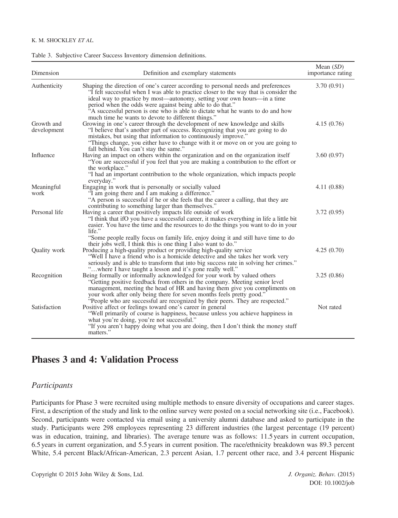| Dimension                 | Definition and exemplary statements                                                                                                                                                                                                                                                                                                                                                                                  | Mean $(SD)$<br>importance rating |
|---------------------------|----------------------------------------------------------------------------------------------------------------------------------------------------------------------------------------------------------------------------------------------------------------------------------------------------------------------------------------------------------------------------------------------------------------------|----------------------------------|
| Authenticity              | Shaping the direction of one's career according to personal needs and preferences<br>"I felt successful when I was able to practice closer to the way that is consider the<br>ideal way to practice by most—autonomy, setting your own hours—in a time<br>period when the odds were against being able to do that."<br>"A successful person is one who is able to dictate what he wants to do and how                | 3.70(0.91)                       |
| Growth and<br>development | much time he wants to devote to different things."<br>Growing in one's career through the development of new knowledge and skills<br>"I believe that's another part of success. Recognizing that you are going to do<br>mistakes, but using that information to continuously improve."<br>"Things change, you either have to change with it or move on or you are going to<br>fall behind. You can't stay the same." | 4.15(0.76)                       |
| Influence                 | Having an impact on others within the organization and on the organization itself<br>"You are successful if you feel that you are making a contribution to the effort or<br>the workplace."<br>"I had an important contribution to the whole organization, which impacts people<br>everyday."                                                                                                                        | 3.60(0.97)                       |
| Meaningful<br>work        | Engaging in work that is personally or socially valued<br>"I am going there and I am making a difference."<br>"A person is successful if he or she feels that the career a calling, that they are<br>contributing to something larger than themselves."                                                                                                                                                              | 4.11(0.88)                       |
| Personal life             | Having a career that positively impacts life outside of work<br>"I think that if O you have a successful career, it makes everything in life a little bit<br>easier. You have the time and the resources to do the things you want to do in your<br>life."<br>"Some people really focus on family life, enjoy doing it and still have time to do<br>their jobs well, I think this is one thing I also want to do."   | 3.72(0.95)                       |
| Quality work              | Producing a high-quality product or providing high-quality service<br>"Well I have a friend who is a homicide detective and she takes her work very<br>seriously and is able to transform that into big success rate in solving her crimes."<br>"where I have taught a lesson and it's gone really well."                                                                                                            | 4.25(0.70)                       |
| Recognition               | Being formally or informally acknowledged for your work by valued others<br>"Getting positive feedback from others in the company. Meeting senior level<br>management, meeting the head of HR and having them give you compliments on<br>your work after only being there for seven months feels pretty good."<br>"People who are successful are recognized by their peers. They are respected."                     | 3.25(0.86)                       |
| Satisfaction              | Positive affect or feelings toward one's career in general<br>"Well primarily of course is happiness, because unless you achieve happiness in<br>what you're doing, you're not successful."<br>"If you aren't happy doing what you are doing, then I don't think the money stuff<br>matters."                                                                                                                        | Not rated                        |

## Phases 3 and 4: Validation Process

### Participants

Participants for Phase 3 were recruited using multiple methods to ensure diversity of occupations and career stages. First, a description of the study and link to the online survey were posted on a social networking site (i.e., Facebook). Second, participants were contacted via email using a university alumni database and asked to participate in the study. Participants were 298 employees representing 23 different industries (the largest percentage (19 percent) was in education, training, and libraries). The average tenure was as follows: 11.5 years in current occupation, 6.5 years in current organization, and 5.5 years in current position. The race/ethnicity breakdown was 89.3 percent White, 5.4 percent Black/African-American, 2.3 percent Asian, 1.7 percent other race, and 3.4 percent Hispanic

Copyright © 2015 John Wiley & Sons, Ltd. J. Organiz. Behav. (2015)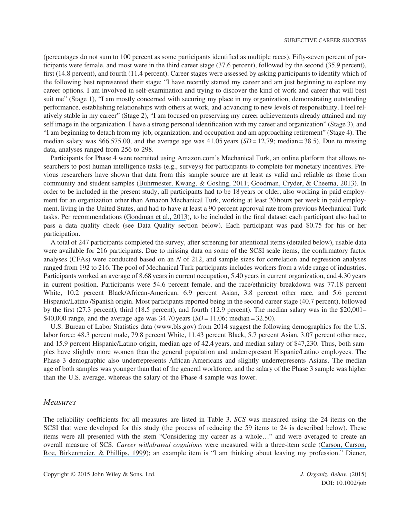(percentages do not sum to 100 percent as some participants identified as multiple races). Fifty-seven percent of participants were female, and most were in the third career stage (37.6 percent), followed by the second (35.9 percent), first (14.8 percent), and fourth (11.4 percent). Career stages were assessed by asking participants to identify which of the following best represented their stage: "I have recently started my career and am just beginning to explore my career options. I am involved in self-examination and trying to discover the kind of work and career that will best suit me" (Stage 1), "I am mostly concerned with securing my place in my organization, demonstrating outstanding performance, establishing relationships with others at work, and advancing to new levels of responsibility. I feel relatively stable in my career" (Stage 2), "I am focused on preserving my career achievements already attained and my self image in the organization. I have a strong personal identification with my career and organization" (Stage 3), and "I am beginning to detach from my job, organization, and occupation and am approaching retirement" (Stage 4). The median salary was \$66,575.00, and the average age was  $41.05$  years  $(SD = 12.79)$ ; median = 38.5). Due to missing data, analyses ranged from 256 to 298.

Participants for Phase 4 were recruited using Amazon.com's Mechanical Turk, an online platform that allows researchers to post human intelligence tasks (e.g., surveys) for participants to complete for monetary incentives. Previous researchers have shown that data from this sample source are at least as valid and reliable as those from community and student samples ([Buhrmester, Kwang, & Gosling, 2011;](https://www.researchgate.net/publication/228079510_Amazon) [Goodman, Cryder, & Cheema, 2013](https://www.researchgate.net/publication/255950088_Data_Collection_in_a_Flat_World_The_Strengths_and_Weaknesses_of_Mechanical_Turk_Samples?el=1_x_8&enrichId=rgreq-bc4e09687039d8304f767b826621625b-XXX&enrichSource=Y292ZXJQYWdlOzI4MDk3NDIyODtBUzoyNzY4ODMyMTczNzExMzhAMTQ0MzAyNTUxMTcxMw==)). In order to be included in the present study, all participants had to be 18 years or older, also working in paid employment for an organization other than Amazon Mechanical Turk, working at least 20 hours per week in paid employment, living in the United States, and had to have at least a 90 percent approval rate from previous Mechanical Turk tasks. Per recommendations ([Goodman et al., 2013](https://www.researchgate.net/publication/255950088_Data_Collection_in_a_Flat_World_The_Strengths_and_Weaknesses_of_Mechanical_Turk_Samples?el=1_x_8&enrichId=rgreq-bc4e09687039d8304f767b826621625b-XXX&enrichSource=Y292ZXJQYWdlOzI4MDk3NDIyODtBUzoyNzY4ODMyMTczNzExMzhAMTQ0MzAyNTUxMTcxMw==)), to be included in the final dataset each participant also had to pass a data quality check (see Data Quality section below). Each participant was paid \$0.75 for his or her participation.

A total of 247 participants completed the survey, after screening for attentional items (detailed below), usable data were available for 216 participants. Due to missing data on some of the SCSI scale items, the confirmatory factor analyses (CFAs) were conducted based on an  $N$  of 212, and sample sizes for correlation and regression analyses ranged from 192 to 216. The pool of Mechanical Turk participants includes workers from a wide range of industries. Participants worked an average of 8.68 years in current occupation, 5.40 years in current organization, and 4.30 years in current position. Participants were 54.6 percent female, and the race/ethnicity breakdown was 77.18 percent White, 10.2 percent Black/African-American, 6.9 percent Asian, 3.8 percent other race, and 5.6 percent Hispanic/Latino /Spanish origin. Most participants reported being in the second career stage (40.7 percent), followed by the first (27.3 percent), third (18.5 percent), and fourth (12.9 percent). The median salary was in the \$20,001– \$40,000 range, and the average age was  $34.70$  years (SD = 11.06; median = 32.50).

U.S. Bureau of Labor Statistics data ([www.bls.gov](http://www.bls.gov)) from 2014 suggest the following demographics for the U.S. labor force: 48.3 percent male, 79.8 percent White, 11.43 percent Black, 5.7 percent Asian, 3.07 percent other race, and 15.9 percent Hispanic/Latino origin, median age of 42.4 years, and median salary of \$47,230. Thus, both samples have slightly more women than the general population and underrepresent Hispanic/Latino employees. The Phase 3 demographic also underrepresents African-Americans and slightly underrepresents Asians. The median age of both samples was younger than that of the general workforce, and the salary of the Phase 3 sample was higher than the U.S. average, whereas the salary of the Phase 4 sample was lower.

#### Measures

The reliability coefficients for all measures are listed in Table 3. SCS was measured using the 24 items on the SCSI that were developed for this study (the process of reducing the 59 items to 24 is described below). These items were all presented with the stem "Considering my career as a whole…" and were averaged to create an overall measure of SCS. Career withdrawal cognitions were measured with a three-item scale ([Carson, Carson,](https://www.researchgate.net/publication/287946379_Four_Commitment_Profiles_and_Their_Relationships_to_Empowerment_Service_Recovery_and_Work_Attitudes?el=1_x_8&enrichId=rgreq-bc4e09687039d8304f767b826621625b-XXX&enrichSource=Y292ZXJQYWdlOzI4MDk3NDIyODtBUzoyNzY4ODMyMTczNzExMzhAMTQ0MzAyNTUxMTcxMw==) [Roe, Birkenmeier, & Phillips, 1999](https://www.researchgate.net/publication/287946379_Four_Commitment_Profiles_and_Their_Relationships_to_Empowerment_Service_Recovery_and_Work_Attitudes?el=1_x_8&enrichId=rgreq-bc4e09687039d8304f767b826621625b-XXX&enrichSource=Y292ZXJQYWdlOzI4MDk3NDIyODtBUzoyNzY4ODMyMTczNzExMzhAMTQ0MzAyNTUxMTcxMw==)); an example item is "I am thinking about leaving my profession." Diener,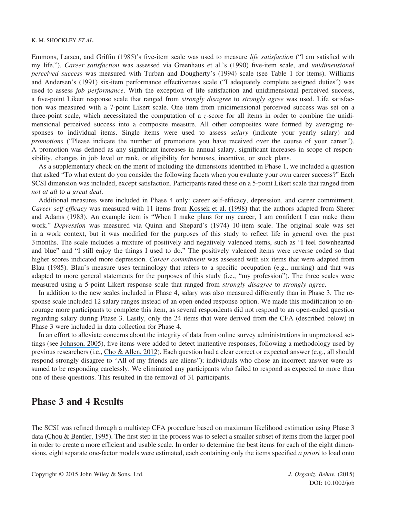Emmons, Larsen, and Griffin (1985)'s five-item scale was used to measure life satisfaction ("I am satisfied with my life."). Career satisfaction was assessed via Greenhaus et al.'s (1990) five-item scale, and *unidimensional* perceived success was measured with Turban and Dougherty's (1994) scale (see Table 1 for items). Williams and Andersen's (1991) six-item performance effectiveness scale ("I adequately complete assigned duties") was used to assess job performance. With the exception of life satisfaction and unidimensional perceived success, a five-point Likert response scale that ranged from *strongly disagree* to *strongly agree* was used. Life satisfaction was measured with a 7-point Likert scale. One item from unidimensional perceived success was set on a three-point scale, which necessitated the computation of a z-score for all items in order to combine the unidimensional perceived success into a composite measure. All other composites were formed by averaging responses to individual items. Single items were used to assess *salary* (indicate your yearly salary) and promotions ("Please indicate the number of promotions you have received over the course of your career"). A promotion was defined as any significant increases in annual salary, significant increases in scope of responsibility, changes in job level or rank, or eligibility for bonuses, incentive, or stock plans.

As a supplementary check on the merit of including the dimensions identified in Phase 1, we included a question that asked "To what extent do you consider the following facets when you evaluate your own career success?" Each SCSI dimension was included, except satisfaction. Participants rated these on a 5-point Likert scale that ranged from not at all to a great deal.

Additional measures were included in Phase 4 only: career self-efficacy, depression, and career commitment. Career self-efficacy was measured with 11 items from [Kossek et al. \(1998\)](https://www.researchgate.net/publication/227656646_Career_self-management_A_quasi-experimental_assessment_of_the_effects_of_a_training_intervention?el=1_x_8&enrichId=rgreq-bc4e09687039d8304f767b826621625b-XXX&enrichSource=Y292ZXJQYWdlOzI4MDk3NDIyODtBUzoyNzY4ODMyMTczNzExMzhAMTQ0MzAyNTUxMTcxMw==) that the authors adapted from Sherer and Adams (1983). An example item is "When I make plans for my career, I am confident I can make them work." Depression was measured via Quinn and Shepard's (1974) 10-item scale. The original scale was set in a work context, but it was modified for the purposes of this study to reflect life in general over the past 3 months. The scale includes a mixture of positively and negatively valenced items, such as "I feel downhearted and blue" and "I still enjoy the things I used to do." The positively valenced items were reverse coded so that higher scores indicated more depression. Career commitment was assessed with six items that were adapted from Blau (1985). Blau's measure uses terminology that refers to a specific occupation (e.g., nursing) and that was adapted to more general statements for the purposes of this study (i.e., "my profession"). The three scales were measured using a 5-point Likert response scale that ranged from *strongly disagree* to *strongly agree*.

In addition to the new scales included in Phase 4, salary was also measured differently than in Phase 3. The response scale included 12 salary ranges instead of an open-ended response option. We made this modification to encourage more participants to complete this item, as several respondents did not respond to an open-ended question regarding salary during Phase 3. Lastly, only the 24 items that were derived from the CFA (described below) in Phase 3 were included in data collection for Phase 4.

In an effort to alleviate concerns about the integrity of data from online survey administrations in unproctored settings (see [Johnson, 2005](https://www.researchgate.net/publication/245503885_Ascertaining_the_validity_of_web-based_personality_inventories?el=1_x_8&enrichId=rgreq-bc4e09687039d8304f767b826621625b-XXX&enrichSource=Y292ZXJQYWdlOzI4MDk3NDIyODtBUzoyNzY4ODMyMTczNzExMzhAMTQ0MzAyNTUxMTcxMw==)), five items were added to detect inattentive responses, following a methodology used by previous researchers (i.e., [Cho & Allen, 2012](https://www.researchgate.net/publication/228079815_Relationship_between_work_interference_with_family_and_parent-child_interactive_behavior_Can_guilt_help?el=1_x_8&enrichId=rgreq-bc4e09687039d8304f767b826621625b-XXX&enrichSource=Y292ZXJQYWdlOzI4MDk3NDIyODtBUzoyNzY4ODMyMTczNzExMzhAMTQ0MzAyNTUxMTcxMw==)). Each question had a clear correct or expected answer (e.g., all should respond strongly disagree to "All of my friends are aliens"); individuals who chose an incorrect answer were assumed to be responding carelessly. We eliminated any participants who failed to respond as expected to more than one of these questions. This resulted in the removal of 31 participants.

### Phase 3 and 4 Results

The SCSI was refined through a multistep CFA procedure based on maximum likelihood estimation using Phase 3 data ([Chou & Bentler, 1995](https://www.researchgate.net/publication/289963030_Estimates_and_tests_in_structural_equation_modeling?el=1_x_8&enrichId=rgreq-bc4e09687039d8304f767b826621625b-XXX&enrichSource=Y292ZXJQYWdlOzI4MDk3NDIyODtBUzoyNzY4ODMyMTczNzExMzhAMTQ0MzAyNTUxMTcxMw==)). The first step in the process was to select a smaller subset of items from the larger pool in order to create a more efficient and usable scale. In order to determine the best items for each of the eight dimensions, eight separate one-factor models were estimated, each containing only the items specified a priori to load onto

Copyright © 2015 John Wiley & Sons, Ltd.  $J.$  Organiz. Behav. (2015)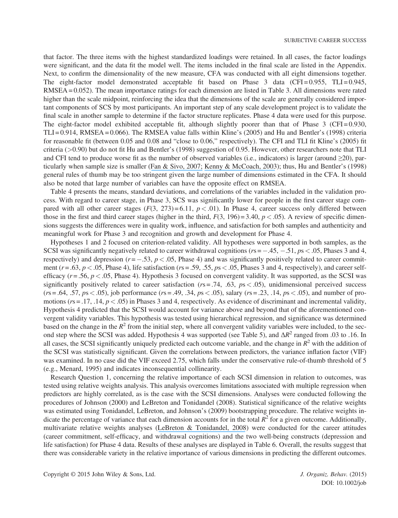that factor. The three items with the highest standardized loadings were retained. In all cases, the factor loadings were significant, and the data fit the model well. The items included in the final scale are listed in the Appendix. Next, to confirm the dimensionality of the new measure, CFA was conducted with all eight dimensions together. The eight-factor model demonstrated acceptable fit based on Phase 3 data (CFI $= 0.955$ , TLI $= 0.945$ , RMSEA = 0.052). The mean importance ratings for each dimension are listed in Table 3. All dimensions were rated higher than the scale midpoint, reinforcing the idea that the dimensions of the scale are generally considered important components of SCS by most participants. An important step of any scale development project is to validate the final scale in another sample to determine if the factor structure replicates. Phase 4 data were used for this purpose. The eight-factor model exhibited acceptable fit, although slightly poorer than that of Phase 3 (CFI $= 0.930$ , TLI = 0.914, RMSEA = 0.066). The RMSEA value falls within Kline's (2005) and Hu and Bentler's (1998) criteria for reasonable fit (between 0.05 and 0.08 and "close to 0.06," respectively). The CFI and TLI fit Kline's (2005) fit criteria  $(>0.90)$  but do not fit Hu and Bentler's (1998) suggestion of 0.95. However, other researchers note that TLI and CFI tend to produce worse fit as the number of observed variables (i.e., indicators) is larger (around  $\geq$ 20), particularly when sample size is smaller ([Fan & Sivo, 2007;](https://www.researchgate.net/publication/238046904_Sensitivity_of_Fit_Indices_to_Model_Misspecification_and_Model_Types?el=1_x_8&enrichId=rgreq-bc4e09687039d8304f767b826621625b-XXX&enrichSource=Y292ZXJQYWdlOzI4MDk3NDIyODtBUzoyNzY4ODMyMTczNzExMzhAMTQ0MzAyNTUxMTcxMw==) [Kenny & McCoach, 2003](https://www.researchgate.net/publication/243043757_Effect_of_the_Number_of_Variables_on_Measures_of_Fit_in_Structural_Equation_Modeling?el=1_x_8&enrichId=rgreq-bc4e09687039d8304f767b826621625b-XXX&enrichSource=Y292ZXJQYWdlOzI4MDk3NDIyODtBUzoyNzY4ODMyMTczNzExMzhAMTQ0MzAyNTUxMTcxMw==)); thus, Hu and Bentler's (1998) general rules of thumb may be too stringent given the large number of dimensions estimated in the CFA. It should also be noted that large number of variables can have the opposite effect on RMSEA.

Table 4 presents the means, standard deviations, and correlations of the variables included in the validation process. With regard to career stage, in Phase 3, SCS was significantly lower for people in the first career stage compared with all other career stages ( $F(3, 273) = 6.11$ ,  $p < .01$ ). In Phase 4, career success only differed between those in the first and third career stages (higher in the third,  $F(3, 196) = 3.40$ ,  $p < .05$ ). A review of specific dimensions suggests the differences were in quality work, influence, and satisfaction for both samples and authenticity and meaningful work for Phase 3 and recognition and growth and development for Phase 4.

Hypotheses 1 and 2 focused on criterion-related validity. All hypotheses were supported in both samples, as the SCSI was significantly negatively related to career withdrawal cognitions ( $rs = -.45, -.51, ps < .05$ , Phases 3 and 4, respectively) and depression ( $r = -.53$ ,  $p < .05$ , Phase 4) and was significantly positively related to career commitment ( $r = .63$ ,  $p < .05$ , Phase 4), life satisfaction ( $rs = .59, .55, ps < .05$ , Phases 3 and 4, respectively), and career selfefficacy ( $r = .56$ ,  $p < .05$ , Phase 4). Hypothesis 3 focused on convergent validity. It was supported, as the SCSI was significantly positively related to career satisfaction ( $rs = .74$ , .63,  $ps < .05$ ), unidimensional perceived success  $(r_s = .64, .57, ps < .05)$ , job performance  $(r_s = .49, .34, ps < .05)$ , salary  $(r_s = .23, .14, ps < .05)$ , and number of promotions ( $rs = .17, .14, p < .05$ ) in Phases 3 and 4, respectively. As evidence of discriminant and incremental validity, Hypothesis 4 predicted that the SCSI would account for variance above and beyond that of the aforementioned convergent validity variables. This hypothesis was tested using hierarchical regression, and significance was determined based on the change in the  $R^2$  from the initial step, where all convergent validity variables were included, to the second step where the SCSI was added. Hypothesis 4 was supported (see Table 5), and  $\Delta R^2$  ranged from .03 to .16. In all cases, the SCSI significantly uniquely predicted each outcome variable, and the change in  $R^2$  with the addition of the SCSI was statistically significant. Given the correlations between predictors, the variance inflation factor (VIF) was examined. In no case did the VIF exceed 2.75, which falls under the conservative rule-of-thumb threshold of 5 (e.g., Menard, 1995) and indicates inconsequential collinearity.

Research Question 1, concerning the relative importance of each SCSI dimension in relation to outcomes, was tested using relative weights analysis. This analysis overcomes limitations associated with multiple regression when predictors are highly correlated, as is the case with the SCSI dimensions. Analyses were conducted following the procedures of Johnson (2000) and LeBreton and Tonidandel (2008). Statistical significance of the relative weights was estimated using Tonidandel, LeBreton, and Johnson's (2009) bootstrapping procedure. The relative weights indicate the percentage of variance that each dimension accounts for in the total  $R^2$  for a given outcome. Additionally, multivariate relative weights analyses ([LeBreton & Tonidandel, 2008](https://www.researchgate.net/publication/5490024_Multivariate_Relative_Importance_Extending_Relative_Weight_Analysis_to_Multivariate_Criterion_Spaces?el=1_x_8&enrichId=rgreq-bc4e09687039d8304f767b826621625b-XXX&enrichSource=Y292ZXJQYWdlOzI4MDk3NDIyODtBUzoyNzY4ODMyMTczNzExMzhAMTQ0MzAyNTUxMTcxMw==)) were conducted for the career attitudes (career commitment, self-efficacy, and withdrawal cognitions) and the two well-being constructs (depression and life satisfaction) for Phase 4 data. Results of these analyses are displayed in Table 6. Overall, the results suggest that there was considerable variety in the relative importance of various dimensions in predicting the different outcomes.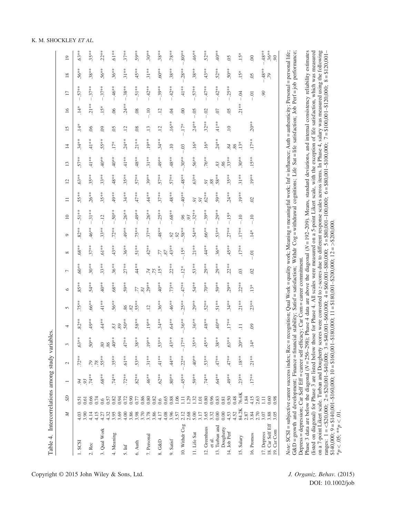| $.74**$<br>$*89.$<br>74**<br>$.72***$<br>$.82**$<br>$\overline{93}$<br>$\dot{\varkappa}$<br>$0.72$<br>$0.90$<br>0.66<br>$0.6$<br>$0.57$<br>0.82<br>0.94<br>0.77<br>0.74<br>0.61<br>0.51<br>4.27<br>4.32<br>3.95<br>8<br>8888 R R 88<br>588 R R 88<br>$4.03$<br>3.90<br>4.14<br>4.15<br>. Qual Work<br>Meaning<br>SCSI<br>6. Auth<br>Rec<br>$\mathbb{H}$ | $.72**$                   |                   |               |                 |                       |                |                       | $\circ$                        | $\supseteq$   | $\equiv$                 | $\overline{c}$ | $\frac{3}{2}$  | $\overline{4}$                                   | $\overline{15}$ | $\overline{16}$   | $\Box$    | $\frac{8}{2}$                    | $\overline{19}$                    |
|---------------------------------------------------------------------------------------------------------------------------------------------------------------------------------------------------------------------------------------------------------------------------------------------------------------------------------------------------------|---------------------------|-------------------|---------------|-----------------|-----------------------|----------------|-----------------------|--------------------------------|---------------|--------------------------|----------------|----------------|--------------------------------------------------|-----------------|-------------------|-----------|----------------------------------|------------------------------------|
|                                                                                                                                                                                                                                                                                                                                                         |                           | $.63***$          | $.82***$      | $.75***$        | $.85**$               | $.60**$        | $*89.$                | $.82**$                        | $.51**$       | $.55**$                  | $.63**$        | $.57***$       | $.34**$                                          | $\ddot{4}$      | $\stackrel{*}{=}$ | $.57***$  | $.56**$                          | $.63**$                            |
|                                                                                                                                                                                                                                                                                                                                                         |                           |                   |               |                 |                       |                |                       |                                |               |                          |                |                |                                                  |                 |                   |           |                                  |                                    |
|                                                                                                                                                                                                                                                                                                                                                         | $\frac{82}{56}$           | $50**$            | $49**$        | $66**$          | $.54***$              | $.30**$        | $.37**$               | $46**$                         | $-.31***$     | $.26**$                  | $35**$         | $41**$         | $.41**$                                          | $\frac{6}{2}$   | $.21**$           | $.37***$  | $.38**$                          | $.35***$                           |
|                                                                                                                                                                                                                                                                                                                                                         | $.55**$                   | 80                | $.44**$       | $41**$          | $**0*$ .              | $.33**$        | $.61**$               | $.33**$                        | $-12$         | $.35***$                 | $.33**$        | $40**$         | $.55**$                                          | $\odot$         | $15*$             | $-.37***$ | $.56**$                          | $.22**$                            |
|                                                                                                                                                                                                                                                                                                                                                         | $35**$                    | $40**$<br>86      | 83            | $.56**$         | $***89.$              | $.36**$        | $.43**$               | $.72**$                        | $-50**$       | $49**$                   | $.48**$        | $40^{**}$      | $17*$                                            | $\ddot{\circ}$  | $\frac{6}{2}$     | $-46**$   | $.36***$                         | $.61**$                            |
|                                                                                                                                                                                                                                                                                                                                                         | $*$<br>ؘڢ                 | $47**$            | $.50**$<br>89 | 86<br>82        | .59**                 | $.27***$       | $.36**$               | $.49**$                        | $-.26**$      | $.34***$                 | $35**$         | $.41**$        | $.24**$                                          | $\ddot{5}$      | $.24**$           | $-.38**$  | $.31***$                         | $.37***$                           |
|                                                                                                                                                                                                                                                                                                                                                         | $.53**$                   | $.38***$          | $.58**$       | $.55***$        | .77<br>$\mathcal{S}I$ | $44*$          | $51**$                | $.75***$                       | $-.49***$     | $*17**$                  | $57**$         | $48**$         | $.21**$                                          | $\overline{0}$  | $\overline{0}$    | $51**$    | $45***$                          | $.59**$                            |
| $46**$<br>0.86<br>. Personal                                                                                                                                                                                                                                                                                                                            | $\frac{*}{*}$<br>$\omega$ | $.19***$          | $.19***$      | $\overline{12}$ | $.29**$               | $\dot{z}$      | $.42***$              | $.37***$                       | $-.26**$      | $44**$                   | $.39***$       | $31***$        | $.19**$                                          | $\overline{13}$ | $-10$             | $-42**$   | $31***$                          | $.30**$                            |
| $.62**$<br>$0.80$<br>$0.80$<br>$0.6$<br>4.17<br>G&D                                                                                                                                                                                                                                                                                                     | $\frac{*}{*}$<br>4        | $.53**$           | $.34***$      | $.36**$         | $40**$                | $15*$<br>.75   | .77                   | $.48**$                        | $-25**$       | $.37***$                 | $57**$         | $**6t$         | $.34**$                                          | $\ddot{5}$      | $\ddot{5}$        | $-.39**$  | $.60**$                          | $.38**$                            |
| $80**$<br>0.65<br>0.88<br>4.08<br>Satisf                                                                                                                                                                                                                                                                                                                | $.44**$                   | $43***$           | $.64***$      | $*80*$ .        | $.73***$              | $.22**$        | $.43**$<br>$\sqrt{8}$ | $\widetilde{\mathcal{S}}$      | $***89.$      | $.48**$                  | $57***$        | $^{***}$       | $\ddot{=}$                                       | $.16**$         | S.                | $42**$    | $.38**$                          | $.78**$                            |
| $45**$<br>$\frac{1.06}{1.11}$<br>$3.57$<br>$3.57$<br>$2.12$<br>0. Withdr Cog                                                                                                                                                                                                                                                                            | $-.22**$                  | $-17**$           | $-.36**$      | I<br>$-.25**$   | $.47**$               | $-12*$         | $-15*$                | $.58**$<br>$\dot{\mathcal{S}}$ | 96.           | $\mid$<br>$-.40**$       | $48**$         | $-30**$        | $\overline{0}$<br>$\begin{array}{c} \end{array}$ | $-17*$          | $\overline{0}$    | $41**$    | $.28***$                         | $80**$<br>I                        |
| $.59**$<br>1.29<br>1.32<br>2.68<br>5.00<br>1. Life Sat                                                                                                                                                                                                                                                                                                  | $^{**0*}$                 | $35**$            | $.36***$      | $.29**$         | .54**                 | $.53**$        | $.21**$               | $.54**$                        | $.32**$<br>93 | Jó.                      | $.63**$        | $.56***$       | $.16*$                                           | $.24**$         | $-0.5$            | $.57**$   | $.38***$                         | $.46**$                            |
| $\frac{1.01}{0.80}$<br>3.17                                                                                                                                                                                                                                                                                                                             |                           |                   |               |                 |                       |                |                       |                                |               | JÓ.                      |                |                |                                                  |                 |                   |           |                                  |                                    |
| $.74**$<br>0.96<br>3.65<br>2. Greenhaus<br>et al.                                                                                                                                                                                                                                                                                                       | $53**$                    | $45***$           | $.48**$       | $.52***$        | **07.                 | $.29**$        | $.44**$               | $.66**$                        | $-.39**$      | $.62**$                  | 88<br>JÓ.      | $.76***$       | $.16*$                                           | $.32***$        | $-.02$            | $-47**$   | $43***$                          | $.52**$                            |
| $**79$ .<br>$0.83\,$<br>0.00<br>13. Turban and                                                                                                                                                                                                                                                                                                          | $.47**$                   | $.38**$           | $^{***}$      | $51**$          | $.59**$               | $.29**$        | $.36**$               | $.53**$                        | $-29**$       | $.59**$                  | $.58**$        | 83             | $.24**$                                          | $.41**$         | 50.               | $-42**$   | 52**                             | $40**$                             |
| .49**<br>0.50<br>$\!0.81$<br>0.00<br>4.53<br>Dougherty<br>4. Job Perf                                                                                                                                                                                                                                                                                   | $A7**$                    | $.63***$          | $.17**$       | $.34***$        | $.29**$               | $.22**$        | $45**$                | $.27**$                        | $-15*$        | $.24**$                  | $35**$         | $.33**$<br>86. | -84                                              | $\ddot{=}$      | $\rm 05$          | $.25**$   | $.50**$                          | $\rm 05$                           |
| 0.48<br>4.52                                                                                                                                                                                                                                                                                                                                            |                           |                   |               |                 |                       |                |                       |                                |               |                          |                |                | 86.                                              |                 |                   |           |                                  |                                    |
| $.23**$<br>76.4K<br>84.2K<br>5. Salary                                                                                                                                                                                                                                                                                                                  | $.18**$                   | $.20***$          | $\equiv$      | $.21**$         | $.22***$              | $\mathcal{L}$  | $.17**$               | $.17**$                        | $-10$         | $.19***$                 | $31**$         | $.30**$        | $13*$                                            |                 | $.21**$           | $-0.4$    | $15*$                            | $15*$                              |
| $.17**$<br>4.15<br>1.84<br>2.87<br>6. Promos                                                                                                                                                                                                                                                                                                            | $*$<br>Ċ,                 | $\stackrel{*}{=}$ | 09            | $.23**$         | $13*$                 | $\overline{S}$ | $-0.1$                | $\stackrel{*}{=}$              | $-10$         | $\overline{\mathcal{O}}$ | $.19***$       | $.15**$        | $.17**$                                          | $.20**$         |                   | $-0.1$    | $\overline{0}$                   | $\odot$                            |
| 2.63<br>$3.84$<br>$2.70$                                                                                                                                                                                                                                                                                                                                |                           |                   |               |                 |                       |                |                       |                                |               |                          |                |                |                                                  |                 |                   |           |                                  |                                    |
| $\Xi$<br>3.07<br>18. Car Self Eff<br>17. Depress                                                                                                                                                                                                                                                                                                        |                           |                   |               |                 |                       |                |                       |                                |               |                          |                |                |                                                  |                 |                   | $\delta$  | $48***$<br>$\tilde{\mathcal{L}}$ | $48**$<br>$\overline{\phantom{a}}$ |
| $0.60$<br>$0.98$<br>3.88<br>3.05<br>9. Car Com                                                                                                                                                                                                                                                                                                          |                           |                   |               |                 |                       |                |                       |                                |               |                          |                |                |                                                  |                 |                   |           |                                  | $.36***$<br>$\infty$               |

Copyright © 2015 John Wiley & Sons, Ltd. J. Organiz. Behav. (2015)

Table 4. Intercorrelations among study variables.

Table 4. Intercorrelations among study variables.

DOI: 10.1002/job

ranges: 1 =

\* $p < 0.05$ ; \*\* $p < 0.01$ .

 $k_p < 0.05$ ;  $* p < 0.01$ .

\$140,000; 9 = \$140,001–\$160,000; 10 = \$160,001–\$180,000; 11 = \$180,001–\$200,000; 12 =

Depress = depression; Car Self Eff = career self-efficacy; Car Com = career commitment.

Depress = depression; Car Self Eff = career self-efficacy; Car Com = career commitment.

 $N = 256 - 298$ ; Phase 4 data are above the diagonal (

(listed on diagonal) for Phase 3 are listed below those for Phase 4. All scales were measured on a 5-point Likert scale, with the exception of life satisfaction, which was measured on a 7-point Likert scale. Turban and Dougherty scores were converted to z-scores due to different response scales across items. In Phase 4, salary was measured using the following

Phase 3 data are below the diagonal ( $N = 256-298$ ); Phase 4 data are above the diagonal ( $N = 192-209$ ). Means, standard deviations, and internal consistency reliability estimates (listed on diagonal) for Phase 3 are listed below those for Phase 4. All scales were measured on a 5-point Likert scale, with the exception of life satisfaction, which was measured

-100,0018= 8 :000,0018= 1. 7 :000;0018= 100;0010100;000; -0 :000;001−100;008= 1. 000;008= 100;0009= 1 :000;000+100;000+\$100;000+\$1 = \$100;000+\$1 = \$120,000;000+\$1 = \$100;000;000+\$1 = \$100;001 = \$120,000;000 = \$120,000;000

on a 7-point Likert scale. Turban and Dougherty scores were converted to z-scores due to different response scales across items. In Phase 4, salary was measured using the following<br>ranges: 1 = <\$20,000; 2 = \$20,001-\$40,00

 $>$ \$200,000.

 $N = 192-209$ ). Means, standard deviations, and internal consistency reliability estimates

Phase 3 data are below the diagonal (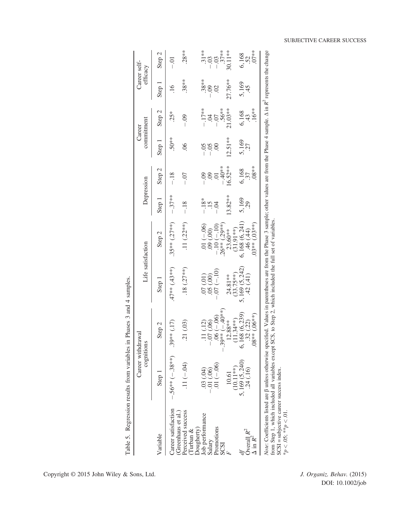|                                                                          | Table 5. Regression results from variables in Phases 3 and 4 samples.                                                                                                                                                                                                                                               | Career withdrawal             |                                                            |                              |              |                       | Career        |                             | Career self-              |                                                   |
|--------------------------------------------------------------------------|---------------------------------------------------------------------------------------------------------------------------------------------------------------------------------------------------------------------------------------------------------------------------------------------------------------------|-------------------------------|------------------------------------------------------------|------------------------------|--------------|-----------------------|---------------|-----------------------------|---------------------------|---------------------------------------------------|
|                                                                          |                                                                                                                                                                                                                                                                                                                     | cognitions                    |                                                            | Life satisfaction            | Depression   |                       | commitment    |                             | efficacy                  |                                                   |
| Variable                                                                 | Step 1                                                                                                                                                                                                                                                                                                              | Step 2                        | Step 1                                                     | Step 2                       | Step 1       | Step 2                | Step 1        | Step 2                      | Step 1                    | Step 2                                            |
| Career satisfaction<br>(Greenhaus et al.)                                | $-.56**(-.38**)$                                                                                                                                                                                                                                                                                                    | $(54 * (-17))$                | $47**$ (.43**)                                             | $35***$ (.27**)              | $-37**$      | $-18$                 | $.50**$       | $25*$                       | $\ddot{0}$                | $-0.1$                                            |
| Perceived success<br>Turban &                                            | $-11(-04$                                                                                                                                                                                                                                                                                                           | .21(0.03)                     | $.18(.27**)$                                               | $.11(0.22**)$                | $-18$        | $-0.07$               | $\frac{8}{2}$ | $-0.9$                      | $.38**$                   | $.28**$                                           |
| Dougherty)                                                               |                                                                                                                                                                                                                                                                                                                     |                               |                                                            |                              |              |                       |               |                             |                           |                                                   |
| Job performance<br>Salary                                                | $-03(04)$<br>$-01(06)$<br>$-01(06)$<br>$-06$                                                                                                                                                                                                                                                                        | $-0.07(06)$<br>.11(.12)       | $.07 \, (01)$<br>$.05 \, (00)$<br>$(00)$<br>$.07 \, (-10)$ | $(90 - 0)$ 10.               | $-18*$<br>15 | $-0.9$                | $-0.56 - 0.5$ | $-0.07$<br>**71.            | $-38**$<br>$-09$<br>$-02$ | $-31**$<br>$-03$<br>$-03$<br>$-37**$<br>$30.11**$ |
| Promotions                                                               |                                                                                                                                                                                                                                                                                                                     | $(90 - 06)$                   |                                                            | $-10 (-10)$<br>$26** (29**)$ | $-0.4$       | $\frac{5}{6}$         | $\odot$       |                             |                           |                                                   |
| SCSI                                                                     | 10.61                                                                                                                                                                                                                                                                                                               | $-0.39**(-10**)$<br>$12.88**$ | 24.81 **                                                   |                              | $13.82**$    | $16.52***$<br>$-40**$ | $12.51**$     | $56***$<br>21.03**          | 27.76**                   |                                                   |
|                                                                          | $(10.11**)$                                                                                                                                                                                                                                                                                                         | $(11.34**)$                   | $(33.75**)$                                                | $23.60**$<br>$(31.91**)$     |              |                       |               |                             |                           |                                                   |
| Overall $R^2$<br>$\triangle$ in $R^2$                                    | $5, 169$ $(5, 240)$<br>$.24$ $(.16)$                                                                                                                                                                                                                                                                                | 6, 168 (6, 239)<br>.32(.22)   | 5, 169 (5, 242)<br>.42(.41)                                | 6, 168(6, 241)<br>.46(.44)   | 5,169<br>29  | 6,168                 | 5,169         | $6,168$<br>$.43$<br>$.16**$ | 5,169                     | $6,168$<br>$.52$<br>$.07***$                      |
|                                                                          |                                                                                                                                                                                                                                                                                                                     | $($ **)<br>$.8$ ** $($        |                                                            | $(.03**)$<br>$03**$          |              | $.88**$               |               |                             |                           |                                                   |
| SCSI = subjective career success index.<br>$*_{p}$ < .05; $*_{p}$ < .01. | <i>Note:</i> Coefficients listed are $\beta$ unless otherwise specified. Values in parentheses are from the Phase 3 sample; other values are from the Phase 4 sample. A in $R^2$ represents the change<br>from Step 1, which included all variables except SCS, to Step 2, which included the full set of variables |                               |                                                            |                              |              |                       |               |                             |                           |                                                   |
|                                                                          |                                                                                                                                                                                                                                                                                                                     |                               |                                                            |                              |              |                       |               |                             |                           |                                                   |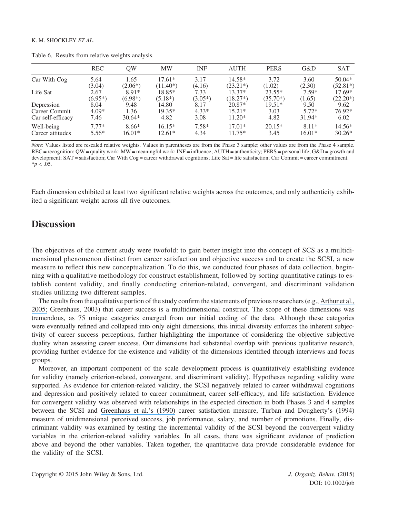|                   | <b>REC</b> | <b>OW</b> | MW         | <b>INF</b> | <b>AUTH</b> | <b>PERS</b> | G&D      | <b>SAT</b> |
|-------------------|------------|-----------|------------|------------|-------------|-------------|----------|------------|
| Car With Cog      | 5.64       | 1.65      | $17.61*$   | 3.17       | 14.58*      | 3.72        | 3.60     | $50.04*$   |
|                   | (3.04)     | $(2.06*)$ | $(11.40*)$ | (4.16)     | $(23.21*)$  | (1.02)      | (2.30)   | $(52.81*)$ |
| Life Sat          | 2.67       | $8.91*$   | 18.85*     | 7.33       | $13.37*$    | $23.55*$    | $7.59*$  | 17.69*     |
|                   | $(6.95*)$  | $(6.98*)$ | $(5.18*)$  | $(3.05*)$  | $(18.27*)$  | $(35.70*)$  | (1.65)   | $(22.20*)$ |
| Depression        | 8.04       | 9.48      | 14.80      | 8.17       | $20.87*$    | $19.51*$    | 9.50     | 9.62       |
| Career Commit     | $4.09*$    | 1.36      | $19.35*$   | $4.33*$    | $15.21*$    | 3.03        | $5.72*$  | 76.92*     |
| Car self-efficacy | 7.46       | $30.64*$  | 4.82       | 3.08       | $11.20*$    | 4.82        | 31.94*   | 6.02       |
| Well-being        | $7.77*$    | $8.66*$   | $16.15*$   | $7.58*$    | $17.01*$    | $20.15*$    | $8.11*$  | $14.56*$   |
| Career attitudes  | $5.56*$    | $16.01*$  | $12.61*$   | 4.34       | $11.75*$    | 3.45        | $16.01*$ | $30.26*$   |

Table 6. Results from relative weights analysis.

Note: Values listed are rescaled relative weights. Values in parentheses are from the Phase 3 sample; other values are from the Phase 4 sample. REC = recognition; QW = quality work; MW = meaningful work; INF = influence; AUTH = authenticity; PERS = personal life; G&D = growth and development; SAT = satisfaction; Car With Cog = career withdrawal cognitions; Life Sat = life satisfaction; Car Commit = career commitment.  $*_{p}$  < .05.

Each dimension exhibited at least two significant relative weights across the outcomes, and only authenticity exhibited a significant weight across all five outcomes.

### **Discussion**

The objectives of the current study were twofold: to gain better insight into the concept of SCS as a multidimensional phenomenon distinct from career satisfaction and objective success and to create the SCSI, a new measure to reflect this new conceptualization. To do this, we conducted four phases of data collection, beginning with a qualitative methodology for construct establishment, followed by sorting quantitative ratings to establish content validity, and finally conducting criterion-related, convergent, and discriminant validation studies utilizing two different samples.

The results from the qualitative portion of the study confirm the statements of previous researchers (e.g., [Arthur et al.,](https://www.researchgate.net/publication/227605031_Career_success_in_a_boundaryless_career_world?el=1_x_8&enrichId=rgreq-bc4e09687039d8304f767b826621625b-XXX&enrichSource=Y292ZXJQYWdlOzI4MDk3NDIyODtBUzoyNzY4ODMyMTczNzExMzhAMTQ0MzAyNTUxMTcxMw==) [2005;](https://www.researchgate.net/publication/227605031_Career_success_in_a_boundaryless_career_world?el=1_x_8&enrichId=rgreq-bc4e09687039d8304f767b826621625b-XXX&enrichSource=Y292ZXJQYWdlOzI4MDk3NDIyODtBUzoyNzY4ODMyMTczNzExMzhAMTQ0MzAyNTUxMTcxMw==) Greenhaus, 2003) that career success is a multidimensional construct. The scope of these dimensions was tremendous, as 75 unique categories emerged from our initial coding of the data. Although these categories were eventually refined and collapsed into only eight dimensions, this initial diversity enforces the inherent subjectivity of career success perceptions, further highlighting the importance of considering the objective–subjective duality when assessing career success. Our dimensions had substantial overlap with previous qualitative research, providing further evidence for the existence and validity of the dimensions identified through interviews and focus groups.

Moreover, an important component of the scale development process is quantitatively establishing evidence for validity (namely criterion-related, convergent, and discriminant validity). Hypotheses regarding validity were supported. As evidence for criterion-related validity, the SCSI negatively related to career withdrawal cognitions and depression and positively related to career commitment, career self-efficacy, and life satisfaction. Evidence for convergent validity was observed with relationships in the expected direction in both Phases 3 and 4 samples between the SCSI and [Greenhaus et al.](https://www.researchgate.net/publication/270135735_Effects_of_Race_on_Organizational_Experiences_Job_Performance_Evaluations_and_Career_Outcomes?el=1_x_8&enrichId=rgreq-bc4e09687039d8304f767b826621625b-XXX&enrichSource=Y292ZXJQYWdlOzI4MDk3NDIyODtBUzoyNzY4ODMyMTczNzExMzhAMTQ0MzAyNTUxMTcxMw==)'s (1990) career satisfaction measure, Turban and Dougherty's (1994) measure of unidimensional perceived success, job performance, salary, and number of promotions. Finally, discriminant validity was examined by testing the incremental validity of the SCSI beyond the convergent validity variables in the criterion-related validity variables. In all cases, there was significant evidence of prediction above and beyond the other variables. Taken together, the quantitative data provide considerable evidence for the validity of the SCSI.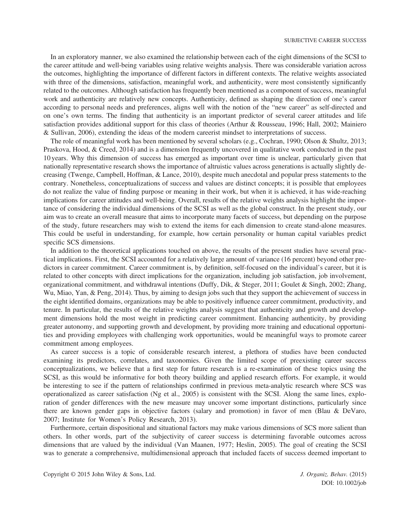In an exploratory manner, we also examined the relationship between each of the eight dimensions of the SCSI to the career attitude and well-being variables using relative weights analysis. There was considerable variation across the outcomes, highlighting the importance of different factors in different contexts. The relative weights associated with three of the dimensions, satisfaction, meaningful work, and authenticity, were most consistently significantly related to the outcomes. Although satisfaction has frequently been mentioned as a component of success, meaningful work and authenticity are relatively new concepts. Authenticity, defined as shaping the direction of one's career according to personal needs and preferences, aligns well with the notion of the "new career" as self-directed and on one's own terms. The finding that authenticity is an important predictor of several career attitudes and life satisfaction provides additional support for this class of theories (Arthur & Rousseau, 1996; Hall, 2002; Mainiero & Sullivan, 2006), extending the ideas of the modern careerist mindset to interpretations of success.

The role of meaningful work has been mentioned by several scholars (e.g., Cochran, 1990; Olson & Shultz, 2013; Praskova, Hood, & Creed, 2014) and is a dimension frequently uncovered in qualitative work conducted in the past 10 years. Why this dimension of success has emerged as important over time is unclear, particularly given that nationally representative research shows the importance of altruistic values across generations is actually slightly decreasing (Twenge, Campbell, Hoffman, & Lance, 2010), despite much anecdotal and popular press statements to the contrary. Nonetheless, conceptualizations of success and values are distinct concepts; it is possible that employees do not realize the value of finding purpose or meaning in their work, but when it is achieved, it has wide-reaching implications for career attitudes and well-being. Overall, results of the relative weights analysis highlight the importance of considering the individual dimensions of the SCSI as well as the global construct. In the present study, our aim was to create an overall measure that aims to incorporate many facets of success, but depending on the purpose of the study, future researchers may wish to extend the items for each dimension to create stand-alone measures. This could be useful in understanding, for example, how certain personality or human capital variables predict specific SCS dimensions.

In addition to the theoretical applications touched on above, the results of the present studies have several practical implications. First, the SCSI accounted for a relatively large amount of variance (16 percent) beyond other predictors in career commitment. Career commitment is, by definition, self-focused on the individual's career, but it is related to other concepts with direct implications for the organization, including job satisfaction, job involvement, organizational commitment, and withdrawal intentions (Duffy, Dik, & Steger, 2011; Goulet & Singh, 2002; Zhang, Wu, Miao, Yan, & Peng, 2014). Thus, by aiming to design jobs such that they support the achievement of success in the eight identified domains, organizations may be able to positively influence career commitment, productivity, and tenure. In particular, the results of the relative weights analysis suggest that authenticity and growth and development dimensions hold the most weight in predicting career commitment. Enhancing authenticity, by providing greater autonomy, and supporting growth and development, by providing more training and educational opportunities and providing employees with challenging work opportunities, would be meaningful ways to promote career commitment among employees.

As career success is a topic of considerable research interest, a plethora of studies have been conducted examining its predictors, correlates, and taxonomies. Given the limited scope of preexisting career success conceptualizations, we believe that a first step for future research is a re-examination of these topics using the SCSI, as this would be informative for both theory building and applied research efforts. For example, it would be interesting to see if the pattern of relationships confirmed in previous meta-analytic research where SCS was operationalized as career satisfaction (Ng et al., 2005) is consistent with the SCSI. Along the same lines, exploration of gender differences with the new measure may uncover some important distinctions, particularly since there are known gender gaps in objective factors (salary and promotion) in favor of men (Blau & DeVaro, 2007; Institute for Women's Policy Research, 2013).

Furthermore, certain dispositional and situational factors may make various dimensions of SCS more salient than others. In other words, part of the subjectivity of career success is determining favorable outcomes across dimensions that are valued by the individual (Van Maanen, 1977; Heslin, 2005). The goal of creating the SCSI was to generate a comprehensive, multidimensional approach that included facets of success deemed important to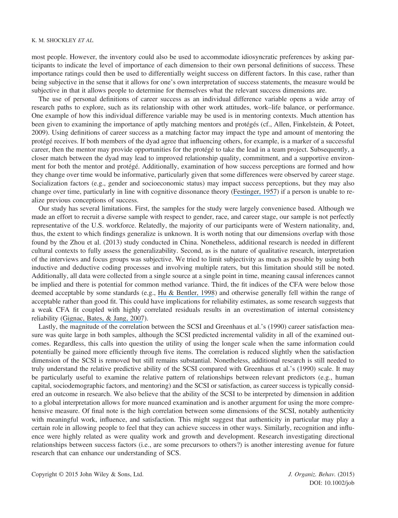most people. However, the inventory could also be used to accommodate idiosyncratic preferences by asking participants to indicate the level of importance of each dimension to their own personal definitions of success. These importance ratings could then be used to differentially weight success on different factors. In this case, rather than being subjective in the sense that it allows for one's own interpretation of success statements, the measure would be subjective in that it allows people to determine for themselves what the relevant success dimensions are.

The use of personal definitions of career success as an individual difference variable opens a wide array of research paths to explore, such as its relationship with other work attitudes, work–life balance, or performance. One example of how this individual difference variable may be used is in mentoring contexts. Much attention has been given to examining the importance of aptly matching mentors and protégés (cf., Allen, Finkelstein, & Poteet, 2009). Using definitions of career success as a matching factor may impact the type and amount of mentoring the protégé receives. If both members of the dyad agree that influencing others, for example, is a marker of a successful career, then the mentor may provide opportunities for the protégé to take the lead in a team project. Subsequently, a closer match between the dyad may lead to improved relationship quality, commitment, and a supportive environment for both the mentor and protégé. Additionally, examination of how success perceptions are formed and how they change over time would be informative, particularly given that some differences were observed by career stage. Socialization factors (e.g., gender and socioeconomic status) may impact success perceptions, but they may also change over time, particularly in line with cognitive dissonance theory ([Festinger, 1957](https://www.researchgate.net/publication/245112135_A_Theory_of_Cognitive_Dissonance?el=1_x_8&enrichId=rgreq-bc4e09687039d8304f767b826621625b-XXX&enrichSource=Y292ZXJQYWdlOzI4MDk3NDIyODtBUzoyNzY4ODMyMTczNzExMzhAMTQ0MzAyNTUxMTcxMw==)) if a person is unable to realize previous conceptions of success.

Our study has several limitations. First, the samples for the study were largely convenience based. Although we made an effort to recruit a diverse sample with respect to gender, race, and career stage, our sample is not perfectly representative of the U.S. workforce. Relatedly, the majority of our participants were of Western nationality, and, thus, the extent to which findings generalize is unknown. It is worth noting that our dimensions overlap with those found by the Zhou et al. (2013) study conducted in China. Nonetheless, additional research is needed in different cultural contexts to fully assess the generalizability. Second, as is the nature of qualitative research, interpretation of the interviews and focus groups was subjective. We tried to limit subjectivity as much as possible by using both inductive and deductive coding processes and involving multiple raters, but this limitation should still be noted. Additionally, all data were collected from a single source at a single point in time, meaning causal inferences cannot be implied and there is potential for common method variance. Third, the fit indices of the CFA were below those deemed acceptable by some standards (e.g., [Hu & Bentler, 1998](https://www.researchgate.net/publication/228079279_Fit_Indices_in_Covariance_Structure_Modeling_Sensitivity_to_Underparameterized_Model_Misspecification?el=1_x_8&enrichId=rgreq-bc4e09687039d8304f767b826621625b-XXX&enrichSource=Y292ZXJQYWdlOzI4MDk3NDIyODtBUzoyNzY4ODMyMTczNzExMzhAMTQ0MzAyNTUxMTcxMw==)) and otherwise generally fell within the range of acceptable rather than good fit. This could have implications for reliability estimates, as some research suggests that a weak CFA fit coupled with highly correlated residuals results in an overestimation of internal consistency reliability ([Gignac, Bates, & Jang, 2007](https://www.researchgate.net/publication/222398910_Implications_relevant_to_CFA_model_misfit_reliability_and_the_five-factor_model_as_measured_by_the_NEO-FFI?el=1_x_8&enrichId=rgreq-bc4e09687039d8304f767b826621625b-XXX&enrichSource=Y292ZXJQYWdlOzI4MDk3NDIyODtBUzoyNzY4ODMyMTczNzExMzhAMTQ0MzAyNTUxMTcxMw==)).

Lastly, the magnitude of the correlation between the SCSI and Greenhaus et al.'s (1990) career satisfaction measure was quite large in both samples, although the SCSI predicted incremental validity in all of the examined outcomes. Regardless, this calls into question the utility of using the longer scale when the same information could potentially be gained more efficiently through five items. The correlation is reduced slightly when the satisfaction dimension of the SCSI is removed but still remains substantial. Nonetheless, additional research is still needed to truly understand the relative predictive ability of the SCSI compared with Greenhaus et al.'s (1990) scale. It may be particularly useful to examine the relative pattern of relationships between relevant predictors (e.g., human capital, sociodemographic factors, and mentoring) and the SCSI or satisfaction, as career success is typically considered an outcome in research. We also believe that the ability of the SCSI to be interpreted by dimension in addition to a global interpretation allows for more nuanced examination and is another argument for using the more comprehensive measure. Of final note is the high correlation between some dimensions of the SCSI, notably authenticity with meaningful work, influence, and satisfaction. This might suggest that authenticity in particular may play a certain role in allowing people to feel that they can achieve success in other ways. Similarly, recognition and influence were highly related as were quality work and growth and development. Research investigating directional relationships between success factors (i.e., are some precursors to others?) is another interesting avenue for future research that can enhance our understanding of SCS.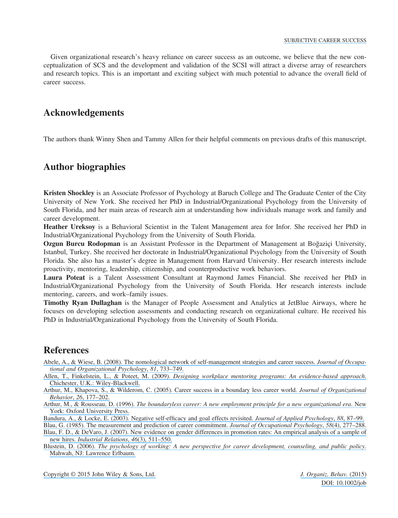Given organizational research's heavy reliance on career success as an outcome, we believe that the new conceptualization of SCS and the development and validation of the SCSI will attract a diverse array of researchers and research topics. This is an important and exciting subject with much potential to advance the overall field of career success.

### Acknowledgements

The authors thank Winny Shen and Tammy Allen for their helpful comments on previous drafts of this manuscript.

## Author biographies

**Kristen Shockley** is an Associate Professor of Psychology at Baruch College and The Graduate Center of the City University of New York. She received her PhD in Industrial/Organizational Psychology from the University of South Florida, and her main areas of research aim at understanding how individuals manage work and family and career development.

Heather Ureksoy is a Behavioral Scientist in the Talent Management area for Infor. She received her PhD in Industrial/Organizational Psychology from the University of South Florida.

Ozgun Burcu Rodopman is an Assistant Professor in the Department of Management at Boğaziçi University, Istanbul, Turkey. She received her doctorate in Industrial/Organizational Psychology from the University of South Florida. She also has a master's degree in Management from Harvard University. Her research interests include proactivity, mentoring, leadership, citizenship, and counterproductive work behaviors.

Laura Poteat is a Talent Assessment Consultant at Raymond James Financial. She received her PhD in Industrial/Organizational Psychology from the University of South Florida. Her research interests include mentoring, careers, and work–family issues.

Timothy Ryan Dullaghan is the Manager of People Assessment and Analytics at JetBlue Airways, where he focuses on developing selection assessments and conducting research on organizational culture. He received his PhD in Industrial/Organizational Psychology from the University of South Florida.

### **References**

[Abele, A., & Wiese, B. \(2008\). The nomological network of self-management strategies and career success.](https://www.researchgate.net/publication/227723353_The_Nomological_Network_of_Self-Management_Strategies_and_Career_Success_Correspondence_to?el=1_x_8&enrichId=rgreq-bc4e09687039d8304f767b826621625b-XXX&enrichSource=Y292ZXJQYWdlOzI4MDk3NDIyODtBUzoyNzY4ODMyMTczNzExMzhAMTQ0MzAyNTUxMTcxMw==) Journal of Occupa[tional and Organizational Psychology](https://www.researchgate.net/publication/227723353_The_Nomological_Network_of_Self-Management_Strategies_and_Career_Success_Correspondence_to?el=1_x_8&enrichId=rgreq-bc4e09687039d8304f767b826621625b-XXX&enrichSource=Y292ZXJQYWdlOzI4MDk3NDIyODtBUzoyNzY4ODMyMTczNzExMzhAMTQ0MzAyNTUxMTcxMw==), 81, 733–749.

Allen, T., Finkelstein, L., & Poteet, M. (2009). [Designing workplace mentoring programs: An evidence-based approach](https://www.researchgate.net/publication/288469018_Designing_Workplace_Mentoring_Programs_An_Evidence-Based_Approach?el=1_x_8&enrichId=rgreq-bc4e09687039d8304f767b826621625b-XXX&enrichSource=Y292ZXJQYWdlOzI4MDk3NDIyODtBUzoyNzY4ODMyMTczNzExMzhAMTQ0MzAyNTUxMTcxMw==). [Chichester, U.K.: Wiley-Blackwell.](https://www.researchgate.net/publication/288469018_Designing_Workplace_Mentoring_Programs_An_Evidence-Based_Approach?el=1_x_8&enrichId=rgreq-bc4e09687039d8304f767b826621625b-XXX&enrichSource=Y292ZXJQYWdlOzI4MDk3NDIyODtBUzoyNzY4ODMyMTczNzExMzhAMTQ0MzAyNTUxMTcxMw==)

[Arthur, M., Khapova, S., & Wilderom, C. \(2005\). Career success in a boundary less career world.](https://www.researchgate.net/publication/227605031_Career_success_in_a_boundaryless_career_world?el=1_x_8&enrichId=rgreq-bc4e09687039d8304f767b826621625b-XXX&enrichSource=Y292ZXJQYWdlOzI4MDk3NDIyODtBUzoyNzY4ODMyMTczNzExMzhAMTQ0MzAyNTUxMTcxMw==) Journal of Organizational [Behavior](https://www.researchgate.net/publication/227605031_Career_success_in_a_boundaryless_career_world?el=1_x_8&enrichId=rgreq-bc4e09687039d8304f767b826621625b-XXX&enrichSource=Y292ZXJQYWdlOzI4MDk3NDIyODtBUzoyNzY4ODMyMTczNzExMzhAMTQ0MzAyNTUxMTcxMw==), 26, 177–202.

Arthur, M., & Rousseau, D. (1996). [The boundaryless career: A new employment principle for a new organizational era](https://www.researchgate.net/publication/275703339_The_Boundaryless_Career_A_New_Employment_Principle_for_a_New_Organizational_Era?el=1_x_8&enrichId=rgreq-bc4e09687039d8304f767b826621625b-XXX&enrichSource=Y292ZXJQYWdlOzI4MDk3NDIyODtBUzoyNzY4ODMyMTczNzExMzhAMTQ0MzAyNTUxMTcxMw==). New [York: Oxford University Press.](https://www.researchgate.net/publication/275703339_The_Boundaryless_Career_A_New_Employment_Principle_for_a_New_Organizational_Era?el=1_x_8&enrichId=rgreq-bc4e09687039d8304f767b826621625b-XXX&enrichSource=Y292ZXJQYWdlOzI4MDk3NDIyODtBUzoyNzY4ODMyMTczNzExMzhAMTQ0MzAyNTUxMTcxMw==)

[Bandura, A., & Locke, E. \(2003\). Negative self-ef](https://www.researchgate.net/publication/10822958_Negative_Self-Efficacy_and_Goal_Effects_Revisited?el=1_x_8&enrichId=rgreq-bc4e09687039d8304f767b826621625b-XXX&enrichSource=Y292ZXJQYWdlOzI4MDk3NDIyODtBUzoyNzY4ODMyMTczNzExMzhAMTQ0MzAyNTUxMTcxMw==)ficacy and goal effects revisited. Journal of Applied Psychology, 88, 87–99.

[Blau, G. \(1985\). The measurement and prediction of career commitment.](https://www.researchgate.net/publication/264471848_The_measurement_and_prediction_of_career_commitment?el=1_x_8&enrichId=rgreq-bc4e09687039d8304f767b826621625b-XXX&enrichSource=Y292ZXJQYWdlOzI4MDk3NDIyODtBUzoyNzY4ODMyMTczNzExMzhAMTQ0MzAyNTUxMTcxMw==) Journal of Occupational Psychology, 58(4), 277–288. [Blau, F. D., & DeVaro, J. \(2007\). New evidence on gender differences in promotion rates: An empirical analysis of a sample of](https://www.researchgate.net/publication/227658961_New_Evidence_on_Gender_Differences_in_Promotion_Rates_An_Empirical_Analysis_of_a_Sample_of_New_Hires?el=1_x_8&enrichId=rgreq-bc4e09687039d8304f767b826621625b-XXX&enrichSource=Y292ZXJQYWdlOzI4MDk3NDIyODtBUzoyNzY4ODMyMTczNzExMzhAMTQ0MzAyNTUxMTcxMw==) new hires. [Industrial Relations](https://www.researchgate.net/publication/227658961_New_Evidence_on_Gender_Differences_in_Promotion_Rates_An_Empirical_Analysis_of_a_Sample_of_New_Hires?el=1_x_8&enrichId=rgreq-bc4e09687039d8304f767b826621625b-XXX&enrichSource=Y292ZXJQYWdlOzI4MDk3NDIyODtBUzoyNzY4ODMyMTczNzExMzhAMTQ0MzAyNTUxMTcxMw==), 46(3), 511–550.

Blustein, D. (2006). [The psychology of working: A new perspective for career development, counseling, and public policy](https://www.researchgate.net/publication/288091426_The_psychology_of_working_A_new_perspective_for_career_development_counseling_and_public_policy?el=1_x_8&enrichId=rgreq-bc4e09687039d8304f767b826621625b-XXX&enrichSource=Y292ZXJQYWdlOzI4MDk3NDIyODtBUzoyNzY4ODMyMTczNzExMzhAMTQ0MzAyNTUxMTcxMw==). [Mahwah, NJ: Lawrence Erlbaum.](https://www.researchgate.net/publication/288091426_The_psychology_of_working_A_new_perspective_for_career_development_counseling_and_public_policy?el=1_x_8&enrichId=rgreq-bc4e09687039d8304f767b826621625b-XXX&enrichSource=Y292ZXJQYWdlOzI4MDk3NDIyODtBUzoyNzY4ODMyMTczNzExMzhAMTQ0MzAyNTUxMTcxMw==)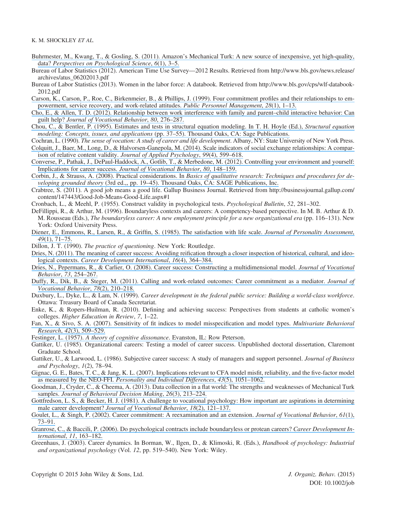- Buhrmester, M., Kwang, T., & Gosling, S. (2011). Amazon'[s Mechanical Turk: A new source of inexpensive, yet high-quality,](https://www.researchgate.net/publication/228079510_Amazon) data? [Perspectives on Psychological Science](https://www.researchgate.net/publication/228079510_Amazon), 6(1), 3–5.
- Bureau of Labor Statistics (2012). American Time Use Survey—2012 Results. Retrieved from [http://www.bls.gov/news.release/](http://www.bls.gov/news.release/archives/atus_06202013.pdf) [archives/atus\\_06202013.pdf](http://www.bls.gov/news.release/archives/atus_06202013.pdf)
- Bureau of Labor Statistics (2013). Women in the labor force: A databook. Retrieved from [http://www.bls.gov/cps/wlf-databook-](http://www.bls.gov/cps/wlf-databook-2012.pdf)[2012.pdf](http://www.bls.gov/cps/wlf-databook-2012.pdf)
- [Carson, K., Carson, P., Roe, C., Birkenmeier, B., & Phillips, J. \(1999\). Four commitment pro](https://www.researchgate.net/publication/287946379_Four_Commitment_Profiles_and_Their_Relationships_to_Empowerment_Service_Recovery_and_Work_Attitudes?el=1_x_8&enrichId=rgreq-bc4e09687039d8304f767b826621625b-XXX&enrichSource=Y292ZXJQYWdlOzI4MDk3NDIyODtBUzoyNzY4ODMyMTczNzExMzhAMTQ0MzAyNTUxMTcxMw==)files and their relationships to em[powerment, service recovery, and work-related attitudes.](https://www.researchgate.net/publication/287946379_Four_Commitment_Profiles_and_Their_Relationships_to_Empowerment_Service_Recovery_and_Work_Attitudes?el=1_x_8&enrichId=rgreq-bc4e09687039d8304f767b826621625b-XXX&enrichSource=Y292ZXJQYWdlOzI4MDk3NDIyODtBUzoyNzY4ODMyMTczNzExMzhAMTQ0MzAyNTUxMTcxMw==) Public Personnel Management, 28(1), 1-13.
- [Cho, E., & Allen, T. D. \(2012\). Relationship between work interference with family and parent](https://www.researchgate.net/publication/228079815_Relationship_between_work_interference_with_family_and_parent-child_interactive_behavior_Can_guilt_help?el=1_x_8&enrichId=rgreq-bc4e09687039d8304f767b826621625b-XXX&enrichSource=Y292ZXJQYWdlOzI4MDk3NDIyODtBUzoyNzY4ODMyMTczNzExMzhAMTQ0MzAyNTUxMTcxMw==)–child interactive behavior: Can guilt help? [Journal of Vocational Behavior](https://www.researchgate.net/publication/228079815_Relationship_between_work_interference_with_family_and_parent-child_interactive_behavior_Can_guilt_help?el=1_x_8&enrichId=rgreq-bc4e09687039d8304f767b826621625b-XXX&enrichSource=Y292ZXJQYWdlOzI4MDk3NDIyODtBUzoyNzY4ODMyMTczNzExMzhAMTQ0MzAyNTUxMTcxMw==), 80, 276–287.
- [Chou, C., & Bentler, P. \(1995\). Estimates and tests in structural equation modeling. In T. H. Hoyle \(Ed.\),](https://www.researchgate.net/publication/289963030_Estimates_and_tests_in_structural_equation_modeling?el=1_x_8&enrichId=rgreq-bc4e09687039d8304f767b826621625b-XXX&enrichSource=Y292ZXJQYWdlOzI4MDk3NDIyODtBUzoyNzY4ODMyMTczNzExMzhAMTQ0MzAyNTUxMTcxMw==) Structural equation [modeling: Concepts, issues, and applications](https://www.researchgate.net/publication/289963030_Estimates_and_tests_in_structural_equation_modeling?el=1_x_8&enrichId=rgreq-bc4e09687039d8304f767b826621625b-XXX&enrichSource=Y292ZXJQYWdlOzI4MDk3NDIyODtBUzoyNzY4ODMyMTczNzExMzhAMTQ0MzAyNTUxMTcxMw==) (pp. 37-55). Thousand Oaks, CA: Sage Publications.
- Cochran, L. (1990). The sense of vocation: A study of career and life development. Albany, NY: State University of New York Press.
- [Colquitt, J., Baer, M., Long, D., & Halvorsen-Ganepola, M. \(2014\). Scale indicators of social exchange relationships: A compar](https://www.researchgate.net/publication/261441673_Scale_Indicators_of_Social_Exchange_Relationships_A_Comparison_of_Relative_Content_Validity?el=1_x_8&enrichId=rgreq-bc4e09687039d8304f767b826621625b-XXX&enrichSource=Y292ZXJQYWdlOzI4MDk3NDIyODtBUzoyNzY4ODMyMTczNzExMzhAMTQ0MzAyNTUxMTcxMw==)[ison of relative content validity.](https://www.researchgate.net/publication/261441673_Scale_Indicators_of_Social_Exchange_Relationships_A_Comparison_of_Relative_Content_Validity?el=1_x_8&enrichId=rgreq-bc4e09687039d8304f767b826621625b-XXX&enrichSource=Y292ZXJQYWdlOzI4MDk3NDIyODtBUzoyNzY4ODMyMTczNzExMzhAMTQ0MzAyNTUxMTcxMw==) Journal of Applied Psychology, 99(4), 599–618.
- [Converse, P., Pathak, J., DePaul-Haddock, A., Gotlib, T., & Merbedone, M. \(2012\). Controlling your environment and yourself:](https://www.researchgate.net/publication/251443937_Controlling_your_environment_and_yourself_Implications_for_career_success?el=1_x_8&enrichId=rgreq-bc4e09687039d8304f767b826621625b-XXX&enrichSource=Y292ZXJQYWdlOzI4MDk3NDIyODtBUzoyNzY4ODMyMTczNzExMzhAMTQ0MzAyNTUxMTcxMw==) Implications for career success. [Journal of Vocational Behavior](https://www.researchgate.net/publication/251443937_Controlling_your_environment_and_yourself_Implications_for_career_success?el=1_x_8&enrichId=rgreq-bc4e09687039d8304f767b826621625b-XXX&enrichSource=Y292ZXJQYWdlOzI4MDk3NDIyODtBUzoyNzY4ODMyMTczNzExMzhAMTQ0MzAyNTUxMTcxMw==), 80, 148-159.
- Corbin, J., & Strauss, A. (2008). Practical considerations. In [Basics of qualitative research: Techniques and procedures for de](https://www.researchgate.net/publication/44828585_Basics_Of_Qualitative_Research_Techniques_And_Procedures_For_Developing_Grounded_Theory?el=1_x_8&enrichId=rgreq-bc4e09687039d8304f767b826621625b-XXX&enrichSource=Y292ZXJQYWdlOzI4MDk3NDIyODtBUzoyNzY4ODMyMTczNzExMzhAMTQ0MzAyNTUxMTcxMw==)veloping grounded theory (3rd ed.,, pp. 19–[45\). Thousand Oaks, CA: SAGE Publications, Inc.](https://www.researchgate.net/publication/44828585_Basics_Of_Qualitative_Research_Techniques_And_Procedures_For_Developing_Grounded_Theory?el=1_x_8&enrichId=rgreq-bc4e09687039d8304f767b826621625b-XXX&enrichSource=Y292ZXJQYWdlOzI4MDk3NDIyODtBUzoyNzY4ODMyMTczNzExMzhAMTQ0MzAyNTUxMTcxMw==)
- Crabtree, S. (2011). A good job means a good life. Gallup Business Journal. Retrieved from [http://businessjournal.gallup.com/](http://businessjournal.gallup.com/content/147443/Good-Job-Means-Good-Life.aspx#1) [content/147443/Good-Job-Means-Good-Life.aspx#1](http://businessjournal.gallup.com/content/147443/Good-Job-Means-Good-Life.aspx#1)

Cronbach, L., & Meehl, P. (1955). Construct validity in psychological tests. Psychological Bulletin, 52, 281–302.

- DeFillippi, R., & Arthur, M. (1996). Boundaryless contexts and careers: A competency-based perspective. In M. B. Arthur & D. M. Rousseau (Eds.), The boundaryless career: A new employment principle for a new organizational era (pp. 116–131). New York: Oxford University Press.
- Diener, E., Emmons, R., Larsen, R., & Griffi[n, S. \(1985\). The satisfaction with life scale.](https://www.researchgate.net/publication/272159642_The_Satisfaction_With_Life_Scale?el=1_x_8&enrichId=rgreq-bc4e09687039d8304f767b826621625b-XXX&enrichSource=Y292ZXJQYWdlOzI4MDk3NDIyODtBUzoyNzY4ODMyMTczNzExMzhAMTQ0MzAyNTUxMTcxMw==) Journal of Personality Assessment, 49[\(1\), 71](https://www.researchgate.net/publication/272159642_The_Satisfaction_With_Life_Scale?el=1_x_8&enrichId=rgreq-bc4e09687039d8304f767b826621625b-XXX&enrichSource=Y292ZXJQYWdlOzI4MDk3NDIyODtBUzoyNzY4ODMyMTczNzExMzhAMTQ0MzAyNTUxMTcxMw==)–75.
- Dillon, J. T. (1990). The practice of questioning. New York: Routledge.
- Dries, N. (2011). The meaning of career success: Avoiding reifi[cation through a closer inspection of historical, cultural, and ideo](https://www.researchgate.net/publication/235271067_The_meaning_of_career_success_Avoiding_reification_through_a_closer_inspection_of_historical_cultural_and_ideological_contexts?el=1_x_8&enrichId=rgreq-bc4e09687039d8304f767b826621625b-XXX&enrichSource=Y292ZXJQYWdlOzI4MDk3NDIyODtBUzoyNzY4ODMyMTczNzExMzhAMTQ0MzAyNTUxMTcxMw==)logical contexts. [Career Development International](https://www.researchgate.net/publication/235271067_The_meaning_of_career_success_Avoiding_reification_through_a_closer_inspection_of_historical_cultural_and_ideological_contexts?el=1_x_8&enrichId=rgreq-bc4e09687039d8304f767b826621625b-XXX&enrichSource=Y292ZXJQYWdlOzI4MDk3NDIyODtBUzoyNzY4ODMyMTczNzExMzhAMTQ0MzAyNTUxMTcxMw==), 16(4), 364–384.
- [Dries, N., Pepermans, R., & Carlier, O. \(2008\). Career success: Constructing a multidimensional model.](https://www.researchgate.net/publication/222415442_Career_success_Constructing_a_multidimensional_model?el=1_x_8&enrichId=rgreq-bc4e09687039d8304f767b826621625b-XXX&enrichSource=Y292ZXJQYWdlOzI4MDk3NDIyODtBUzoyNzY4ODMyMTczNzExMzhAMTQ0MzAyNTUxMTcxMw==) *Journal of Vocational* [Behavior](https://www.researchgate.net/publication/222415442_Career_success_Constructing_a_multidimensional_model?el=1_x_8&enrichId=rgreq-bc4e09687039d8304f767b826621625b-XXX&enrichSource=Y292ZXJQYWdlOzI4MDk3NDIyODtBUzoyNzY4ODMyMTczNzExMzhAMTQ0MzAyNTUxMTcxMw==), 73, 254–267.
- [Duffy, R., Dik, B., & Steger, M. \(2011\). Calling and work-related outcomes: Career commitment as a mediator.](https://www.researchgate.net/publication/229408116_Calling_and_work-related_outcomes_Career_commitment_as_a_mediator?el=1_x_8&enrichId=rgreq-bc4e09687039d8304f767b826621625b-XXX&enrichSource=Y292ZXJQYWdlOzI4MDk3NDIyODtBUzoyNzY4ODMyMTczNzExMzhAMTQ0MzAyNTUxMTcxMw==) Journal of [Vocational Behavior](https://www.researchgate.net/publication/229408116_Calling_and_work-related_outcomes_Career_commitment_as_a_mediator?el=1_x_8&enrichId=rgreq-bc4e09687039d8304f767b826621625b-XXX&enrichSource=Y292ZXJQYWdlOzI4MDk3NDIyODtBUzoyNzY4ODMyMTczNzExMzhAMTQ0MzAyNTUxMTcxMw==), 78(2), 210–218.
- Duxbury, L., Dyke, L., & Lam, N. (1999). Career development in the federal public service: Building a world-class workforce. Ottawa: Treasury Board of Canada Secretariat.
- Enke, K., & Ropers-Huilman, R. (2010). Defining and achieving success: Perspectives from students at catholic women's colleges. Higher Education in Review, 7, 1–22.
- [Fan, X., & Sivo, S. A. \(2007\). Sensitivity of](https://www.researchgate.net/publication/238046904_Sensitivity_of_Fit_Indices_to_Model_Misspecification_and_Model_Types?el=1_x_8&enrichId=rgreq-bc4e09687039d8304f767b826621625b-XXX&enrichSource=Y292ZXJQYWdlOzI4MDk3NDIyODtBUzoyNzY4ODMyMTczNzExMzhAMTQ0MzAyNTUxMTcxMw==) fit indices to model misspecification and model types. Multivariate Behavioral [Research](https://www.researchgate.net/publication/238046904_Sensitivity_of_Fit_Indices_to_Model_Misspecification_and_Model_Types?el=1_x_8&enrichId=rgreq-bc4e09687039d8304f767b826621625b-XXX&enrichSource=Y292ZXJQYWdlOzI4MDk3NDIyODtBUzoyNzY4ODMyMTczNzExMzhAMTQ0MzAyNTUxMTcxMw==), 42(3), 509–529.
- Festinger, L. (1957). [A theory of cognitive dissonance](https://www.researchgate.net/publication/245112135_A_Theory_of_Cognitive_Dissonance?el=1_x_8&enrichId=rgreq-bc4e09687039d8304f767b826621625b-XXX&enrichSource=Y292ZXJQYWdlOzI4MDk3NDIyODtBUzoyNzY4ODMyMTczNzExMzhAMTQ0MzAyNTUxMTcxMw==). Evanston, IL: Row Peterson.
- Gattiker, U. (1985). Organizational careers: Testing a model of career success. Unpublished doctoral dissertation, Claremont Graduate School.
- Gattiker, U., & Larwood, L. (1986). Subjective career success: A study of managers and support personnel. Journal of Business and Psychology,  $1(2)$ , 78–94.
- [Gignac, G. E., Bates, T. C., & Jang, K. L. \(2007\). Implications relevant to CFA model mis](https://www.researchgate.net/publication/222398910_Implications_relevant_to_CFA_model_misfit_reliability_and_the_five-factor_model_as_measured_by_the_NEO-FFI?el=1_x_8&enrichId=rgreq-bc4e09687039d8304f767b826621625b-XXX&enrichSource=Y292ZXJQYWdlOzI4MDk3NDIyODtBUzoyNzY4ODMyMTczNzExMzhAMTQ0MzAyNTUxMTcxMw==)fit, reliability, and the five-factor model as measured by the NEO-FFI. [Personality and Individual Differences](https://www.researchgate.net/publication/222398910_Implications_relevant_to_CFA_model_misfit_reliability_and_the_five-factor_model_as_measured_by_the_NEO-FFI?el=1_x_8&enrichId=rgreq-bc4e09687039d8304f767b826621625b-XXX&enrichSource=Y292ZXJQYWdlOzI4MDk3NDIyODtBUzoyNzY4ODMyMTczNzExMzhAMTQ0MzAyNTUxMTcxMw==), 43(5), 1051–1062.
- [Goodman, J., Cryder, C., & Cheema, A. \(2013\). Data collection in a](https://www.researchgate.net/publication/255950088_Data_Collection_in_a_Flat_World_The_Strengths_and_Weaknesses_of_Mechanical_Turk_Samples?el=1_x_8&enrichId=rgreq-bc4e09687039d8304f767b826621625b-XXX&enrichSource=Y292ZXJQYWdlOzI4MDk3NDIyODtBUzoyNzY4ODMyMTczNzExMzhAMTQ0MzAyNTUxMTcxMw==) flat world: The strengths and weaknesses of Mechanical Turk samples. [Journal of Behavioral Decision Making](https://www.researchgate.net/publication/255950088_Data_Collection_in_a_Flat_World_The_Strengths_and_Weaknesses_of_Mechanical_Turk_Samples?el=1_x_8&enrichId=rgreq-bc4e09687039d8304f767b826621625b-XXX&enrichSource=Y292ZXJQYWdlOzI4MDk3NDIyODtBUzoyNzY4ODMyMTczNzExMzhAMTQ0MzAyNTUxMTcxMw==), 26(3), 213-224.
- [Gottfredson, L. S., & Becker, H. J. \(1981\). A challenge to vocational psychology: How important are aspirations in determining](https://www.researchgate.net/publication/222437940_A_challenge_to_vocational_psychology_How_important_are_aspirations_in_determining_male_career_development?el=1_x_8&enrichId=rgreq-bc4e09687039d8304f767b826621625b-XXX&enrichSource=Y292ZXJQYWdlOzI4MDk3NDIyODtBUzoyNzY4ODMyMTczNzExMzhAMTQ0MzAyNTUxMTcxMw==) male career development? [Journal of Vocational Behavior](https://www.researchgate.net/publication/222437940_A_challenge_to_vocational_psychology_How_important_are_aspirations_in_determining_male_career_development?el=1_x_8&enrichId=rgreq-bc4e09687039d8304f767b826621625b-XXX&enrichSource=Y292ZXJQYWdlOzI4MDk3NDIyODtBUzoyNzY4ODMyMTczNzExMzhAMTQ0MzAyNTUxMTcxMw==), 18(2), 121–137.
- [Goulet, L., & Singh, P. \(2002\). Career commitment: A reexamination and an extension.](https://www.researchgate.net/publication/223667020_Career_Commitment_A_Reexamination_and_an_Extension?el=1_x_8&enrichId=rgreq-bc4e09687039d8304f767b826621625b-XXX&enrichSource=Y292ZXJQYWdlOzI4MDk3NDIyODtBUzoyNzY4ODMyMTczNzExMzhAMTQ0MzAyNTUxMTcxMw==) Journal of Vocational Behavior, 61(1), 73–[91.](https://www.researchgate.net/publication/223667020_Career_Commitment_A_Reexamination_and_an_Extension?el=1_x_8&enrichId=rgreq-bc4e09687039d8304f767b826621625b-XXX&enrichSource=Y292ZXJQYWdlOzI4MDk3NDIyODtBUzoyNzY4ODMyMTczNzExMzhAMTQ0MzAyNTUxMTcxMw==)
- [Granrose, C., & Baccili, P. \(2006\). Do psychological contracts include boundaryless or protean careers?](https://www.researchgate.net/publication/235287899_Do_Psychological_Contracts_Include_Boundaryless_or_Protean_Careers?el=1_x_8&enrichId=rgreq-bc4e09687039d8304f767b826621625b-XXX&enrichSource=Y292ZXJQYWdlOzI4MDk3NDIyODtBUzoyNzY4ODMyMTczNzExMzhAMTQ0MzAyNTUxMTcxMw==) Career Development In[ternational](https://www.researchgate.net/publication/235287899_Do_Psychological_Contracts_Include_Boundaryless_or_Protean_Careers?el=1_x_8&enrichId=rgreq-bc4e09687039d8304f767b826621625b-XXX&enrichSource=Y292ZXJQYWdlOzI4MDk3NDIyODtBUzoyNzY4ODMyMTczNzExMzhAMTQ0MzAyNTUxMTcxMw==), 11, 163–182.
- Greenhaus, J. (2003). Career dynamics. In Borman, W., Ilgen, D., & Klimoski, R. (Eds.), Handbook of psychology: Industrial and organizational psychology (Vol. 12, pp. 519–540). New York: Wiley.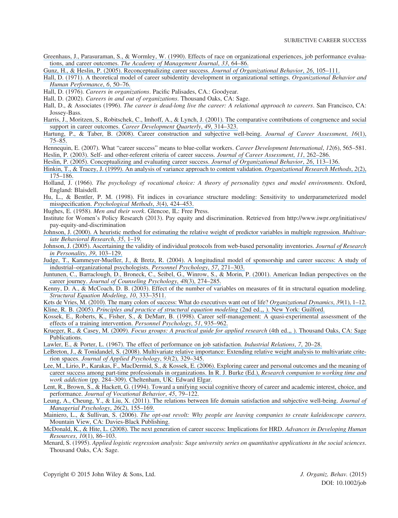- [Greenhaus, J., Parasuraman, S., & Wormley, W. \(1990\). Effects of race on organizational experiences, job performance evalua](https://www.researchgate.net/publication/270135735_Effects_of_Race_on_Organizational_Experiences_Job_Performance_Evaluations_and_Career_Outcomes?el=1_x_8&enrichId=rgreq-bc4e09687039d8304f767b826621625b-XXX&enrichSource=Y292ZXJQYWdlOzI4MDk3NDIyODtBUzoyNzY4ODMyMTczNzExMzhAMTQ0MzAyNTUxMTcxMw==)tions, and career outcomes. [The Academy of Management Journal](https://www.researchgate.net/publication/270135735_Effects_of_Race_on_Organizational_Experiences_Job_Performance_Evaluations_and_Career_Outcomes?el=1_x_8&enrichId=rgreq-bc4e09687039d8304f767b826621625b-XXX&enrichSource=Y292ZXJQYWdlOzI4MDk3NDIyODtBUzoyNzY4ODMyMTczNzExMzhAMTQ0MzAyNTUxMTcxMw==), 33, 64–86.
- [Gunz, H., & Heslin, P. \(2005\). Reconceptualizing career success.](https://www.researchgate.net/publication/228009522_Reconceptualizing_Career_Success?el=1_x_8&enrichId=rgreq-bc4e09687039d8304f767b826621625b-XXX&enrichSource=Y292ZXJQYWdlOzI4MDk3NDIyODtBUzoyNzY4ODMyMTczNzExMzhAMTQ0MzAyNTUxMTcxMw==) Journal of Organizational Behavior, 26, 105–111.
- [Hall, D. \(1971\). A theoretical model of career subidentity development in organizational settings.](https://www.researchgate.net/publication/200824301_A_Theoretical_Model_of_Career_Sub-identity_Development_in_Organizational_Settings?el=1_x_8&enrichId=rgreq-bc4e09687039d8304f767b826621625b-XXX&enrichSource=Y292ZXJQYWdlOzI4MDk3NDIyODtBUzoyNzY4ODMyMTczNzExMzhAMTQ0MzAyNTUxMTcxMw==) Organizational Behavior and [Human Performance](https://www.researchgate.net/publication/200824301_A_Theoretical_Model_of_Career_Sub-identity_Development_in_Organizational_Settings?el=1_x_8&enrichId=rgreq-bc4e09687039d8304f767b826621625b-XXX&enrichSource=Y292ZXJQYWdlOzI4MDk3NDIyODtBUzoyNzY4ODMyMTczNzExMzhAMTQ0MzAyNTUxMTcxMw==), 6, 50–76.
- Hall, D. (1976). Careers in organizations. Pacific Palisades, CA.: Goodyear.
- Hall, D. (2002). Careers in and out of organizations. Thousand Oaks, CA: Sage.
- Hall, D., & Associates (1996). The career is dead-long live the career: A relational approach to careers. San Francisco, CA: Jossey-Bass.
- [Harris, J., Moritzen, S., Robitschek, C., Imhoff, A., & Lynch, J. \(2001\). The comparative contributions of congruence and social](https://www.researchgate.net/publication/264406461_The_Comparative_Contributions_of_Congruence_and_Social_Support_in_Career_Outcomes?el=1_x_8&enrichId=rgreq-bc4e09687039d8304f767b826621625b-XXX&enrichSource=Y292ZXJQYWdlOzI4MDk3NDIyODtBUzoyNzY4ODMyMTczNzExMzhAMTQ0MzAyNTUxMTcxMw==) support in career outcomes. [Career Development Quarterly](https://www.researchgate.net/publication/264406461_The_Comparative_Contributions_of_Congruence_and_Social_Support_in_Career_Outcomes?el=1_x_8&enrichId=rgreq-bc4e09687039d8304f767b826621625b-XXX&enrichSource=Y292ZXJQYWdlOzI4MDk3NDIyODtBUzoyNzY4ODMyMTczNzExMzhAMTQ0MzAyNTUxMTcxMw==), 49, 314-323.
- [Hartung, P., & Taber, B. \(2008\). Career construction and subjective well-being.](https://www.researchgate.net/publication/247729146_Career_Construction_and_Subjective_Well-Being?el=1_x_8&enrichId=rgreq-bc4e09687039d8304f767b826621625b-XXX&enrichSource=Y292ZXJQYWdlOzI4MDk3NDIyODtBUzoyNzY4ODMyMTczNzExMzhAMTQ0MzAyNTUxMTcxMw==) Journal of Career Assessment, 16(1), 75–[85.](https://www.researchgate.net/publication/247729146_Career_Construction_and_Subjective_Well-Being?el=1_x_8&enrichId=rgreq-bc4e09687039d8304f767b826621625b-XXX&enrichSource=Y292ZXJQYWdlOzI4MDk3NDIyODtBUzoyNzY4ODMyMTczNzExMzhAMTQ0MzAyNTUxMTcxMw==)
- Hennequin, E. (2007). What "career success" means to blue-collar workers. Career Development International, 12(6), 565–581. [Heslin, P. \(2003\). Self- and other-referent criteria of career success.](https://www.researchgate.net/publication/228210955_Self-_and_Other-Referent_Criteria_of_Career_Success?el=1_x_8&enrichId=rgreq-bc4e09687039d8304f767b826621625b-XXX&enrichSource=Y292ZXJQYWdlOzI4MDk3NDIyODtBUzoyNzY4ODMyMTczNzExMzhAMTQ0MzAyNTUxMTcxMw==) Journal of Career Assessment, 11, 262–286.
- [Heslin, P. \(2005\). Conceptualizing and evaluating career success.](https://www.researchgate.net/publication/227729978_Conceptualizing_and_evaluating_career_success?el=1_x_8&enrichId=rgreq-bc4e09687039d8304f767b826621625b-XXX&enrichSource=Y292ZXJQYWdlOzI4MDk3NDIyODtBUzoyNzY4ODMyMTczNzExMzhAMTQ0MzAyNTUxMTcxMw==) Journal of Organizational Behavior, 26, 113–136.
- [Hinkin, T., & Tracey, J. \(1999\). An analysis of variance approach to content validation.](https://www.researchgate.net/publication/258174272_An_Analysis_of_Variance_Approach_to_Content_Validation?el=1_x_8&enrichId=rgreq-bc4e09687039d8304f767b826621625b-XXX&enrichSource=Y292ZXJQYWdlOzI4MDk3NDIyODtBUzoyNzY4ODMyMTczNzExMzhAMTQ0MzAyNTUxMTcxMw==) Organizational Research Methods, 2(2), 175–[186.](https://www.researchgate.net/publication/258174272_An_Analysis_of_Variance_Approach_to_Content_Validation?el=1_x_8&enrichId=rgreq-bc4e09687039d8304f767b826621625b-XXX&enrichSource=Y292ZXJQYWdlOzI4MDk3NDIyODtBUzoyNzY4ODMyMTczNzExMzhAMTQ0MzAyNTUxMTcxMw==)
- Holland, J. (1966). The psychology of vocational choice: A theory of personality types and model environments. Oxford, England: Blaisdell.
- [Hu, L., & Bentler, P. M. \(1998\). Fit indices in covariance structure modeling: Sensitivity to underparameterized model](https://www.researchgate.net/publication/228079279_Fit_Indices_in_Covariance_Structure_Modeling_Sensitivity_to_Underparameterized_Model_Misspecification?el=1_x_8&enrichId=rgreq-bc4e09687039d8304f767b826621625b-XXX&enrichSource=Y292ZXJQYWdlOzI4MDk3NDIyODtBUzoyNzY4ODMyMTczNzExMzhAMTQ0MzAyNTUxMTcxMw==) misspecification. [Psychological Methods](https://www.researchgate.net/publication/228079279_Fit_Indices_in_Covariance_Structure_Modeling_Sensitivity_to_Underparameterized_Model_Misspecification?el=1_x_8&enrichId=rgreq-bc4e09687039d8304f767b826621625b-XXX&enrichSource=Y292ZXJQYWdlOzI4MDk3NDIyODtBUzoyNzY4ODMyMTczNzExMzhAMTQ0MzAyNTUxMTcxMw==), 3(4), 424-453.
- Hughes, E. (1958). Men and their work. Glencoe, IL: Free Press.
- Institute for Women's Policy Research (2013). Pay equity and discrimination. Retrieved from [http://www.iwpr.org/initiatives/](http://www.iwpr.org/initiatives/pay-equity-and-discrimination) [pay-equity-and-discrimination](http://www.iwpr.org/initiatives/pay-equity-and-discrimination)
- [Johnson, J. \(2000\). A heuristic method for estimating the relative weight of predictor variables in multiple regression.](https://www.researchgate.net/publication/220030359_A_Heuristic_Method_for_Estimating_the_Relative_Weight_of_Predictor_Variables_in_Multiple_Regression?el=1_x_8&enrichId=rgreq-bc4e09687039d8304f767b826621625b-XXX&enrichSource=Y292ZXJQYWdlOzI4MDk3NDIyODtBUzoyNzY4ODMyMTczNzExMzhAMTQ0MzAyNTUxMTcxMw==) Multivar[iate Behavioral Research](https://www.researchgate.net/publication/220030359_A_Heuristic_Method_for_Estimating_the_Relative_Weight_of_Predictor_Variables_in_Multiple_Regression?el=1_x_8&enrichId=rgreq-bc4e09687039d8304f767b826621625b-XXX&enrichSource=Y292ZXJQYWdlOzI4MDk3NDIyODtBUzoyNzY4ODMyMTczNzExMzhAMTQ0MzAyNTUxMTcxMw==), 35, 1–19.
- [Johnson, J. \(2005\). Ascertaining the validity of individual protocols from web-based personality inventories.](https://www.researchgate.net/publication/245503885_Ascertaining_the_validity_of_web-based_personality_inventories?el=1_x_8&enrichId=rgreq-bc4e09687039d8304f767b826621625b-XXX&enrichSource=Y292ZXJQYWdlOzI4MDk3NDIyODtBUzoyNzY4ODMyMTczNzExMzhAMTQ0MzAyNTUxMTcxMw==) Journal of Research [in Personality](https://www.researchgate.net/publication/245503885_Ascertaining_the_validity_of_web-based_personality_inventories?el=1_x_8&enrichId=rgreq-bc4e09687039d8304f767b826621625b-XXX&enrichSource=Y292ZXJQYWdlOzI4MDk3NDIyODtBUzoyNzY4ODMyMTczNzExMzhAMTQ0MzAyNTUxMTcxMw==), 39, 103–129.
- [Judge, T., Kammeyer-Mueller, J., & Bretz, R. \(2004\). A longitudinal model of sponsorship and career success: A study of](https://www.researchgate.net/publication/227610219_A_longitudinal_model_of_sponsorship_and_career_success_A_study_of_Industrial-Organizational_Psychologists?el=1_x_8&enrichId=rgreq-bc4e09687039d8304f767b826621625b-XXX&enrichSource=Y292ZXJQYWdlOzI4MDk3NDIyODtBUzoyNzY4ODMyMTczNzExMzhAMTQ0MzAyNTUxMTcxMw==) industrial–[organizational psychologists.](https://www.researchgate.net/publication/227610219_A_longitudinal_model_of_sponsorship_and_career_success_A_study_of_Industrial-Organizational_Psychologists?el=1_x_8&enrichId=rgreq-bc4e09687039d8304f767b826621625b-XXX&enrichSource=Y292ZXJQYWdlOzI4MDk3NDIyODtBUzoyNzY4ODMyMTczNzExMzhAMTQ0MzAyNTUxMTcxMw==) Personnel Psychology, 57, 271–303.
- [Juntunen, C., Barraclough, D., Broneck, C., Seibel, G., Winrow, S., & Morin, P. \(2001\). American Indian perspectives on the](https://www.researchgate.net/publication/278460508_American_Indian_perspectives_on_the_career_journey?el=1_x_8&enrichId=rgreq-bc4e09687039d8304f767b826621625b-XXX&enrichSource=Y292ZXJQYWdlOzI4MDk3NDIyODtBUzoyNzY4ODMyMTczNzExMzhAMTQ0MzAyNTUxMTcxMw==) career journey. [Journal of Counseling Psychology](https://www.researchgate.net/publication/278460508_American_Indian_perspectives_on_the_career_journey?el=1_x_8&enrichId=rgreq-bc4e09687039d8304f767b826621625b-XXX&enrichSource=Y292ZXJQYWdlOzI4MDk3NDIyODtBUzoyNzY4ODMyMTczNzExMzhAMTQ0MzAyNTUxMTcxMw==), 48(3), 274–285.
- [Kenny, D. A., & McCoach, D. B. \(2003\). Effect of the number of variables on measures of](https://www.researchgate.net/publication/243043757_Effect_of_the_Number_of_Variables_on_Measures_of_Fit_in_Structural_Equation_Modeling?el=1_x_8&enrichId=rgreq-bc4e09687039d8304f767b826621625b-XXX&enrichSource=Y292ZXJQYWdlOzI4MDk3NDIyODtBUzoyNzY4ODMyMTczNzExMzhAMTQ0MzAyNTUxMTcxMw==) fit in structural equation modeling. [Structural Equation Modeling](https://www.researchgate.net/publication/243043757_Effect_of_the_Number_of_Variables_on_Measures_of_Fit_in_Structural_Equation_Modeling?el=1_x_8&enrichId=rgreq-bc4e09687039d8304f767b826621625b-XXX&enrichSource=Y292ZXJQYWdlOzI4MDk3NDIyODtBUzoyNzY4ODMyMTczNzExMzhAMTQ0MzAyNTUxMTcxMw==), 10, 333–3511.
- [Kets de Vries, M. \(2010\). The many colors of success: What do executives want out of life?](https://www.researchgate.net/publication/228139206_The_Many_Colors_of_Success_What_do_Executives_Want_Out_of_Life?el=1_x_8&enrichId=rgreq-bc4e09687039d8304f767b826621625b-XXX&enrichSource=Y292ZXJQYWdlOzI4MDk3NDIyODtBUzoyNzY4ODMyMTczNzExMzhAMTQ0MzAyNTUxMTcxMw==) Organizational Dynamics, 39(1), 1-12. Kline, R. B. (2005). [Principles and practice of structural equation modeling](https://www.researchgate.net/publication/235932894_Principles_And_Practice_Of_Structural_Equation_Modeling?el=1_x_8&enrichId=rgreq-bc4e09687039d8304f767b826621625b-XXX&enrichSource=Y292ZXJQYWdlOzI4MDk3NDIyODtBUzoyNzY4ODMyMTczNzExMzhAMTQ0MzAyNTUxMTcxMw==) (2nd ed.,, ). New York: Guilford.
- [Kossek, E., Roberts, K., Fisher, S., & DeMarr, B. \(1998\). Career self-management: A quasi-experimental assessment of the](https://www.researchgate.net/publication/227656646_Career_self-management_A_quasi-experimental_assessment_of_the_effects_of_a_training_intervention?el=1_x_8&enrichId=rgreq-bc4e09687039d8304f767b826621625b-XXX&enrichSource=Y292ZXJQYWdlOzI4MDk3NDIyODtBUzoyNzY4ODMyMTczNzExMzhAMTQ0MzAyNTUxMTcxMw==) [effects of a training intervention.](https://www.researchgate.net/publication/227656646_Career_self-management_A_quasi-experimental_assessment_of_the_effects_of_a_training_intervention?el=1_x_8&enrichId=rgreq-bc4e09687039d8304f767b826621625b-XXX&enrichSource=Y292ZXJQYWdlOzI4MDk3NDIyODtBUzoyNzY4ODMyMTczNzExMzhAMTQ0MzAyNTUxMTcxMw==) Personnel Psychology, 51, 935–962.
- Krueger, R., & Casey, M. (2009). [Focus groups: A practical guide for applied research](https://www.researchgate.net/publication/259254149_Focus_Groups_A_Practial_Guide_for_Applied_Research?el=1_x_8&enrichId=rgreq-bc4e09687039d8304f767b826621625b-XXX&enrichSource=Y292ZXJQYWdlOzI4MDk3NDIyODtBUzoyNzY4ODMyMTczNzExMzhAMTQ0MzAyNTUxMTcxMw==) (4th ed.,, ). Thousand Oaks, CA: Sage [Publications.](https://www.researchgate.net/publication/259254149_Focus_Groups_A_Practial_Guide_for_Applied_Research?el=1_x_8&enrichId=rgreq-bc4e09687039d8304f767b826621625b-XXX&enrichSource=Y292ZXJQYWdlOzI4MDk3NDIyODtBUzoyNzY4ODMyMTczNzExMzhAMTQ0MzAyNTUxMTcxMw==)
- [Lawler, E., & Porter, L. \(1967\). The effect of performance on job satisfaction.](https://www.researchgate.net/publication/229441537_The_Effect_of_Performance_on_Job_Satisfaction?el=1_x_8&enrichId=rgreq-bc4e09687039d8304f767b826621625b-XXX&enrichSource=Y292ZXJQYWdlOzI4MDk3NDIyODtBUzoyNzY4ODMyMTczNzExMzhAMTQ0MzAyNTUxMTcxMw==) *Industrial Relations*, 7, 20–28.
- [LeBreton, J., & Tonidandel, S. \(2008\). Multivariate relative importance: Extending relative weight analysis to multivariate crite](https://www.researchgate.net/publication/5490024_Multivariate_Relative_Importance_Extending_Relative_Weight_Analysis_to_Multivariate_Criterion_Spaces?el=1_x_8&enrichId=rgreq-bc4e09687039d8304f767b826621625b-XXX&enrichSource=Y292ZXJQYWdlOzI4MDk3NDIyODtBUzoyNzY4ODMyMTczNzExMzhAMTQ0MzAyNTUxMTcxMw==)rion spaces. [Journal of Applied Psychology](https://www.researchgate.net/publication/5490024_Multivariate_Relative_Importance_Extending_Relative_Weight_Analysis_to_Multivariate_Criterion_Spaces?el=1_x_8&enrichId=rgreq-bc4e09687039d8304f767b826621625b-XXX&enrichSource=Y292ZXJQYWdlOzI4MDk3NDIyODtBUzoyNzY4ODMyMTczNzExMzhAMTQ0MzAyNTUxMTcxMw==), 93(2), 329–345.
- [Lee, M., Lirio, P., Karakas, F., MacDermid, S., & Kossek, E. \(2006\). Exploring career and personal outcomes and the meaning of](https://www.researchgate.net/publication/292049495_Exploring_career_and_personal_outcomes_and_the_meaning_of_career_success_among_part-time_professionals_in_organizations?el=1_x_8&enrichId=rgreq-bc4e09687039d8304f767b826621625b-XXX&enrichSource=Y292ZXJQYWdlOzI4MDk3NDIyODtBUzoyNzY4ODMyMTczNzExMzhAMTQ0MzAyNTUxMTcxMw==) [career success among part-time professionals in organizations. In R. J. Burke \(Ed.\),](https://www.researchgate.net/publication/292049495_Exploring_career_and_personal_outcomes_and_the_meaning_of_career_success_among_part-time_professionals_in_organizations?el=1_x_8&enrichId=rgreq-bc4e09687039d8304f767b826621625b-XXX&enrichSource=Y292ZXJQYWdlOzI4MDk3NDIyODtBUzoyNzY4ODMyMTczNzExMzhAMTQ0MzAyNTUxMTcxMw==) *Research companion to working time and* work addiction (pp. 284–[309\). Cheltenham, UK: Edward Elgar.](https://www.researchgate.net/publication/292049495_Exploring_career_and_personal_outcomes_and_the_meaning_of_career_success_among_part-time_professionals_in_organizations?el=1_x_8&enrichId=rgreq-bc4e09687039d8304f767b826621625b-XXX&enrichSource=Y292ZXJQYWdlOzI4MDk3NDIyODtBUzoyNzY4ODMyMTczNzExMzhAMTQ0MzAyNTUxMTcxMw==)
- [Lent, R., Brown, S., & Hackett, G. \(1994\). Toward a unifying social cognitive theory of career and academic interest, choice, and](https://www.researchgate.net/publication/230557657_Toward_a_Unifying_Social_Cognitive_Theory_of_Career_and_Academic_Interest_Choice_and_Performance?el=1_x_8&enrichId=rgreq-bc4e09687039d8304f767b826621625b-XXX&enrichSource=Y292ZXJQYWdlOzI4MDk3NDIyODtBUzoyNzY4ODMyMTczNzExMzhAMTQ0MzAyNTUxMTcxMw==) performance. [Journal of Vocational Behavior](https://www.researchgate.net/publication/230557657_Toward_a_Unifying_Social_Cognitive_Theory_of_Career_and_Academic_Interest_Choice_and_Performance?el=1_x_8&enrichId=rgreq-bc4e09687039d8304f767b826621625b-XXX&enrichSource=Y292ZXJQYWdlOzI4MDk3NDIyODtBUzoyNzY4ODMyMTczNzExMzhAMTQ0MzAyNTUxMTcxMw==), 45, 79–122.
- [Leung, A., Cheung, Y., & Liu, X. \(2011\). The relations between life domain satisfaction and subjective well-being.](https://www.researchgate.net/publication/238599149_The_relations_between_life_domain_satisfaction_and_subjective_well-being?el=1_x_8&enrichId=rgreq-bc4e09687039d8304f767b826621625b-XXX&enrichSource=Y292ZXJQYWdlOzI4MDk3NDIyODtBUzoyNzY4ODMyMTczNzExMzhAMTQ0MzAyNTUxMTcxMw==) *Journal of* [Managerial Psychology](https://www.researchgate.net/publication/238599149_The_relations_between_life_domain_satisfaction_and_subjective_well-being?el=1_x_8&enrichId=rgreq-bc4e09687039d8304f767b826621625b-XXX&enrichSource=Y292ZXJQYWdlOzI4MDk3NDIyODtBUzoyNzY4ODMyMTczNzExMzhAMTQ0MzAyNTUxMTcxMw==), 26(2), 155–169.
- Mainiero, L., & Sullivan, S. (2006). [The opt-out revolt: Why people are leaving companies to create kaleidoscope careers](https://www.researchgate.net/publication/254592865_The_Opt-Out_Revolt_Why_People_Are_Leaving_Corporations_to_Create_Kaleidoscope_Careers?el=1_x_8&enrichId=rgreq-bc4e09687039d8304f767b826621625b-XXX&enrichSource=Y292ZXJQYWdlOzI4MDk3NDIyODtBUzoyNzY4ODMyMTczNzExMzhAMTQ0MzAyNTUxMTcxMw==). [Mountain View, CA: Davies-Black Publishing.](https://www.researchgate.net/publication/254592865_The_Opt-Out_Revolt_Why_People_Are_Leaving_Corporations_to_Create_Kaleidoscope_Careers?el=1_x_8&enrichId=rgreq-bc4e09687039d8304f767b826621625b-XXX&enrichSource=Y292ZXJQYWdlOzI4MDk3NDIyODtBUzoyNzY4ODMyMTczNzExMzhAMTQ0MzAyNTUxMTcxMw==)
- [McDonald, K., & Hite, L. \(2008\). The next generation of career success: Implications for HRD.](https://www.researchgate.net/publication/48515665_The_Next_Generation_of_Career_Success_Implications_for_HRD?el=1_x_8&enrichId=rgreq-bc4e09687039d8304f767b826621625b-XXX&enrichSource=Y292ZXJQYWdlOzI4MDk3NDIyODtBUzoyNzY4ODMyMTczNzExMzhAMTQ0MzAyNTUxMTcxMw==) Advances in Developing Human [Resources](https://www.researchgate.net/publication/48515665_The_Next_Generation_of_Career_Success_Implications_for_HRD?el=1_x_8&enrichId=rgreq-bc4e09687039d8304f767b826621625b-XXX&enrichSource=Y292ZXJQYWdlOzI4MDk3NDIyODtBUzoyNzY4ODMyMTczNzExMzhAMTQ0MzAyNTUxMTcxMw==), 10(1), 86–103.
- Menard, S. (1995). Applied logistic regression analysis: Sage university series on quantitative applications in the social sciences. Thousand Oaks, CA: Sage.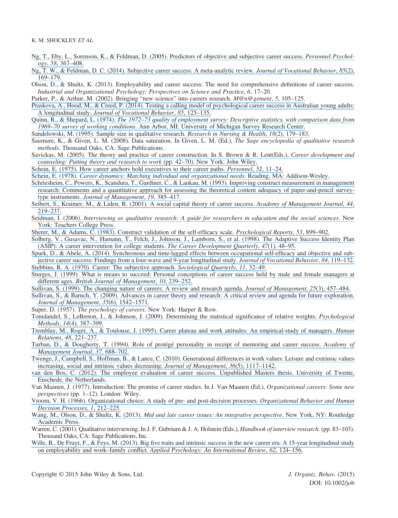[Ng, T., Eby, L., Sorenson, K., & Feldman, D. \(2005\). Predictors of objective and subjective career success.](https://www.researchgate.net/publication/227614669_Predictors_of_Objective_and_Subjective_Career_Success_A_Meta-Analysis?el=1_x_8&enrichId=rgreq-bc4e09687039d8304f767b826621625b-XXX&enrichSource=Y292ZXJQYWdlOzI4MDk3NDIyODtBUzoyNzY4ODMyMTczNzExMzhAMTQ0MzAyNTUxMTcxMw==) Personnel Psychology, 58[, 367](https://www.researchgate.net/publication/227614669_Predictors_of_Objective_and_Subjective_Career_Success_A_Meta-Analysis?el=1_x_8&enrichId=rgreq-bc4e09687039d8304f767b826621625b-XXX&enrichSource=Y292ZXJQYWdlOzI4MDk3NDIyODtBUzoyNzY4ODMyMTczNzExMzhAMTQ0MzAyNTUxMTcxMw==)–408.

[Ng, T. W., & Feldman, D. C. \(2014\). Subjective career success: A meta-analytic review.](https://www.researchgate.net/publication/263282299_Subjective_Career_Success_A_Meta-Analytic_Review?el=1_x_8&enrichId=rgreq-bc4e09687039d8304f767b826621625b-XXX&enrichSource=Y292ZXJQYWdlOzI4MDk3NDIyODtBUzoyNzY4ODMyMTczNzExMzhAMTQ0MzAyNTUxMTcxMw==) Journal of Vocational Behavior, 85(2), 169–[179.](https://www.researchgate.net/publication/263282299_Subjective_Career_Success_A_Meta-Analytic_Review?el=1_x_8&enrichId=rgreq-bc4e09687039d8304f767b826621625b-XXX&enrichSource=Y292ZXJQYWdlOzI4MDk3NDIyODtBUzoyNzY4ODMyMTczNzExMzhAMTQ0MzAyNTUxMTcxMw==)

Olson, D., & Shultz, K. (2013). Employability and career success: The need for comprehensive definitions of career success. Industrial and Organizational Psychology: Perspectives on Science and Practice, 6, 17–20.

[Parker, P., & Arthur, M. \(2002\). Bringing](https://www.researchgate.net/publication/43507884_Bringing_New_Science_into_Careers_Research?el=1_x_8&enrichId=rgreq-bc4e09687039d8304f767b826621625b-XXX&enrichSource=Y292ZXJQYWdlOzI4MDk3NDIyODtBUzoyNzY4ODMyMTczNzExMzhAMTQ0MzAyNTUxMTcxMw==) "new science" into careers research.  $M@n@gement$ , 5, 105–125.

[Praskova, A., Hood, M., & Creed, P. \(2014\). Testing a calling model of psychological career success in Australian young adults:](https://www.researchgate.net/publication/262196095_Testing_a_Calling_Model_of_Psychological_Career_Success_in_Australian_Young_Adults_A_Longitudinal_Study?el=1_x_8&enrichId=rgreq-bc4e09687039d8304f767b826621625b-XXX&enrichSource=Y292ZXJQYWdlOzI4MDk3NDIyODtBUzoyNzY4ODMyMTczNzExMzhAMTQ0MzAyNTUxMTcxMw==) A longitudinal study. [Journal of Vocational Behavior](https://www.researchgate.net/publication/262196095_Testing_a_Calling_Model_of_Psychological_Career_Success_in_Australian_Young_Adults_A_Longitudinal_Study?el=1_x_8&enrichId=rgreq-bc4e09687039d8304f767b826621625b-XXX&enrichSource=Y292ZXJQYWdlOzI4MDk3NDIyODtBUzoyNzY4ODMyMTczNzExMzhAMTQ0MzAyNTUxMTcxMw==), 85, 125–135.

Quinn, R., & Shepard, L. (1974). The 1972–[73 quality of employment survey: Descriptive statistics, with comparison data from](https://www.researchgate.net/publication/232439692_The_1977_Quality_of_Employment_Survey_Descriptive_statistics_with_comparison_data_from_the_1969-70_and_the_1972-73_surveys?el=1_x_8&enrichId=rgreq-bc4e09687039d8304f767b826621625b-XXX&enrichSource=Y292ZXJQYWdlOzI4MDk3NDIyODtBUzoyNzY4ODMyMTczNzExMzhAMTQ0MzAyNTUxMTcxMw==) 1969–70 survey of working conditions[. Ann Arbor, MI: University of Michigan Survey Research Center.](https://www.researchgate.net/publication/232439692_The_1977_Quality_of_Employment_Survey_Descriptive_statistics_with_comparison_data_from_the_1969-70_and_the_1972-73_surveys?el=1_x_8&enrichId=rgreq-bc4e09687039d8304f767b826621625b-XXX&enrichSource=Y292ZXJQYWdlOzI4MDk3NDIyODtBUzoyNzY4ODMyMTczNzExMzhAMTQ0MzAyNTUxMTcxMw==)

[Sandelowski, M. \(1995\). Sample size in qualitative research.](https://www.researchgate.net/publication/15298804_Sample_Size_in_Qualitative_Research?el=1_x_8&enrichId=rgreq-bc4e09687039d8304f767b826621625b-XXX&enrichSource=Y292ZXJQYWdlOzI4MDk3NDIyODtBUzoyNzY4ODMyMTczNzExMzhAMTQ0MzAyNTUxMTcxMw==) Research in Nursing & Health, 18(2), 179–183.

Saumure, K., & Given, L. M. (2008). Data saturation. In Given, L. M. (Ed.), The Sage encyclopedia of qualitative research methods. Thousand Oaks, CA: Sage Publications.

[Savickas, M. \(2005\). The theory and practice of career construction. In S. Brown & R. Lent\(Eds.\),](https://www.researchgate.net/publication/238352276_Career_construction_theory_and_practice?el=1_x_8&enrichId=rgreq-bc4e09687039d8304f767b826621625b-XXX&enrichSource=Y292ZXJQYWdlOzI4MDk3NDIyODtBUzoyNzY4ODMyMTczNzExMzhAMTQ0MzAyNTUxMTcxMw==) Career development and [counseling: Putting theory and research to work](https://www.researchgate.net/publication/238352276_Career_construction_theory_and_practice?el=1_x_8&enrichId=rgreq-bc4e09687039d8304f767b826621625b-XXX&enrichSource=Y292ZXJQYWdlOzI4MDk3NDIyODtBUzoyNzY4ODMyMTczNzExMzhAMTQ0MzAyNTUxMTcxMw==) (pp. 42–70). New York: John Wiley.

[Schein, E. \(1975\). How career anchors hold executives to their career paths.](https://www.researchgate.net/publication/279702506_How_Career_Anchors_Hold_Executives_to_Their_Career_Paths?el=1_x_8&enrichId=rgreq-bc4e09687039d8304f767b826621625b-XXX&enrichSource=Y292ZXJQYWdlOzI4MDk3NDIyODtBUzoyNzY4ODMyMTczNzExMzhAMTQ0MzAyNTUxMTcxMw==) Personnel, 52, 11–24.

Schein, E. (1978). [Career dynamics: Matching individual and organizational needs](https://www.researchgate.net/publication/242483653_Career_Dynamics_Matching_Individual_and_Organizational_Needs?el=1_x_8&enrichId=rgreq-bc4e09687039d8304f767b826621625b-XXX&enrichSource=Y292ZXJQYWdlOzI4MDk3NDIyODtBUzoyNzY4ODMyMTczNzExMzhAMTQ0MzAyNTUxMTcxMw==). Reading, MA: Addison-Wesley.

- [Schriesheim, C., Powers, K., Scandura, T., Gardiner, C., & Lankau, M. \(1993\). Improving construct measurement in management](https://www.researchgate.net/publication/234021875_Improving_Construct_Measurement_In_Management_Research_Comments_and_a_Quantitative_Approach_for_Assessing_the_Theoretical_Content_Adequacy_of_Paper-and-Pencil_Survey-Type_Instruments?el=1_x_8&enrichId=rgreq-bc4e09687039d8304f767b826621625b-XXX&enrichSource=Y292ZXJQYWdlOzI4MDk3NDIyODtBUzoyNzY4ODMyMTczNzExMzhAMTQ0MzAyNTUxMTcxMw==) [research: Comments and a quantitative approach for assessing the theoretical content adequacy of paper-and-pencil survey](https://www.researchgate.net/publication/234021875_Improving_Construct_Measurement_In_Management_Research_Comments_and_a_Quantitative_Approach_for_Assessing_the_Theoretical_Content_Adequacy_of_Paper-and-Pencil_Survey-Type_Instruments?el=1_x_8&enrichId=rgreq-bc4e09687039d8304f767b826621625b-XXX&enrichSource=Y292ZXJQYWdlOzI4MDk3NDIyODtBUzoyNzY4ODMyMTczNzExMzhAMTQ0MzAyNTUxMTcxMw==)type instruments. [Journal of Management](https://www.researchgate.net/publication/234021875_Improving_Construct_Measurement_In_Management_Research_Comments_and_a_Quantitative_Approach_for_Assessing_the_Theoretical_Content_Adequacy_of_Paper-and-Pencil_Survey-Type_Instruments?el=1_x_8&enrichId=rgreq-bc4e09687039d8304f767b826621625b-XXX&enrichSource=Y292ZXJQYWdlOzI4MDk3NDIyODtBUzoyNzY4ODMyMTczNzExMzhAMTQ0MzAyNTUxMTcxMw==), 19, 385–417.
- [Seibert, S., Kraimer, M., & Liden, R. \(2001\). A social capital theory of career success.](https://www.researchgate.net/publication/228831713_A_Social_Capital_Theory_of_Career_Success?el=1_x_8&enrichId=rgreq-bc4e09687039d8304f767b826621625b-XXX&enrichSource=Y292ZXJQYWdlOzI4MDk3NDIyODtBUzoyNzY4ODMyMTczNzExMzhAMTQ0MzAyNTUxMTcxMw==) Academy of Management Journal, 44,  $219 - 237$ .
- Seidman, I. (2006). [Interviewing as qualitative research: A guide for researchers in education and the social sciences](https://www.researchgate.net/publication/31697899_Interviewing_As_Qualitative_Research_A_Guide_for_Researchers_in_Education_and_the_Social_Sciences?el=1_x_8&enrichId=rgreq-bc4e09687039d8304f767b826621625b-XXX&enrichSource=Y292ZXJQYWdlOzI4MDk3NDIyODtBUzoyNzY4ODMyMTczNzExMzhAMTQ0MzAyNTUxMTcxMw==). New [York: Teachers College Press.](https://www.researchgate.net/publication/31697899_Interviewing_As_Qualitative_Research_A_Guide_for_Researchers_in_Education_and_the_Social_Sciences?el=1_x_8&enrichId=rgreq-bc4e09687039d8304f767b826621625b-XXX&enrichSource=Y292ZXJQYWdlOzI4MDk3NDIyODtBUzoyNzY4ODMyMTczNzExMzhAMTQ0MzAyNTUxMTcxMw==)
- [Sherer, M., & Adams, C. \(1983\). Construct validation of the self-ef](https://www.researchgate.net/publication/259982133_Construct_validity_of_the_Self-Efficacy_Scale?el=1_x_8&enrichId=rgreq-bc4e09687039d8304f767b826621625b-XXX&enrichSource=Y292ZXJQYWdlOzI4MDk3NDIyODtBUzoyNzY4ODMyMTczNzExMzhAMTQ0MzAyNTUxMTcxMw==)ficacy scale. *Psychological Reports*, 53, 899–902.

[Solberg, V., Gusavac, N., Hamann, T., Felch, J., Johnson, J., Lamborn, S., et al. \(1998\). The Adaptive Success Identity Plan](https://www.researchgate.net/publication/232593226_The_Adaptive_Success_Identity_Plan_ASIP_A_Career_Intervention_for_College_Students?el=1_x_8&enrichId=rgreq-bc4e09687039d8304f767b826621625b-XXX&enrichSource=Y292ZXJQYWdlOzI4MDk3NDIyODtBUzoyNzY4ODMyMTczNzExMzhAMTQ0MzAyNTUxMTcxMw==) [\(ASIP\): A career intervention for college students.](https://www.researchgate.net/publication/232593226_The_Adaptive_Success_Identity_Plan_ASIP_A_Career_Intervention_for_College_Students?el=1_x_8&enrichId=rgreq-bc4e09687039d8304f767b826621625b-XXX&enrichSource=Y292ZXJQYWdlOzI4MDk3NDIyODtBUzoyNzY4ODMyMTczNzExMzhAMTQ0MzAyNTUxMTcxMw==) The Career Development Quarterly, 47(1), 48–95.

- [Spurk, D., & Abele, A. \(2014\). Synchronous and time-lagged effects between occupational self-ef](https://www.researchgate.net/publication/259503785_Synchronous_and_Time-Lagged_Effects_between_Occupational_Self-Efficacy_and_Objective_and_Subjective_Career_Success_Findings_from_a_Four-Wave_and_9-Year_Longitudinal_Study?el=1_x_8&enrichId=rgreq-bc4e09687039d8304f767b826621625b-XXX&enrichSource=Y292ZXJQYWdlOzI4MDk3NDIyODtBUzoyNzY4ODMyMTczNzExMzhAMTQ0MzAyNTUxMTcxMw==)ficacy and objective and sub[jective career success: Findings from a four-wave and 9-year longitudinal study.](https://www.researchgate.net/publication/259503785_Synchronous_and_Time-Lagged_Effects_between_Occupational_Self-Efficacy_and_Objective_and_Subjective_Career_Success_Findings_from_a_Four-Wave_and_9-Year_Longitudinal_Study?el=1_x_8&enrichId=rgreq-bc4e09687039d8304f767b826621625b-XXX&enrichSource=Y292ZXJQYWdlOzI4MDk3NDIyODtBUzoyNzY4ODMyMTczNzExMzhAMTQ0MzAyNTUxMTcxMw==) Journal of Vocational Behavior, 84, 119–132. [Stebbins, R. A. \(1970\). Career: The subjective approach.](https://www.researchgate.net/publication/228038809_Career_The_Subjective_Approach?el=1_x_8&enrichId=rgreq-bc4e09687039d8304f767b826621625b-XXX&enrichSource=Y292ZXJQYWdlOzI4MDk3NDIyODtBUzoyNzY4ODMyMTczNzExMzhAMTQ0MzAyNTUxMTcxMw==) Sociological Quarterly, 11, 32–49.
- [Sturges, J. \(1999\). What is means to succeed: Personal conceptions of career success held by male and female managers at](https://www.researchgate.net/publication/227768432_What_It_Means_To_Succeed_Personal_Conceptions_of_Career_Success_Held_by_Male_and_Female_Managers_at_Different_Ages?el=1_x_8&enrichId=rgreq-bc4e09687039d8304f767b826621625b-XXX&enrichSource=Y292ZXJQYWdlOzI4MDk3NDIyODtBUzoyNzY4ODMyMTczNzExMzhAMTQ0MzAyNTUxMTcxMw==) different ages. [British Journal of Management](https://www.researchgate.net/publication/227768432_What_It_Means_To_Succeed_Personal_Conceptions_of_Career_Success_Held_by_Male_and_Female_Managers_at_Different_Ages?el=1_x_8&enrichId=rgreq-bc4e09687039d8304f767b826621625b-XXX&enrichSource=Y292ZXJQYWdlOzI4MDk3NDIyODtBUzoyNzY4ODMyMTczNzExMzhAMTQ0MzAyNTUxMTcxMw==), 10, 239–252.

[Sullivan, S. \(1999\). The changing nature of careers: A review and research agenda.](https://www.researchgate.net/publication/254121234_The_Changing_Nature_of_Careers_A_Review_and_Research_Agenda?el=1_x_8&enrichId=rgreq-bc4e09687039d8304f767b826621625b-XXX&enrichSource=Y292ZXJQYWdlOzI4MDk3NDIyODtBUzoyNzY4ODMyMTczNzExMzhAMTQ0MzAyNTUxMTcxMw==) Journal of Management, 25(3), 457–484.

[Sullivan, S., & Baruch, Y. \(2009\). Advances in career theory and research: A critical review and agenda for future exploration.](https://www.researchgate.net/publication/234021927_Advances_in_Career_Theory_and_Research_A_Critical_Review_and_Agenda_for_Future_Exploration?el=1_x_8&enrichId=rgreq-bc4e09687039d8304f767b826621625b-XXX&enrichSource=Y292ZXJQYWdlOzI4MDk3NDIyODtBUzoyNzY4ODMyMTczNzExMzhAMTQ0MzAyNTUxMTcxMw==) [Journal of Management](https://www.researchgate.net/publication/234021927_Advances_in_Career_Theory_and_Research_A_Critical_Review_and_Agenda_for_Future_Exploration?el=1_x_8&enrichId=rgreq-bc4e09687039d8304f767b826621625b-XXX&enrichSource=Y292ZXJQYWdlOzI4MDk3NDIyODtBUzoyNzY4ODMyMTczNzExMzhAMTQ0MzAyNTUxMTcxMw==), 35(6), 1542–1571.

Super, D. (1957). The psychology of careers. New York: Harper & Row.

- [Tonidandel, S., LeBreton, J., & Johnson, J. \(2009\). Determining the statistical signi](https://www.researchgate.net/publication/40455316_Determining_the_Statistical_Significance_of_Relative_Weights?el=1_x_8&enrichId=rgreq-bc4e09687039d8304f767b826621625b-XXX&enrichSource=Y292ZXJQYWdlOzI4MDk3NDIyODtBUzoyNzY4ODMyMTczNzExMzhAMTQ0MzAyNTUxMTcxMw==)ficance of relative weights. Psychological [Methods](https://www.researchgate.net/publication/40455316_Determining_the_Statistical_Significance_of_Relative_Weights?el=1_x_8&enrichId=rgreq-bc4e09687039d8304f767b826621625b-XXX&enrichSource=Y292ZXJQYWdlOzI4MDk3NDIyODtBUzoyNzY4ODMyMTczNzExMzhAMTQ0MzAyNTUxMTcxMw==), 14(4), 387–399.
- [Tremblay, M., Roger, A., & Toulouse, J. \(1995\). Career plateau and work attitudes: An empirical-study of managers.](https://www.researchgate.net/publication/247717453_Career_Plateau_and_Work_Attitudes_An_Empirical_Study_of_Managers?el=1_x_8&enrichId=rgreq-bc4e09687039d8304f767b826621625b-XXX&enrichSource=Y292ZXJQYWdlOzI4MDk3NDIyODtBUzoyNzY4ODMyMTczNzExMzhAMTQ0MzAyNTUxMTcxMw==) Human [Relations](https://www.researchgate.net/publication/247717453_Career_Plateau_and_Work_Attitudes_An_Empirical_Study_of_Managers?el=1_x_8&enrichId=rgreq-bc4e09687039d8304f767b826621625b-XXX&enrichSource=Y292ZXJQYWdlOzI4MDk3NDIyODtBUzoyNzY4ODMyMTczNzExMzhAMTQ0MzAyNTUxMTcxMw==), 48, 221–237.
- [Turban, D., & Dougherty, T. \(1994\). Role of protégé personality in receipt of mentoring and career success.](https://www.researchgate.net/publication/270135459_Role_of_Protege_Personality_in_Receipt_of_Mentoring_and_Career_Success?el=1_x_8&enrichId=rgreq-bc4e09687039d8304f767b826621625b-XXX&enrichSource=Y292ZXJQYWdlOzI4MDk3NDIyODtBUzoyNzY4ODMyMTczNzExMzhAMTQ0MzAyNTUxMTcxMw==) Academy of [Management Journal](https://www.researchgate.net/publication/270135459_Role_of_Protege_Personality_in_Receipt_of_Mentoring_and_Career_Success?el=1_x_8&enrichId=rgreq-bc4e09687039d8304f767b826621625b-XXX&enrichSource=Y292ZXJQYWdlOzI4MDk3NDIyODtBUzoyNzY4ODMyMTczNzExMzhAMTQ0MzAyNTUxMTcxMw==), 37, 688–702.
- [Twenge, J., Campbell, S., Hoffman, B., & Lance, C. \(2010\). Generational differences in work values: Leisure and extrinsic values](https://www.researchgate.net/publication/228360704_Generational_Differences_in_Work_Values_Leisure_and_Extrinsic_Values_Increasing_Social_and_Intrinsic_Values_Decreasing?el=1_x_8&enrichId=rgreq-bc4e09687039d8304f767b826621625b-XXX&enrichSource=Y292ZXJQYWdlOzI4MDk3NDIyODtBUzoyNzY4ODMyMTczNzExMzhAMTQ0MzAyNTUxMTcxMw==) [increasing, social and intrinsic values decreasing.](https://www.researchgate.net/publication/228360704_Generational_Differences_in_Work_Values_Leisure_and_Extrinsic_Values_Increasing_Social_and_Intrinsic_Values_Decreasing?el=1_x_8&enrichId=rgreq-bc4e09687039d8304f767b826621625b-XXX&enrichSource=Y292ZXJQYWdlOzI4MDk3NDIyODtBUzoyNzY4ODMyMTczNzExMzhAMTQ0MzAyNTUxMTcxMw==) *Journal of Management*, 36(5), 1117–1142.
- [van den Bos, C. \(2012\). The employee evaluation of career success. Unpublished Masters thesis. University of Twente,](https://www.researchgate.net/publication/228360704_Generational_Differences_in_Work_Values_Leisure_and_Extrinsic_Values_Increasing_Social_and_Intrinsic_Values_Decreasing?el=1_x_8&enrichId=rgreq-bc4e09687039d8304f767b826621625b-XXX&enrichSource=Y292ZXJQYWdlOzI4MDk3NDIyODtBUzoyNzY4ODMyMTczNzExMzhAMTQ0MzAyNTUxMTcxMw==) [Enschede, the Netherlands.](https://www.researchgate.net/publication/228360704_Generational_Differences_in_Work_Values_Leisure_and_Extrinsic_Values_Increasing_Social_and_Intrinsic_Values_Decreasing?el=1_x_8&enrichId=rgreq-bc4e09687039d8304f767b826621625b-XXX&enrichSource=Y292ZXJQYWdlOzI4MDk3NDIyODtBUzoyNzY4ODMyMTczNzExMzhAMTQ0MzAyNTUxMTcxMw==)

Van Maanen, J. (1977). Introduction: The promise of career studies. In J. Van Maanen (Ed.), Organizational careers: Some new perspectives (pp. 1–12). London: Wiley.

[Vroom, V. H. \(1966\). Organizational choice: A study of pre- and post-decision processes.](https://www.researchgate.net/publication/222780784_Organizational_choice_A_study_of_pre-and_postdecision_processes?el=1_x_8&enrichId=rgreq-bc4e09687039d8304f767b826621625b-XXX&enrichSource=Y292ZXJQYWdlOzI4MDk3NDIyODtBUzoyNzY4ODMyMTczNzExMzhAMTQ0MzAyNTUxMTcxMw==) Organizational Behavior and Human [Decision Processes](https://www.researchgate.net/publication/222780784_Organizational_choice_A_study_of_pre-and_postdecision_processes?el=1_x_8&enrichId=rgreq-bc4e09687039d8304f767b826621625b-XXX&enrichSource=Y292ZXJQYWdlOzI4MDk3NDIyODtBUzoyNzY4ODMyMTczNzExMzhAMTQ0MzAyNTUxMTcxMw==), 1, 212–225.

Wang, M., Olson, D., & Shultz, K. (2013). *[Mid and late career issues: An integrative perspective](https://www.researchgate.net/publication/287234813_Mid_and_late_career_issues_An_integrative_perspective?el=1_x_8&enrichId=rgreq-bc4e09687039d8304f767b826621625b-XXX&enrichSource=Y292ZXJQYWdlOzI4MDk3NDIyODtBUzoyNzY4ODMyMTczNzExMzhAMTQ0MzAyNTUxMTcxMw==)*. New York, NY: Routledge [Academic Press.](https://www.researchgate.net/publication/287234813_Mid_and_late_career_issues_An_integrative_perspective?el=1_x_8&enrichId=rgreq-bc4e09687039d8304f767b826621625b-XXX&enrichSource=Y292ZXJQYWdlOzI4MDk3NDIyODtBUzoyNzY4ODMyMTczNzExMzhAMTQ0MzAyNTUxMTcxMw==)

- Warren, C. (2001). Qualitative interviewing. In J. F. Gubrium & J. A. Holstein (Eds.), Handbook of interview research. (pp. 83–103). Thousand Oaks, CA: Sage Publications, Inc.
- Wille, B., De Fruyt, F., & Feys, M. (2013). Big fi[ve traits and intrinsic success in the new career era: A 15-year longitudinal study](https://www.researchgate.net/publication/263140334_Big_Five_Traits_and_Intrinsic_Success_in_the_New_Career_Era_A_15-Year_Longitudinal_Study_on_Employability_and_Work-Family_Conflict?el=1_x_8&enrichId=rgreq-bc4e09687039d8304f767b826621625b-XXX&enrichSource=Y292ZXJQYWdlOzI4MDk3NDIyODtBUzoyNzY4ODMyMTczNzExMzhAMTQ0MzAyNTUxMTcxMw==) on employability and work–family conflict. [Applied Psychology: An International Review](https://www.researchgate.net/publication/263140334_Big_Five_Traits_and_Intrinsic_Success_in_the_New_Career_Era_A_15-Year_Longitudinal_Study_on_Employability_and_Work-Family_Conflict?el=1_x_8&enrichId=rgreq-bc4e09687039d8304f767b826621625b-XXX&enrichSource=Y292ZXJQYWdlOzI4MDk3NDIyODtBUzoyNzY4ODMyMTczNzExMzhAMTQ0MzAyNTUxMTcxMw==), 62, 124–156.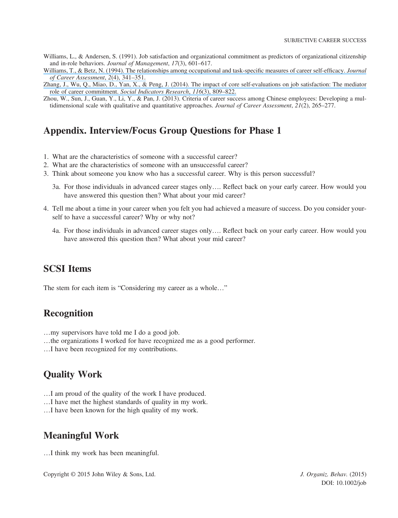- Williams, L., & Andersen, S. (1991). Job satisfaction and organizational commitment as predictors of organizational citizenship and in-role behaviors. Journal of Management, 17(3), 601–617.
- [Williams, T., & Betz, N. \(1994\). The relationships among occupational and task-speci](https://www.researchgate.net/publication/235726193_The_Relationships_Among_Occupational_and_Task-Specific_Measures_of_Career_Self-Efficacy?el=1_x_8&enrichId=rgreq-bc4e09687039d8304f767b826621625b-XXX&enrichSource=Y292ZXJQYWdlOzI4MDk3NDIyODtBUzoyNzY4ODMyMTczNzExMzhAMTQ0MzAyNTUxMTcxMw==)fic measures of career self-efficacy. Journal [of Career Assessment](https://www.researchgate.net/publication/235726193_The_Relationships_Among_Occupational_and_Task-Specific_Measures_of_Career_Self-Efficacy?el=1_x_8&enrichId=rgreq-bc4e09687039d8304f767b826621625b-XXX&enrichSource=Y292ZXJQYWdlOzI4MDk3NDIyODtBUzoyNzY4ODMyMTczNzExMzhAMTQ0MzAyNTUxMTcxMw==), 2(4), 341–351.
- [Zhang, J., Wu, Q., Miao, D., Yan, X., & Peng, J. \(2014\). The impact of core self-evaluations on job satisfaction: The mediator](https://www.researchgate.net/publication/257664270_The_Impact_of_Core_Self-evaluations_on_Job_Satisfaction_The_Mediator_Role_of_Career_Commitment?el=1_x_8&enrichId=rgreq-bc4e09687039d8304f767b826621625b-XXX&enrichSource=Y292ZXJQYWdlOzI4MDk3NDIyODtBUzoyNzY4ODMyMTczNzExMzhAMTQ0MzAyNTUxMTcxMw==) [role of career commitment.](https://www.researchgate.net/publication/257664270_The_Impact_of_Core_Self-evaluations_on_Job_Satisfaction_The_Mediator_Role_of_Career_Commitment?el=1_x_8&enrichId=rgreq-bc4e09687039d8304f767b826621625b-XXX&enrichSource=Y292ZXJQYWdlOzI4MDk3NDIyODtBUzoyNzY4ODMyMTczNzExMzhAMTQ0MzAyNTUxMTcxMw==) Social Indicators Research, 116(3), 809–822.
- Zhou, W., Sun, J., Guan, Y., Li, Y., & Pan, J. (2013). Criteria of career success among Chinese employees: Developing a multidimensional scale with qualitative and quantitative approaches. Journal of Career Assessment, 21(2), 265–277.

# Appendix. Interview/Focus Group Questions for Phase 1

- 1. What are the characteristics of someone with a successful career?
- 2. What are the characteristics of someone with an unsuccessful career?
- 3. Think about someone you know who has a successful career. Why is this person successful?
	- 3a. For those individuals in advanced career stages only…. Reflect back on your early career. How would you have answered this question then? What about your mid career?
- 4. Tell me about a time in your career when you felt you had achieved a measure of success. Do you consider yourself to have a successful career? Why or why not?
	- 4a. For those individuals in advanced career stages only…. Reflect back on your early career. How would you have answered this question then? What about your mid career?

### SCSI Items

The stem for each item is "Considering my career as a whole…"

# Recognition

- …my supervisors have told me I do a good job.
- …the organizations I worked for have recognized me as a good performer.
- …I have been recognized for my contributions.

# Quality Work

- …I am proud of the quality of the work I have produced.
- …I have met the highest standards of quality in my work.

…I have been known for the high quality of my work.

# Meaningful Work

…I think my work has been meaningful.